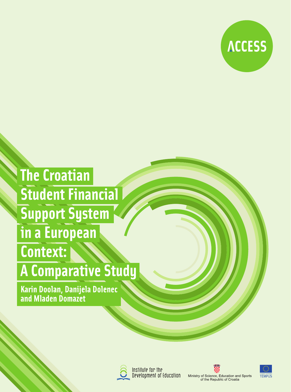

## **The Croatian** Student Financial **Support System** in a European **Context:**

## **A Comparative Study**

Karin Doolan, Danijela Dolenec<br>and Mladen Domazet



Institute for the Development of Education





Ministry of Science, Education and Sports<br>of the Republic of Croatia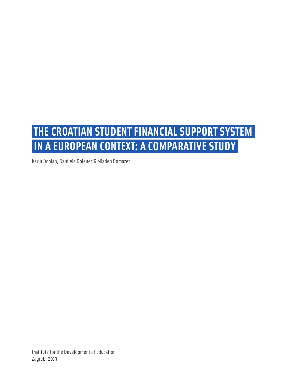## **THE CROATIAN STUDENT FINANCIAL SUPPORT SYSTEM IN A EUROPEAN CONTEXT: A COMPARATIVE STUDY**

Karin Doolan, Danijela Dolenec & Mladen Domazet

Institute for the Development of Education Zagreb, 2013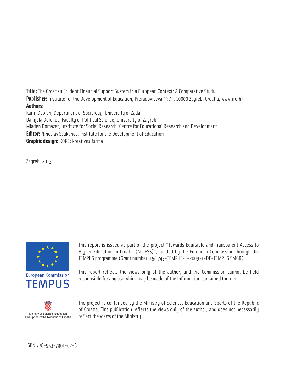**Title:** The Croatian Student Financial Support System in a European Context: A Comparative Study **Publisher:** Institute for the Development of Education, Preradovićeva 33 / I, 10000 Zagreb, Croatia, www.iro.hr **Authors:**  Karin Doolan, Department of Sociology, University of Zadar Danijela Dolenec, Faculty of Political Science, University of Zagreb Mladen Domazet, Institute for Social Research, Centre for Educational Research and Development

**Editor:** Ninoslav Šćukanec, Institute for the Development of Education

**Graphic design:** KOKE: kreativna farma

Zagreb, 2013



This report is issued as part of the project "Towards Equitable and Transparent Access to Higher Education in Croatia (ACCESS)", funded by the European Commission through the TEMPUS programme (Grant number: 158 745-TEMPUS-1-2009-1-DE-TEMPUS SMGR).



This report reflects the views only of the author, and the Commission cannot be held responsible for any use which may be made of the information contained therein.



The project is co-funded by the Ministry of Science, Education and Sports of the Republic of Croatia. This publication reflects the views only of the author, and does not necessarily Ministry of Science, Education<br>d Sports of the Republic of Croatia Feflect the Views of the Ministry.

ISBN 978-953-7901-02-8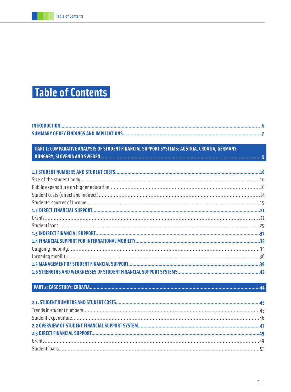## **Table of Contents**

#### PART 1: COMPARATIVE ANALYSIS OF STUDENT FINANCIAL SUPPORT SYSTEMS: AUSTRIA, CROATIA, GERMANY,

####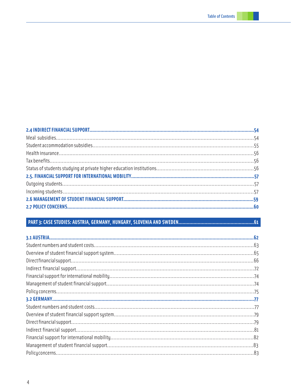####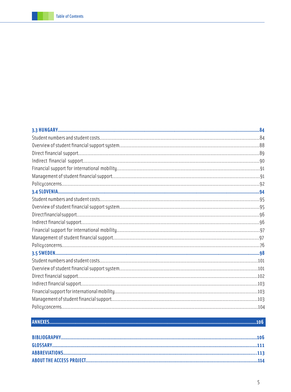#### 

#### 5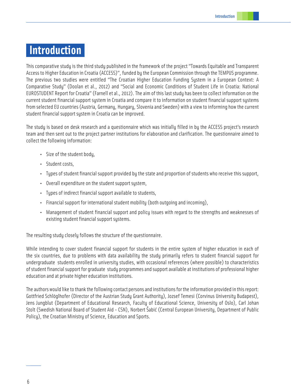### **Introduction**

This comparative study is the third study published in the framework of the project "Towards Equitable and Transparent Access to Higher Education in Croatia (ACCESS)", funded by the European Commission through the TEMPUS programme. The previous two studies were entitled "The Croatian Higher Education Funding System in a European Context: A Comparative Study" (Doolan et al., 2012) and "Social and Economic Conditions of Student Life in Croatia: National EUROSTUDENT Report for Croatia" (Farnell et al., 2012). The aim of this last study has been to collect information on the current student financial support system in Croatia and compare it to information on student financial support systems from selected EU countries (Austria, Germany, Hungary, Slovenia and Sweden) with a view to informing how the current student financial support system in Croatia can be improved.

The study is based on desk research and a questionnaire which was initially filled in by the ACCESS project's research team and then sent out to the project partner institutions for elaboration and clarification. The questionnaire aimed to collect the following information:

- Size of the student body,
- Student costs,
- Types of student financial support provided by the state and proportion of students who receive this support,
- Overall expenditure on the student support system,
- Types of indirect financial support available to students,
- Financial support for international student mobility (both outgoing and incoming),
- Management of student financial support and policy issues with regard to the strengths and weaknesses of existing student financial support systems.

The resulting study closely follows the structure of the questionnaire.

While intending to cover student financial support for students in the entire system of higher education in each of the six countries, due to problems with data availability the study primarily refers to student financial support for undergraduate students enrolled in university studies, with occasional references (where possible) to characteristics of student financial support for graduate study programmes and support available at institutions of professional higher education and at private higher education institutions.

The authors would like to thank the following contact persons and institutions for the information provided in this report: Gottfried Schlöglhofer (Director of the Austrian Study Grant Authority), Jozsef Temesi (Corvinus University Budapest), Jens Jungblut (Department of Educational Research, Faculty of Educational Science, University of Oslo), Carl Johan Stolt (Swedish National Board of Student Aid - CSN), Norbert Šabić (Central European University, Department of Public Policy), the Croatian Ministry of Science, Education and Sports.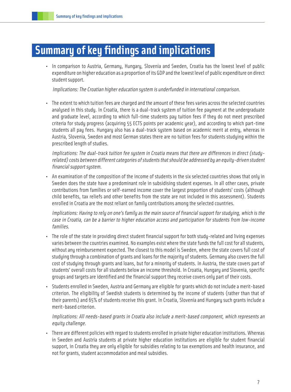### **Summary of key findings and implications**

• In comparison to Austria, Germany, Hungary, Slovenia and Sweden, Croatia has the lowest level of public expenditure on higher education as a proportion of its GDP and the lowest level of public expenditure on direct student support.

Implications: The Croatian higher education system is underfunded in international comparison.

• The extent to which tuition fees are charged and the amount of these fees varies across the selected countries analysed in this study. In Croatia, there is a dual-track system of tuition fee payment at the undergraduate and graduate level, according to which full-time students pay tuition fees if they do not meet prescribed criteria for study progress (acquiring 55 ECTS points per academic year), and according to which part-time students all pay fees. Hungary also has a dual-track system based on academic merit at entry, whereas in Austria, Slovenia, Sweden and most German states there are no tuition fees for students studying within the prescribed length of studies.

Implications: The dual-track tuition fee system in Croatia means that there are differences in direct (studyrelated) costs between different categories of students that should be addressed by an equity-driven student financial support system.

• An examination of the composition of the income of students in the six selected countries shows that only in Sweden does the state have a predominant role in subsidising student expenses. In all other cases, private contributions from families or self-earned income cover the largest proportion of students' costs (although child benefits, tax reliefs and other benefits from the state are not included in this assessment). Students enrolled in Croatia are the most reliant on family contributions among the selected countries.

Implications: Having to rely on one's family as the main source of financial support for studying, which is the case in Croatia, can be a barrier to higher education access and participation for students from low-income families.

- The role of the state in providing direct student financial support for both study-related and living expenses varies between the countries examined. No examples exist where the state funds the full cost for all students, without any reimbursement expected. The closest to this model is Sweden, where the state covers full cost of studying through a combination of grants and loans for the majority of students. Germany also covers the full cost of studying through grants and loans, but for a minority of students. In Austria, the state covers part of students' overall costs for all students below an income threshold. In Croatia, Hungary and Slovenia, specific groups and targets are identified and the financial support they receive covers only part of their costs.
- Students enrolled in Sweden, Austria and Germany are eligible for grants which do not include a merit-based criterion. The eligibility of Swedish students is determined by the income of students (rather than that of their parents) and 65% of students receive this grant. In Croatia, Slovenia and Hungary such grants include a merit-based criterion.

Implications: All needs-based grants in Croatia also include a merit-based component, which represents an equity challenge.

• There are different policies with regard to students enrolled in private higher education institutions. Whereas in Sweden and Austria students at private higher education institutions are eligible for student financial support, in Croatia they are only eligible for subsidies relating to tax exemptions and health insurance, and not for grants, student accommodation and meal subsidies.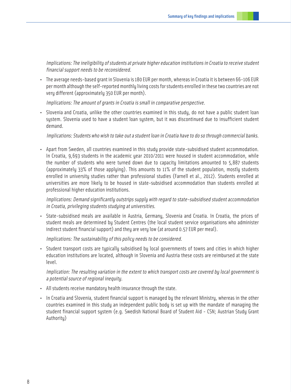Implications: The ineligibility of students at private higher education institutions in Croatia to receive student financial support needs to be reconsidered.

• The average needs-based grant in Slovenia is 180 EUR per month, whereas in Croatia it is between 66-106 EUR per month although the self-reported monthly living costs for students enrolled in these two countries are not very different (approximately 350 EUR per month).

Implications: The amount of grants in Croatia is small in comparative perspective.

• Slovenia and Croatia, unlike the other countries examined in this study, do not have a public student loan system. Slovenia used to have a student loan system, but it was discontinued due to insufficient student demand.

Implications: Students who wish to take out a student loan in Croatia have to do so through commercial banks.

• Apart from Sweden, all countries examined in this study provide state-subsidised student accommodation. In Croatia, 9,693 students in the academic year 2010/2011 were housed in student accommodation, while the number of students who were turned down due to capacity limitations amounted to 5,887 students (approximately 33% of those applying). This amounts to 11% of the student population, mostly students enrolled in university studies rather than professional studies (Farnell et al., 2012). Students enrolled at universities are more likely to be housed in state-subsidised accommodation than students enrolled at professional higher education institutions.

Implications: Demand significantly outstrips supply with regard to state-subsidised student accommodation in Croatia, privileging students studying at universities.

• State-subsidised meals are available in Austria, Germany, Slovenia and Croatia. In Croatia, the prices of student meals are determined by Student Centres (the local student service organisations who administer indirect student financial support) and they are very low (at around 0.57 EUR per meal).

Implications: The sustainability of this policy needs to be considered.

• Student transport costs are typically subsidised by local governments of towns and cities in which higher education institutions are located, although in Slovenia and Austria these costs are reimbursed at the state level.

Implication: The resulting variation in the extent to which transport costs are covered by local government is a potential source of regional inequity.

- All students receive mandatory health insurance through the state.
- In Croatia and Slovenia, student financial support is managed by the relevant Ministry, whereas in the other countries examined in this study an independent public body is set up with the mandate of managing the student financial support system (e.g. Swedish National Board of Student Aid - CSN; Austrian Study Grant Authority)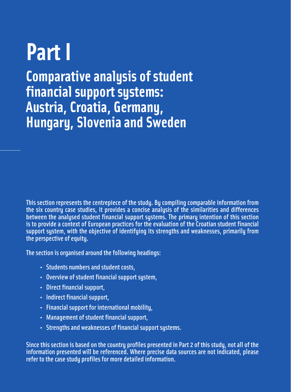# **Part I**

**Comparative analysis of student financial support systems: Austria, Croatia, Germany, Hungary, Slovenia and Sweden** 

This section represents the centrepiece of the study. By compiling comparable information from the six country case studies, it provides a concise analysis of the similarities and differences between the analysed student financial support systems. The primary intention of this section is to provide a context of European practices for the evaluation of the Croatian student financial support system, with the objective of identifying its strengths and weaknesses, primarily from the perspective of equity.

The section is organised around the following headings:

- • Students numbers and student costs,
- • Overview of student financial support system,
- Direct financial support,
- Indirect financial support,
- Financial support for international mobility,
- Management of student financial support,
- Strengths and weaknesses of financial support systems.

Since this section is based on the country profiles presented in Part 2 of this study, not all of the information presented will be referenced. Where precise data sources are not indicated, please refer to the case study profiles for more detailed information.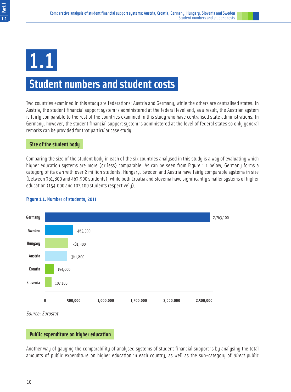1.1

### **Student numbers and student costs**

Two countries examined in this study are federations: Austria and Germany, while the others are centralised states. In Austria, the student financial support system is administered at the federal level and, as a result, the Austrian system is fairly comparable to the rest of the countries examined in this study who have centralised state administrations. In Germany, however, the student financial support system is administered at the level of federal states so only general remarks can be provided for that particular case study.

#### **Size of the student body**

Comparing the size of the student body in each of the six countries analysed in this study is a way of evaluating which higher education systems are more (or less) comparable. As can be seen from Figure 1.1 below, Germany forms a category of its own with over 2 million students. Hungary, Sweden and Austria have fairly comparable systems in size (between 361,800 and 463,500 students), while both Croatia and Slovenia have significantly smaller systems of higher education (154,000 and 107,100 students respectively).



#### **Figure 1.1.** Number of students, 2011

Source: Eurostat

#### **Public expenditure on higher education**

Another way of gauging the comparability of analysed systems of student financial support is by analysing the total amounts of public expenditure on higher education in each country, as well as the sub-category of *direct* public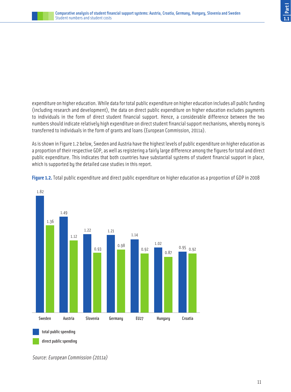

expenditure on higher education. While data for total public expenditure on higher education includes all public funding (including research and development), the data on direct public expenditure on higher education excludes payments to individuals in the form of direct student financial support. Hence, a considerable difference between the two numbers should indicate relatively high expenditure on direct student financial support mechanisms, whereby money is transferred to individuals in the form of grants and loans (European Commission, 2011a).

As is shown in Figure 1.2 below, Sweden and Austria have the highest levels of public expenditure on higher education as a proportion of their respective GDP, as well as registering a fairly large difference among the figures for total and direct public expenditure. This indicates that both countries have substantial systems of student financial support in place, which is supported by the detailed case studies in this report.





Source: European Commission (2011a)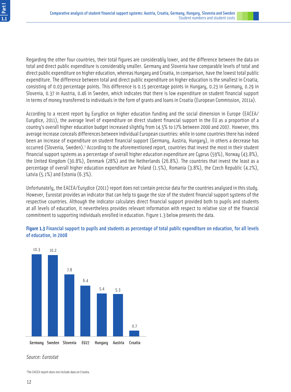Regarding the other four countries, their total figures are considerably lower, and the difference between the data on total and direct public expenditure is considerably smaller. Germany and Slovenia have comparable levels of total and direct public expenditure on higher education, whereas Hungary and Croatia, in comparison, have the lowest total public expenditure. The difference between total and direct public expenditure on higher education is the smallest in Croatia, consisting of 0.03 percentage points. This difference is 0.15 percentage points in Hungary, 0.23 in Germany, 0.29 in Slovenia, 0.37 in Austria, 0.46 in Sweden, which indicates that there is low expenditure on student financial support in terms of money transferred to individuals in the form of grants and loans in Croatia (European Commission, 2011a).

According to a recent report by Eurydice on higher education funding and the social dimension in Europe (EACEA/ Eurydice, 2011), the average level of expenditure on direct student financial support in the EU as a proportion of a country's overall higher education budget increased slightly from 14.5% to 17% between 2000 and 2007. However, this average increase conceals differences between individual European countries: while in some countries there has indeed been an increase of expenditure on student financial support (Germany, Austria, Hungary), in others a decrease has occurred (Slovenia, Sweden).<sup>1</sup> According to the aforementioned report, countries that invest the most in their student financial support systems as a percentage of overall higher education expenditure are Cyprus (59%), Norway (43.8%), the United Kingdom (30.8%), Denmark (28%) and the Netherlands (26.8%). The countries that invest the least as a percentage of overall higher education expenditure are Poland (1.5%), Romania (3.8%), the Czech Republic (4.2%), Latvia (5.1%) and Estonia (6.3%).

Unfortunately, the EACEA/Eurydice (2011) report does not contain precise data for the countries analysed in this study. However, Eurostat provides an indicator that can help to gauge the size of the student financial support systems of the respective countries. Although the indicator calculates direct financial support provided both to pupils and students at all levels of education, it nevertheless provides relevant information with respect to relative size of the financial commitment to supporting individuals enrolled in education. Figure 1.3 below presents the data.

#### **Figure 1.3** Financial support to pupils and students as percentage of total public expenditure on education, for all levels of education, in 2008



#### Source: Eurostat

<sup>1</sup> The EACEA report does not include data on Croatia.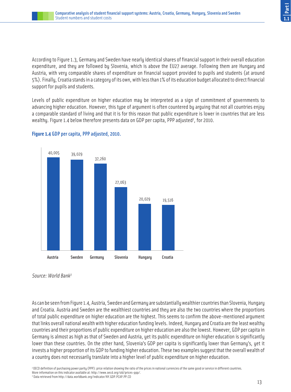According to Figure 1.3, Germany and Sweden have nearly identical shares of financial support in their overall education expenditure, and they are followed by Slovenia, which is above the EU27 average. Following them are Hungary and Austria, with very comparable shares of expenditure on financial support provided to pupils and students (at around 5%). Finally, Croatia stands in a category of its own, with less than 1% of its education budget allocated to direct financial support for pupils and students.

Levels of public expenditure on higher education may be interpreted as a sign of commitment of governments to advancing higher education. However, this type of argument is often countered by arguing that not all countries enjoy a comparable standard of living and that it is for this reason that public expenditure is lower in countries that are less wealthy. Figure 1.4 below therefore presents data on GDP per capita, PPP adjusted<sup>2</sup>, for 2010.





Source: World Bank<sup>3</sup>

As can be seen from Figure 1.4, Austria, Sweden and Germany are substantially wealthier countries than Slovenia, Hungary and Croatia. Austria and Sweden are the wealthiest countries and they are also the two countries where the proportions of total public expenditure on higher education are the highest. This seems to confirm the above-mentioned argument that links overall national wealth with higher education funding levels. Indeed, Hungary and Croatia are the least wealthy countries and their proportions of public expenditure on higher education are also the lowest. However, GDP per capita in Germany is almost as high as that of Sweden and Austria, yet its public expenditure on higher education is significantly lower than these countries. On the other hand, Slovenia's GDP per capita is significantly lower than Germany's, yet it invests a higher proportion of its GDP to funding higher education. These two examples suggest that the overall wealth of a country does not necessarily translate into a higher level of public expenditure on higher education.

2 OECD definition of purchasing power parity (PPP): price relation showing the ratio of the prices in national currencies of the same good or service in different countries. More information on this indicator available at: http://www.oecd.org/std/prices-ppp/. 3 Data retrieved from http://data.worldbank.org/indicator/NY.GDP.PCAP.PP.CD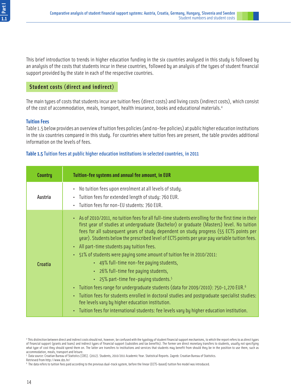This brief introduction to trends in higher education funding in the six countries analysed in this study is followed by an analysis of the costs that students incur in these countries, followed by an analysis of the types of student financial support provided by the state in each of the respective countries.

#### **Student costs (direct and indirect)**

The main types of costs that students incur are tuition fees (direct costs) and living costs (indirect costs), which consist of the cost of accommodation, meals, transport, health insurance, books and educational materials.<sup>4</sup>

#### **Tuition Fees**

Table 1.5 below provides an overview of tuition fees policies (and no-fee policies) at public higher education institutions in the six countries compared in this study. For countries where tuition fees are present, the table provides additional information on the levels of fees.

#### **Table 1.5** Tuition fees at public higher education institutions in selected countries, in 2011

| <b>Country</b> | Tuition-fee systems and annual fee amount, in EUR                                                                                                                                                                                                                                                                                                                                                                                                                                                                                                                                                                                                                                                                                                                                                                                                                                                                                                                                                                     |
|----------------|-----------------------------------------------------------------------------------------------------------------------------------------------------------------------------------------------------------------------------------------------------------------------------------------------------------------------------------------------------------------------------------------------------------------------------------------------------------------------------------------------------------------------------------------------------------------------------------------------------------------------------------------------------------------------------------------------------------------------------------------------------------------------------------------------------------------------------------------------------------------------------------------------------------------------------------------------------------------------------------------------------------------------|
| Austria        | No tuition fees upon enrolment at all levels of study.<br>Tuition fees for extended length of study: 760 EUR.<br>Tuition fees for non-EU students: 760 EUR.                                                                                                                                                                                                                                                                                                                                                                                                                                                                                                                                                                                                                                                                                                                                                                                                                                                           |
| Croatia        | . As of 2010/2011, no tuition fees for all full-time students enrolling for the first time in their<br>first year of studies at undergraduate (Bachelor) or graduate (Masters) level. No tuition<br>fees for all subsequent years of study dependent on study progress (55 ECTS points per<br>year). Students below the prescribed level of ECTS points per year pay variable tuition fees.<br>• All part-time students pay tuition fees.<br>• 51% of students were paying some amount of tuition fee in 2010/2011:<br>• 49% full-time non-fee paying students,<br>• 26% full-time fee paying students,<br>• 25% part-time fee-paying students. <sup>5</sup><br>• Tuition fees range for undergraduate students (data for 2009/2010): 750-1,270 EUR. <sup>6</sup><br>. Tuition fees for students enrolled in doctoral studies and postgraduate specialist studies:<br>fee levels vary by higher education institution.<br>• Tuition fees for international students: fee levels vary by higher education institution. |

<sup>4</sup> This distinction between direct and indirect costs should not, however, be confused with the typology of student financial support mechanisms, to which the report refers to as direct types of financial support (grants and loans) and indirect types of financial support (subsidies and tax benefits). The former are direct monetary transfers to students, usually not specifying what type of cost they should spend them on. The latter are transfers to institutions and services that students may benefit from should they be in the position to use them, such as accommodation, meals, transport and leisure.

<sup>5</sup> Data source: Croatian Bureau of Statistics [CBS]. (2012). Students, 2010/2011 Academic Year. Statistical Reports. Zagreb: Croatian Bureau of Statistics.

Retrieved from http://www.dzs.hr/

 $^{\rm 6}$  The data refers to tuition fees paid according to the previous dual-track system, before the linear (ECTS-based) tuition fee model was introduced.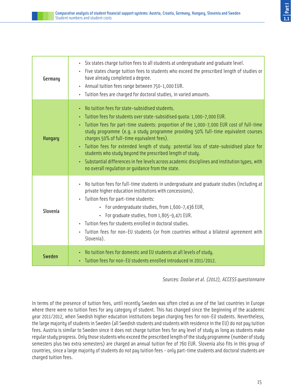| Germany        | · Six states charge tuition fees to all students at undergraduate and graduate level.<br>• Five states charge tuition fees to students who exceed the prescribed length of studies or<br>have already completed a degree.<br>• Annual tuition fees range between 750-1,000 EUR.<br>· Tuition fees are charged for doctoral studies, in varied amounts.                                                                                                                                                                                                                                                                                                                          |
|----------------|---------------------------------------------------------------------------------------------------------------------------------------------------------------------------------------------------------------------------------------------------------------------------------------------------------------------------------------------------------------------------------------------------------------------------------------------------------------------------------------------------------------------------------------------------------------------------------------------------------------------------------------------------------------------------------|
| <b>Hungary</b> | No tuition fees for state-subsidised students.<br>· Tuition fees for students over state-subsidised quota: 1,000-7,000 EUR.<br>· Tuition fees for part-time students: proportion of the 1,000-7,000 EUR cost of full-time<br>study programme (e.g. a study programme providing 50% full-time equivalent courses<br>charges 50% of full-time equivalent fees).<br>• Tuition fees for extended length of study: potential loss of state-subsidised place for<br>students who study beyond the prescribed length of study.<br>• Substantial differences in fee levels across academic disciplines and institution types, with<br>no overall requlation or quidance from the state. |
| Slovenia       | No tuition fees for full-time students in undergraduate and graduate studies (including at<br>private higher education institutions with concessions).<br>• Tuition fees for part-time students:<br>· For undergraduate studies, from 1,600-7,436 EUR,<br>• For graduate studies, from 1,805-9,471 EUR.<br>· Tuition fees for students enrolled in doctoral studies.<br>Tuition fees for non-EU students (or from countries without a bilateral agreement with<br>Slovenia).                                                                                                                                                                                                    |
| <b>Sweden</b>  | • No tuition fees for domestic and EU students at all levels of study.<br>· Tuition fees for non-EU students enrolled introduced in 2011/2012.                                                                                                                                                                                                                                                                                                                                                                                                                                                                                                                                  |

Sources: Doolan et al. (2012), ACCESS questionnaire

In terms of the presence of tuition fees, until recently Sweden was often cited as one of the last countries in Europe where there were no tuition fees for any category of student. This has changed since the beginning of the academic year 2011/2012, when Swedish higher education institutions began charging fees for non-EU students. Nevertheless, the large majority of students in Sweden (all Swedish students and students with residence in the EU) do not pay tuition fees. Austria is similar to Sweden since it does not charge tuition fees for any level of study as long as students make regular study progress. Only those students who exceed the prescribed length of the study programme (number of study semesters plus two extra semesters) are charged an annual tuition fee of 760 EUR. Slovenia also fits in this group of countries, since a large majority of students do not pay tuition fees - only part-time students and doctoral students are charged tuition fees.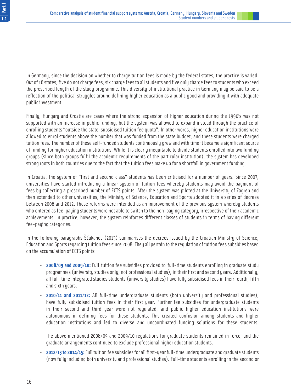In Germany, since the decision on whether to charge tuition fees is made by the federal states, the practice is varied. Out of 16 states, five do not charge fees, six charge fees to all students and five only charge fees to students who exceed the prescribed length of the study programme. This diversity of institutional practice in Germany may be said to be a reflection of the political struggles around defining higher education as a public good and providing it with adequate public investment.

Finally, Hungary and Croatia are cases where the strong expansion of higher education during the 1990's was not supported with an increase in public funding, but the system was allowed to expand instead through the practice of enrolling students "outside the state-subsidised tuition fee quota". In other words, higher education institutions were allowed to enrol students above the number that was funded from the state budget, and these students were charged tuition fees. The number of these self-funded students continuously grew and with time it became a significant source of funding for higher education institutions. While it is clearly inequitable to divide students enrolled into two funding groups (since both groups fulfil the academic requirements of the particular institution), the system has developed strong roots in both countries due to the fact that the tuition fees make up for a shortfall in government funding.

In Croatia, the system of "first and second class" students has been criticised for a number of years. Since 2007, universities have started introducing a linear system of tuition fees whereby students may avoid the payment of fees by collecting a proscribed number of ECTS points. After the system was piloted at the University of Zagreb and then extended to other universities, the Ministry of Science, Education and Sports adopted it in a series of decrees between 2008 and 2012. These reforms were intended as an improvement of the previous system whereby students who entered as fee-paying students were not able to switch to the non-paying category, irrespective of their academic achievements. In practice, however, the sustem reinforces different classes of students in terms of having different fee-paying categories.

In the following paragraphs Šćukanec (2013) summarises the decrees issued by the Croatian Ministry of Science, Education and Sports regarding tuition fees since 2008. They all pertain to the regulation of tuition fees subsidies based on the accumulation of ECTS points:

- **2008/09 and 2009/10:** Full tuition fee subsidies provided to full-time students enrolling in graduate study programmes (university studies only, not professional studies), in their first and second years. Additionally, all full-time integrated studies students (university studies) have fully subsidised fees in their fourth, fifth and sixth years.
- **2010/11 and 2011/12:** All full-time undergraduate students (both university and professional studies), have fully subsidised tuition fees in their first year. Further fee subsidies for undergraduate students in their second and third year were not regulated, and public higher education institutions were autonomous in defining fees for these students. This created confusion among students and higher education institutions and led to diverse and uncoordinated funding solutions for these students.

The above mentioned 2008/09 and 2009/10 regulations for graduate students remained in force, and the graduate arrangements continued to exclude professional higher education students.

• **2012/13 to 2014/15:** Full tuition fee subsidies for all first-year full-time undergraduate and graduate students (now fully including both university and professional studies). Full-time students enrolling in the second or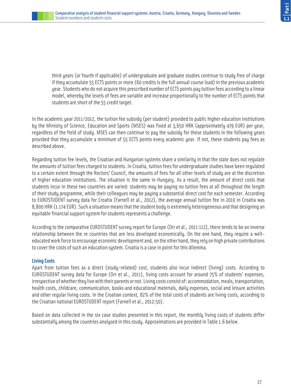third years (or fourth if applicable) of undergraduate and graduate studies continue to study free of charge if they accumulate 55 ECTS points or more (60 credits is the full annual course load) in the previous academic year. Students who do not acquire this prescribed number of ECTS points pay tuition fees according to a linear model, whereby the levels of fees are variable and increase proportionally to the number of ECTS points that students are short of the 55 credit target.

In the academic year 2011/2012, the tuition fee subsidy (per student) provided to public higher education institutions by the Ministry of Science, Education and Sports (MSES) was fixed at 3,650 HRK (approximately 479 EUR) per year, regardless of the field of study. MSES can then continue to pay the subsidy for these students in the following years provided that they accumulate a minimum of 55 ECTS points every academic year. If not, these students pay fees as described above.

Regarding tuition fee levels, the Croatian and Hungarian systems share a similarity in that the state does not regulate the amounts of tuition fees charged to students. In Croatia, tuition fees for undergraduate studies have been regulated to a certain extent through the Rectors' Council, the amounts of fees for all other levels of study are at the discretion of higher education institutions. The situation is the same in Hungary. As a result, the amount of direct costs that students incur in these two countries are varied: students may be paying no tuition fees at all throughout the length of their study programme, while their colleagues may be paying a substantial direct cost for each semester. According to EUROSTUDENT survey data for Croatia (Farnell et al., 2012), the average annual tuition fee in 2010 in Croatia was 8,800 HRK (1.174 EUR). Such a situation means that the student body is extremely heterogeneous and that designing an equitable financial support system for students represents a challenge.

According to the comparative EUROSTUDENT survey report for Europe (Orr et al., 2011:112), there tends to be an inverse relationship between the re countries that are less developed economically. On the one hand, they require a welleducated work force to encourage economic development and, on the other hand, they rely on high private contributions to cover the costs of such an education system. Croatia is a case in point for this dilemma.

#### **Living Costs**

Apart from tuition fees as a direct (study-related) cost, students also incur indirect (living) costs. According to EUROSTUDENT survey data for Europe (Orr et al., 2011), living costs account for around 75% of students' expenses, irrespective of whether they live with their parents or not. Living costs consist of: accommodation, meals, transportation, health costs, childcare, communication, books and educational materials, daily expenses, social and leisure activities and other regular living costs. In the Croatian context, 82% of the total costs of students are living costs, according to the Croatian national EUROSTUDENT report (Farnell et al., 2012:50).

Based on data collected in the six case studies presented in this report, the monthly living costs of students differ substantially among the countries analysed in this study. Approximations are provided in Table 1.6 below.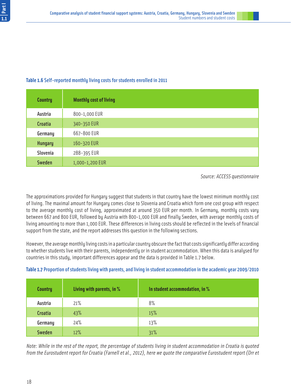#### **Table 1.6** Self-reported monthly living costs for students enrolled in 2011

| <b>Country</b> | <b>Monthly cost of living</b> |
|----------------|-------------------------------|
| Austria        | 800-1,000 EUR                 |
| <b>Croatia</b> | 340-350 EUR                   |
| Germany        | 667-800 EUR                   |
| <b>Hungary</b> | 160-320 EUR                   |
| Slovenia       | 288-395 EUR                   |
| <b>Sweden</b>  | 1,000-1,200 EUR               |

Source: ACCESS questionnaire

The approximations provided for Hungary suggest that students in that country have the lowest minimum monthly cost of living. The maximal amount for Hungary comes close to Slovenia and Croatia which form one cost group with respect to the average monthly cost of living, approximated at around 350 EUR per month. In Germany, monthly costs vary between 667 and 800 EUR, followed by Austria with 800-1,000 EUR and finally Sweden, with average monthly costs of living amounting to more than 1,000 EUR. These differences in living costs should be reflected in the levels of financial support from the state, and the report addresses this question in the following sections.

However, the average monthly living costs in a particular country obscure the fact that costs significantly differ according to whether students live with their parents, independently or in student accommodation. When this data is analysed for countries in this study, important differences appear and the data is provided in Table 1.7 below.

| <b>Country</b> | Living with parents, in % | In student accommodation, in % |
|----------------|---------------------------|--------------------------------|
| Austria        | 21%                       | 8%                             |
| <b>Croatia</b> | 43%                       | 15%                            |
| Germany        | 24%                       | 13%                            |
| <b>Sweden</b>  | 12%                       | 31%                            |

**Table 1.7** Proportion of students living with parents, and living in student accommodation in the academic year 2009/2010

Note: While in the rest of the report, the percentage of students living in student accommodation in Croatia is quoted from the Eurostudent report for Croatia (Farnell et al., 2012), here we quote the comparative Eurostudent report (Orr et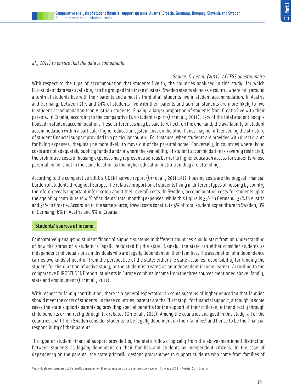#### al., 2011) to ensure that the data is comparable.

Source: Orr et al. (2011), ACCESS questionnaire With respect to the type of accommodation that students live in, the countries analysed in this study, for which Eurostudent data was available, can be grouped into three clusters. Sweden stands alone as a country where only around a tenth of students live with their parents and almost a third of all students live in student accommodation. In Austria and Germany, between 21% and 24% of students live with their parents and German students are more likely to live in student accommodation than Austrian students. Finally, a larger proportion of students from Croatia live with their parents. In Croatia, according to the comparative Eurostudent report (Orr et al., 2011), 15% of the total student body is housed in student accommodation. These differences may be said to reflect, on the one hand, the availability of student accommodation within a particular higher education system and, on the other hand, may be influenced by the structure of student financial support provided in a particular country. For instance, when students are provided with direct grants for living expenses, they may be more likely to move out of the parental home. Conversely, in countries where living costs are not adequately publicly funded and/or where the availability of student accommodation is severely restricted, the prohibitive costs of housing expenses may represent a serious barrier to higher education access for students whose parental home is not in the same location as the higher education institution they are attending.

According to the comparative EUROSTUDENT survey report (Orr et al., 2011:141), housing costs are the biggest financial burden of students throughout Europe. The relative proportion of students living in different types of housing by country therefore reveals important information about their overall costs. In Sweden, accommodation costs for students up to the age of 24 contribute to 41% of students' total monthly expenses, while this figure is 35% in Germany, 37% in Austria and 34% in Croatia. According to the same source, travel costs constitute 5% of total student expenditure in Sweden, 8% in Germany, 6% in Austria and 5% in Croatia.

#### **Students' sources of income**

Comparatively analysing student financial support systems in different countries should start from an understanding of how the status of a student is legally regulated by the state. Namely, the state can either consider students as independent individuals or as individuals who are legally dependent on their families. The assumption of independence carries two kinds of position from the perspective of the state: either the state assumes responsibility for funding the student for the duration of active study, or the student is treated as an independent income-earner. According to the comparative EUROSTUDENT report, students in Europe combine income from the three sources mentioned above: family, state and employment (Orr et al., 2011).

With respect to family contribution, there is a general expectation in some systems of higher education that families should meet the costs of students. In these countries, parents are the "first stop" for financial support, although in some cases the state supports parents by providing special benefits for the support of their children, either directly through child benefits or indirectly through tax rebates (Orr et al., 2011). Among the countries analysed in this study, all of the countries apart from Sweden consider students to be legally dependent on their families<sup>8</sup> and hence to be the financial responsibility of their parents.

The type of student financial support provided by the state follows logically from the above-mentioned distinction between students as legally dependent on their families and students as independent citizens. In the case of dependency on the parents, the state primarily designs programmes to support students who come from families of

<sup>8</sup> Individuals are considered to be legally dependent on their parents only up to a certain age - e.g. until the age of 24 in Austria, 26 in Croatia.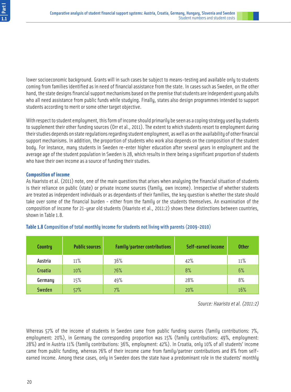lower socioeconomic background. Grants will in such cases be subject to means-testing and available only to students coming from families identified as in need of financial assistance from the state. In cases such as Sweden, on the other hand, the state designs financial support mechanisms based on the premise that students are independent young adults who all need assistance from public funds while studying. Finally, states also design programmes intended to support students according to merit or some other target objective.

With respect to student employment, this form of income should primarily be seen as a coping strategy used by students to supplement their other funding sources (Orr et al., 2011). The extent to which students resort to employment during their studies depends on state regulations regarding student employment, as well as on the availability of other financial support mechanisms. In addition, the proportion of students who work also depends on the composition of the student body. For instance, many students in Sweden re-enter higher education after several years in employment and the average age of the student population in Sweden is 28, which results in there being a significant proportion of students who have their own income as a source of funding their studies.

#### **Composition of income**

As Haaristo et al. (2011) note, one of the main questions that arises when analysing the financial situation of students is their reliance on public (state) or private income sources (family, own income). Irrespective of whether students are treated as independent individuals or as dependants of their families, the key question is whether the state should take over some of the financial burden - either from the family or the students themselves. An examination of the composition of income for 21-year old students (Haaristo et al., 2011:2) shows these distinctions between countries, shown in Table 1.8.

| <b>Country</b> | <b>Public sources</b> | Family/partner contributions | <b>Self-earned income</b> | <b>Other</b> |
|----------------|-----------------------|------------------------------|---------------------------|--------------|
| Austria        | 11%                   | 36%                          | 42%                       | 11%          |
| <b>Croatia</b> | 10%                   | 76%                          | 8%                        | 6%           |
| Germany        | 15%                   | 49%                          | 28%                       | 8%           |
| <b>Sweden</b>  | 57%                   | 7%                           | 20%                       | 16%          |

#### **Table 1.8** Composition of total monthly income for students not living with parents (2009-2010)

Source: Haaristo et al. (2011:2)

Whereas 57% of the income of students in Sweden came from public funding sources (family contributions: 7%, employment: 20%), in Germany the corresponding proportion was 15% (family contributions: 49%, employment: 28%) and in Austria 11% (family contributions: 36%, employment: 42%). In Croatia, only 10% of all students' income came from public funding, whereas 76% of their income came from family/partner contributions and 8% from selfearned income. Among these cases, only in Sweden does the state have a predominant role in the students' monthly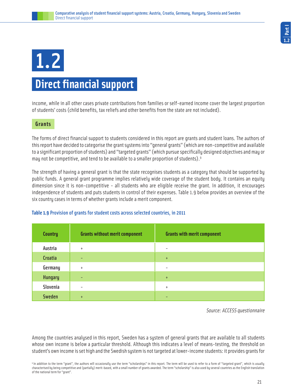## 1.2

## **Direct financial support**

income, while in all other cases private contributions from families or self-earned income cover the largest proportion of students' costs (child benefits, tax reliefs and other benefits from the state are not included).

#### **Grants**

The forms of direct financial support to students considered in this report are grants and student loans. The authors of this report have decided to categorise the grant systems into "general grants" (which are non-competitive and available to a significant proportion of students) and "targeted grants" (which pursue specifically designed objectives and may or may not be competitive, and tend to be available to a smaller proportion of students).<sup>9</sup>

The strength of having a general grant is that the state recognises students as a category that should be supported by public funds. A general grant programme implies relatively wide coverage of the student body. It contains an equity dimension since it is non-competitive - all students who are eligible receive the grant. In addition, it encourages independence of students and puts students in control of their expenses. Table 1.9 below provides an overview of the six country cases in terms of whether grants include a merit component.

#### **Table 1.9** Provision of grants for student costs across selected countries, in 2011

| <b>Country</b> | <b>Grants without merit component</b> | <b>Grants with merit component</b> |
|----------------|---------------------------------------|------------------------------------|
| Austria        | $\ddot{}$                             | $\overline{\phantom{a}}$           |
| <b>Croatia</b> | -                                     | $+$                                |
| Germany        | $\ddot{}$                             | ۰                                  |
| <b>Hungary</b> | -                                     | $+$                                |
| Slovenia       | ۰                                     | $\ddot{}$                          |
| <b>Sweden</b>  | $+$                                   | -                                  |

Source: ACCESS questionnaire

Among the countries analysed in this report, Sweden has a system of general grants that are available to all students whose own income is below a particular threshold. Although this indicates a level of means-testing, the threshold on student's own income is set high and the Swedish system is not targeted at lower-income students: it provides grants for

9 In addition to the term "grant", the authors will occasionally use the term "scholarships" in this report. The term will be used to refer to a form of "targeted grant", which is usually characterised by being competitive and (partially) merit-based, with a small number of grants awarded. The term "scholarship" is also used by several countries as the English translation of the national term for "grant".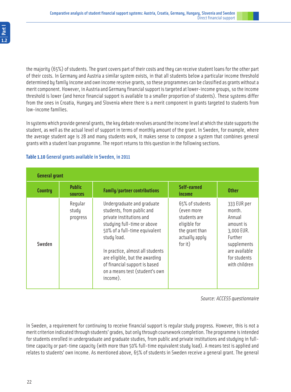the majority (65%) of students. The grant covers part of their costs and they can receive student loans for the other part of their costs. In Germany and Austria a similar system exists, in that all students below a particular income threshold determined by family income and own income receive grants, so these programmes can be classified as grants without a merit component. However, in Austria and Germany financial support is targeted at lower-income groups, so the income threshold is lower (and hence financial support is available to a smaller proportion of students). These systems differ from the ones in Croatia, Hungary and Slovenia where there is a merit component in grants targeted to students from low-income families.

In sustems which provide general grants, the key debate revolves around the income level at which the state supports the student, as well as the actual level of support in terms of monthly amount of the grant. In Sweden, for example, where the average student age is 28 and many students work, it makes sense to compose a system that combines general grants with a student loan programme. The report returns to this question in the following sections.

| <b>General grant</b> |                                 |                                                                                                                                                                                                                                                                                                                         |                                                                                                              |                                                                                                                                        |
|----------------------|---------------------------------|-------------------------------------------------------------------------------------------------------------------------------------------------------------------------------------------------------------------------------------------------------------------------------------------------------------------------|--------------------------------------------------------------------------------------------------------------|----------------------------------------------------------------------------------------------------------------------------------------|
| Country              | <b>Public</b><br><b>sources</b> | Family/partner contributions                                                                                                                                                                                                                                                                                            | Self-earned<br>income                                                                                        | <b>Other</b>                                                                                                                           |
| Sweden               | Reqular<br>study<br>progress    | Undergraduate and graduate<br>students, from public and<br>private institutions and<br>studying full-time or above<br>50% of a full-time equivalent<br>study load.<br>In practice, almost all students<br>are eligible, but the awarding<br>of financial support is based<br>on a means test (student's own<br>income). | 65% of students<br>(even more<br>students are<br>eligible for<br>the grant than<br>actually apply<br>for it) | 333 EUR per<br>month.<br>Annual<br>amount is<br>3,000 EUR.<br>Further<br>supplements<br>are available<br>for students<br>with children |

#### **Table 1.10** General grants available in Sweden, in 2011

Source: ACCESS questionnaire

In Sweden, a requirement for continuing to receive financial support is regular study progress. However, this is not a merit criterion indicated through students' grades, but only through coursework completion. The programme is intended for students enrolled in undergraduate and graduate studies, from public and private institutions and studying in fulltime capacity or part-time capacity (with more than 50% full-time equivalent study load). A means test is applied and relates to students' own income. As mentioned above, 65% of students in Sweden receive a general grant. The general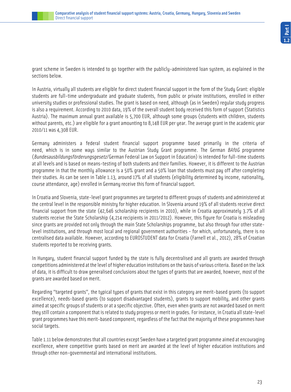grant scheme in Sweden is intended to go together with the publicly-administered loan system, as explained in the sections below.

In Austria, virtually all students are eligible for direct student financial support in the form of the Study Grant: eligible students are full-time undergraduate and graduate students, from public or private institutions, enrolled in either university studies or professional studies. The grant is based on need, although (as in Sweden) regular study progress is also a requirement. According to 2010 data, 19% of the overall student body received this form of support (Statistics Austria). The maximum annual grant available is 5,700 EUR, although some groups (students with children, students without parents, etc.) are eligible for a grant amounting to 8,148 EUR per year. The average grant in the academic year 2010/11 was 4,308 EUR.

Germany administers a federal student financial support programme based primarily in the criteria of need, which is in some ways similar to the Austrian Study Grant programme. The German BAföG programme (Bundesausbildungsförderungsgesetz/German Federal Law on Support in Education) is intended for full-time students at all levels and is based on means-testing of both students and their families. However, it is different to the Austrian programme in that the monthly allowance is a 50% grant and a 50% loan that students must pay off after completing their studies. As can be seen in Table 1.13, around 17% of all students (eligibility determined by income, nationality, course attendance, age) enrolled in Germany receive this form of financial support.

In Croatia and Slovenia, state-level grant programmes are targeted to different groups of students and administered at the central level in the responsible ministry for higher education. In Slovenia around 19% of all students receive direct financial support from the state (42,646 scholarship recipients in 2010), while in Croatia approximately 3.7% of all students receive the State Scholarship (4,214 recipients in 2011/2012). However, this figure for Croatia is misleading since grants are provided not only through the main State Scholarships programme, but also through four other statelevel institutions, and through most local and regional government authorities - for which, unfortunately, there is no centralised data available. However, according to EUROSTUDENT data for Croatia (Farnell et al., 2012), 28% of Croatian students reported to be receiving grants.

In Hungary, student financial support funded by the state is fully decentralised and all grants are awarded through competitions administered at the level of higher education institutions on the basis of various criteria. Based on the lack of data, it is difficult to draw generalised conclusions about the types of grants that are awarded, however, most of the grants are awarded based on merit.

Regarding "targeted grants", the typical types of grants that exist in this category are merit-based grants (to support excellence), needs-based grants (to support disadvantaged students), grants to support mobility, and other grants aimed at specific groups of students or at a specific objective. Often, even when grants are not awarded based on merit they still contain a component that is related to study progress or merit in grades. For instance, in Croatia all state-level grant programmes have this merit-based component, regardless of the fact that the majority of these programmes have social targets.

Table 1.11 below demonstrates that all countries except Sweden have a targeted grant programme aimed at encouraging excellence, where competitive grants based on merit are awarded at the level of higher education institutions and through other non-governmental and international institutions.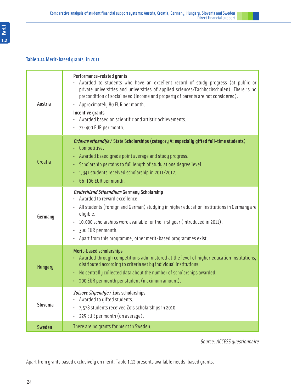| Austria         | Performance-related grants<br>Awarded to students who have an excellent record of study progress (at public or<br>private universities and universities of applied sciences/Fachhochschulen). There is no<br>precondition of social need (income and property of parents are not considered).<br>• Approximately 80 EUR per month.<br>Incentive grants<br>• Awarded based on scientific and artistic achievements.<br>· 77-400 EUR per month. |
|-----------------|-----------------------------------------------------------------------------------------------------------------------------------------------------------------------------------------------------------------------------------------------------------------------------------------------------------------------------------------------------------------------------------------------------------------------------------------------|
| Croatia         | <i>Državne stipendije / State Scholarships (category A: especially gifted full-time students)</i><br>• Competitive.<br>• Awarded based grade point average and study progress.<br>Scholarship pertains to full length of study at one degree level.<br>$\bullet$ .<br>• 1,341 students received scholarship in 2011/2012.<br>• 66-106 EUR per month.                                                                                          |
| Germany         | <b>Deutschland Stipendium/Germany Scholarship</b><br>Awarded to reward excellence.<br>• All students (foreign and German) studying in higher education institutions in Germany are<br>eligible.<br>• 10,000 scholarships were available for the first year (introduced in 2011).<br>300 EUR per month.<br>Apart from this programme, other merit-based programmes exist.                                                                      |
| <b>Hungary</b>  | <b>Merit-based scholarships</b><br>• Awarded through competitions administered at the level of higher education institutions,<br>distributed according to criteria set by individual institutions.<br>• No centrally collected data about the number of scholarships awarded.<br>• 300 EUR per month per student (maximum amount).                                                                                                            |
| <b>Slovenia</b> | Zoisove štipendije / Zois scholarships<br>Awarded to gifted students.<br>· 7,578 students received Zois scholarships in 2010.<br>225 EUR per month (on average).                                                                                                                                                                                                                                                                              |
| <b>Sweden</b>   | There are no grants for merit in Sweden.                                                                                                                                                                                                                                                                                                                                                                                                      |

Source: ACCESS questionnaire

Apart from grants based exclusively on merit, Table 1.12 presents available needs-based grants.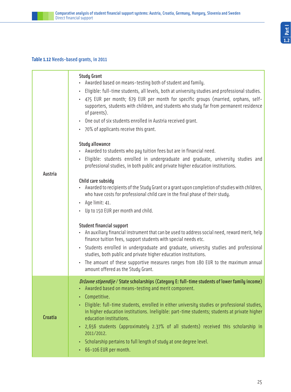#### **Table 1.12** Needs-based grants, in 2011

| Austria        | <b>Study Grant</b><br>• Awarded based on means-testing both of student and family.<br>Eligible: full-time students, all levels, both at university studies and professional studies.<br>• 475 EUR per month; 679 EUR per month for specific groups (married, orphans, self-<br>supporters, students with children, and students who study far from permanent residence<br>of parents).<br>• One out of six students enrolled in Austria received grant.<br>• 70% of applicants receive this grant.<br><b>Study allowance</b><br>• Awarded to students who pay tuition fees but are in financial need.<br>Eligible: students enrolled in undergraduate and graduate, university studies and<br>professional studies, in both public and private higher education institutions.<br>Child care subsidy<br>• Awarded to recipients of the Study Grant or a grant upon completion of studies with children,<br>who have costs for professional child care in the final phase of their study.<br>Aqe limit: 41.<br>$\bullet$<br>Up to 150 EUR per month and child.<br><b>Student financial support</b><br>An auxiliary financial instrument that can be used to address social need, reward merit, help<br>finance tuition fees, support students with special needs etc.<br>• Students enrolled in undergraduate and graduate, university studies and professional<br>studies, both public and private higher education institutions. |
|----------------|----------------------------------------------------------------------------------------------------------------------------------------------------------------------------------------------------------------------------------------------------------------------------------------------------------------------------------------------------------------------------------------------------------------------------------------------------------------------------------------------------------------------------------------------------------------------------------------------------------------------------------------------------------------------------------------------------------------------------------------------------------------------------------------------------------------------------------------------------------------------------------------------------------------------------------------------------------------------------------------------------------------------------------------------------------------------------------------------------------------------------------------------------------------------------------------------------------------------------------------------------------------------------------------------------------------------------------------------------------------------------------------------------------------------------------|
|                | The amount of these supportive measures ranges from 180 EUR to the maximum annual<br>amount offered as the Study Grant.                                                                                                                                                                                                                                                                                                                                                                                                                                                                                                                                                                                                                                                                                                                                                                                                                                                                                                                                                                                                                                                                                                                                                                                                                                                                                                          |
| <b>Croatia</b> | <i>Državne stipendije / State scholarships</i> (Category E: full-time students of lower family income)<br>Awarded based on means-testing and merit component.<br>• Competitive.<br>Eligible: full-time students, enrolled in either university studies or professional studies,<br>in higher education institutions. Ineligible: part-time students; students at private higher<br>education institutions.<br>• 2,656 students (approximately 2.37% of all students) received this scholarship in<br>2011/2012.<br>Scholarship pertains to full length of study at one degree level.<br>٠<br>66-106 EUR per month.                                                                                                                                                                                                                                                                                                                                                                                                                                                                                                                                                                                                                                                                                                                                                                                                               |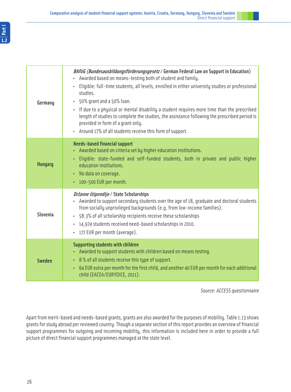| Germany        | BAföG (Bundesausbildungsförderungsgesetz / German Federal Law on Support in Education)<br>Awarded based on means-testing both of student and family.<br>Eligible: full-time students, all levels, enrolled in either university studies or professional<br>studies.<br>• 50% grant and a 50% loan.<br>If due to a physical or mental disability a student requires more time than the prescribed<br>length of studies to complete the studies, the assistance following the prescribed period is<br>provided in form of a grant only.<br>• Around 17% of all students receive this form of support. |
|----------------|-----------------------------------------------------------------------------------------------------------------------------------------------------------------------------------------------------------------------------------------------------------------------------------------------------------------------------------------------------------------------------------------------------------------------------------------------------------------------------------------------------------------------------------------------------------------------------------------------------|
| <b>Hungary</b> | <b>Needs-based financial support</b><br>• Awarded based on criteria set by higher education institutions.<br>• Eligible: state-funded and self-funded students, both in private and public higher<br>education institutions.<br>• No data on coverage.<br>• 100-500 EUR per month.                                                                                                                                                                                                                                                                                                                  |
| Slovenia       | Državne štipendije / State Scholarships<br>Awarded to support secondary students over the age of 18, graduate and doctoral students<br>from socially unprivileged backgrounds (e.g. from low-income families).<br>• 58.3% of all scholarship recipients receive these scholarships<br>· 14,974 students received need-based scholarships in 2010.<br>177 EUR per month (average).                                                                                                                                                                                                                   |
| <b>Sweden</b>  | Supporting students with children<br>• Awarded to support students with children based on means testing.<br>• 8% of all students receive this type of support.<br>64 EUR extra per month for the first child, and another 40 EUR per month for each additional<br>child (EACEA/EURYDICE, 2011).                                                                                                                                                                                                                                                                                                     |

Source: ACCESS questionnaire

Apart from merit-based and needs-based grants, grants are also awarded for the purposes of mobility. Table 1.13 shows grants for study abroad per reviewed country. Though a separate section of this report provides an overview of financial support programmes for outgoing and incoming mobility, this information is included here in order to provide a full picture of direct financial support programmes managed at the state level.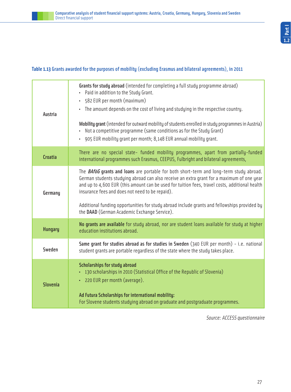#### **Table 1.13** Grants awarded for the purposes of mobility (excluding Erasmus and bilateral agreements), in 2011

| <b>Austria</b>  | Grants for study abroad (intended for completing a full study programme abroad)<br>• Paid in addition to the Study Grant.<br>• 582 EUR per month (maximum)<br>• The amount depends on the cost of living and studying in the respective country.<br>Mobility grant (intended for outward mobility of students enrolled in study programmes in Austria)<br>• Not a competitive programme (same conditions as for the Study Grant)<br>• 905 EUR mobility grant per month; 8,148 EUR annual mobility grant. |
|-----------------|----------------------------------------------------------------------------------------------------------------------------------------------------------------------------------------------------------------------------------------------------------------------------------------------------------------------------------------------------------------------------------------------------------------------------------------------------------------------------------------------------------|
| <b>Croatia</b>  | There are no special state- funded mobility programmes, apart from partially-funded<br>international programmes such Erasmus, CEEPUS, Fulbright and bilateral agreements,                                                                                                                                                                                                                                                                                                                                |
| Germany         | The <b>BAföG grants and loans</b> are portable for both short-term and long-term study abroad.<br>German students studying abroad can also receive an extra grant for a maximum of one year<br>and up to 4,600 EUR (this amount can be used for tuition fees, travel costs, additional health<br>insurance fees and does not need to be repaid).<br>Additional funding opportunities for study abroad include grants and fellowships provided by<br>the DAAD (German Academic Exchange Service).         |
| <b>Hungary</b>  | No grants are available for study abroad, nor are student loans available for study at higher<br>education institutions abroad.                                                                                                                                                                                                                                                                                                                                                                          |
| Sweden          | Same grant for studies abroad as for studies in Sweden (340 EUR per month) - i.e. national<br>student grants are portable regardless of the state where the study takes place.                                                                                                                                                                                                                                                                                                                           |
| <b>Slovenia</b> | <b>Scholarships for study abroad</b><br>• 130 scholarships in 2010 (Statistical Office of the Republic of Slovenia)<br>· 220 EUR per month (average).<br>Ad Futura Scholarships for international mobility:<br>For Slovene students studying abroad on graduate and postgraduate programmes.                                                                                                                                                                                                             |

Source: ACCESS questionnaire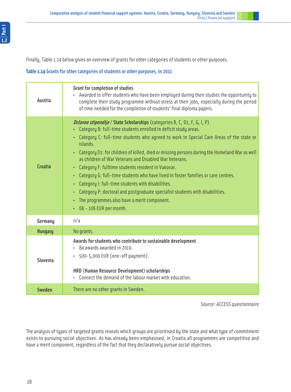Finally, Table 1.14 below gives an overview of grants for other categories of students or other purposes.

#### **Table 1.14** Grants for other categories of students or other purposes, in 2011

| Austria        | <b>Grant for completion of studies</b><br>Awarded to offer students who have been employed during their studies the opportunity to<br>complete their study programme without stress at their jobs, especially during the period<br>of time needed for the completion of students' final diploma papers.                                                                                                                                                                                                                                                                                                                                                                                                                                                                                                      |  |
|----------------|--------------------------------------------------------------------------------------------------------------------------------------------------------------------------------------------------------------------------------------------------------------------------------------------------------------------------------------------------------------------------------------------------------------------------------------------------------------------------------------------------------------------------------------------------------------------------------------------------------------------------------------------------------------------------------------------------------------------------------------------------------------------------------------------------------------|--|
| <b>Croatia</b> | Državne stipendije / State Scholarships (categories B, C, D1, F, G, I, P)<br>• Category B: full-time students enrolled in deficit study areas.<br>• Category C: full-time students who agreed to work in Special Care Areas of the state or<br>islands.<br>• Category D1: for children of killed, died or missing persons during the Homeland War as well<br>as children of War Veterans and Disabled War Veterans.<br>• Category F: fulltime students resident in Vukovar.<br>• Category G: full-time students who have lived in foster families or care centres.<br>• Category I: full-time students with disabilities.<br>Category P: doctoral and postgraduate specialist students with disabilities.<br>$\bullet$ .<br>• The programmes also have a merit component.<br>$\cdot$ 66 - 106 EUR per month. |  |
| Germany        | n/a                                                                                                                                                                                                                                                                                                                                                                                                                                                                                                                                                                                                                                                                                                                                                                                                          |  |
| <b>Hungary</b> | No grants.                                                                                                                                                                                                                                                                                                                                                                                                                                                                                                                                                                                                                                                                                                                                                                                                   |  |
| Slovenia       | Awards for students who contribute to sustainable development<br>• 84 awards awarded in 2010.<br>$\cdot$ 500-5,000 EUR (one-off payment).<br>HRD (Human Resource Development) scholarships<br>• Connect the demand of the labour market with education.                                                                                                                                                                                                                                                                                                                                                                                                                                                                                                                                                      |  |
| <b>Sweden</b>  | There are no other grants in Sweden.                                                                                                                                                                                                                                                                                                                                                                                                                                                                                                                                                                                                                                                                                                                                                                         |  |

Source: ACCESS questionnaire

The analysis of types of targeted grants reveals which groups are prioritised by the state and what type of commitment exists to pursuing social objectives. As has already been emphasised, in Croatia all programmes are competitive and have a merit component, regardless of the fact that they declaratively pursue social objectives.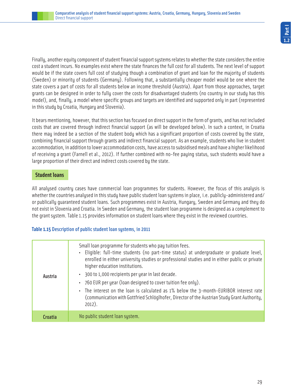Finally, another equity component of student financial support systems relates to whether the state considers the entire cost a student incurs. No examples exist where the state finances the full cost for all students. The next level of support would be if the state covers full cost of studying though a combination of grant and loan for the majority of students (Sweden) or minority of students (Germany). Following that, a substantially cheaper model would be one where the state covers a part of costs for all students below an income threshold (Austria). Apart from those approaches, target grants can be designed in order to fully cover the costs for disadvantaged students (no country in our study has this model), and, finally, a model where specific groups and targets are identified and supported only in part (represented in this study by Croatia, Hungary and Slovenia).

It bears mentioning, however, that this section has focused on direct support in the form of grants, and has not included costs that are covered through indirect financial support (as will be developed below). In such a context, in Croatia there may indeed be a section of the student body which has a significant proportion of costs covered by the state, combining financial support through grants and indirect financial support. As an example, students who live in student accommodation, in addition to lower accommodation costs, have access to subsidised meals and have a higher likelihood of receiving a grant (Farnell et al., 2012). If further combined with no-fee paying status, such students would have a large proportion of their direct and indirect costs covered by the state.

#### **Student loans**

All analysed country cases have commercial loan programmes for students. However, the focus of this analysis is whether the countries analysed in this study have public student loan systems in place, i.e. publicly-administered and/ or publically guaranteed student loans. Such programmes exist in Austria, Hungary, Sweden and Germany and they do not exist in Slovenia and Croatia. In Sweden and Germany, the student loan programme is designed as a complement to the grant system. Table 1.15 provides information on student loans where they exist in the reviewed countries.

#### **Table 1.15** Description of public student loan systems, in 2011

| Austria | Small loan programme for students who pay tuition fees.<br>· Eligible: full-time students (no part-time status) at undergraduate or graduate level,<br>enrolled in either university studies or professional studies and in either public or private<br>higher education institutions.<br>· 300 to 1,000 recipients per year in last decade.<br>• 760 EUR per year (loan designed to cover tuition fee only).<br>• The interest on the loan is calculated as 1% below the 3-month-EURIBOR interest rate<br>(communication with Gottfried Schlöglhofer, Director of the Austrian Study Grant Authority,<br>$2012$ ). |
|---------|---------------------------------------------------------------------------------------------------------------------------------------------------------------------------------------------------------------------------------------------------------------------------------------------------------------------------------------------------------------------------------------------------------------------------------------------------------------------------------------------------------------------------------------------------------------------------------------------------------------------|
| Croatia | No public student loan system.                                                                                                                                                                                                                                                                                                                                                                                                                                                                                                                                                                                      |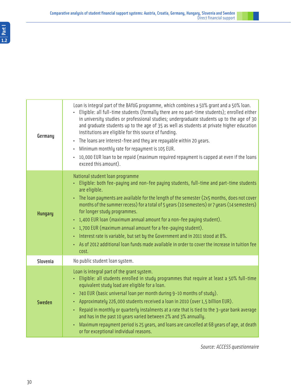

| Germany        | Loan is integral part of the BAföG programme, which combines a 50% grant and a 50% loan.<br>Eligible: all full-time students (formally there are no part-time students); enrolled either<br>in university studies or professional studies; undergraduate students up to the age of 30<br>and graduate students up to the age of 35 as well as students at private higher education<br>institutions are eligible for this source of funding.<br>• The loans are interest-free and they are repayable within 20 years.<br>• Minimum monthly rate for repayment is 105 EUR.<br>• 10,000 EUR loan to be repaid (maximum required repayment is capped at even if the loans<br>exceed this amount).                           |
|----------------|-------------------------------------------------------------------------------------------------------------------------------------------------------------------------------------------------------------------------------------------------------------------------------------------------------------------------------------------------------------------------------------------------------------------------------------------------------------------------------------------------------------------------------------------------------------------------------------------------------------------------------------------------------------------------------------------------------------------------|
| <b>Hungary</b> | National student loan programme<br>• Eligible: both fee-paying and non-fee paying students, full-time and part-time students<br>are eligible.<br>• The loan payments are available for the length of the semester (2x5 months, does not cover<br>months of the summer recess) for a total of 5 years (10 semesters) or 7 years (14 semesters)<br>for longer study programmes.<br>• 1,400 EUR loan (maximum annual amount for a non-fee paying student).<br>• 1,700 EUR (maximum annual amount for a fee-paying student).<br>• Interest rate is variable, but set by the Government and in 2011 stood at 8%.<br>• As of 2012 additional loan funds made available in order to cover the increase in tuition fee<br>cost. |
| Slovenia       | No public student loan system.                                                                                                                                                                                                                                                                                                                                                                                                                                                                                                                                                                                                                                                                                          |
| <b>Sweden</b>  | Loan is integral part of the grant system.<br>• Eligible: all students enrolled in study programmes that require at least a 50% full-time<br>equivalent study load are eligible for a loan.<br>• 740 EUR (basic universal loan per month during 9-10 months of study).<br>• Approximately 226,000 students received a loan in 2010 (over 1,5 billion EUR).<br>• Repaid in monthly or quarterly instalments at a rate that is tied to the 3-year bank average<br>and has in the past 10 years varied between 2% and 3% annually.<br>Maximum repayment period is 25 years, and loans are cancelled at 68 years of age, at death<br>or for exceptional individual reasons.                                                 |

Source: ACCESS questionnaire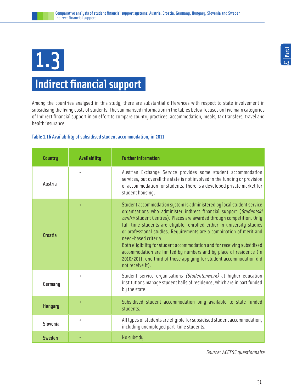# 1.3

## **Indirect financial support**

Among the countries analysed in this study, there are substantial differences with respect to state involvement in subsidising the living costs of students. The summarised information in the tables below focuses on five main categories of indirect financial support in an effort to compare country practices: accommodation, meals, tax transfers, travel and health insurance.

#### **Table 1.16** Availability of subsidised student accommodation, in 2011

| <b>Country</b> | <b>Availability</b> | <b>Further information</b>                                                                                                                                                                                                                                                                                                                                                                                                                                                                                                                                                                                                                   |
|----------------|---------------------|----------------------------------------------------------------------------------------------------------------------------------------------------------------------------------------------------------------------------------------------------------------------------------------------------------------------------------------------------------------------------------------------------------------------------------------------------------------------------------------------------------------------------------------------------------------------------------------------------------------------------------------------|
| Austria        |                     | Austrian Exchange Service provides some student accommodation<br>services, but overall the state is not involved in the funding or provision<br>of accommodation for students. There is a developed private market for<br>student housing.                                                                                                                                                                                                                                                                                                                                                                                                   |
| <b>Croatia</b> | $\ddot{}$           | Student accommodation system is administered by local student service<br>organisations who administer indirect financial support (Studentski<br>centri/Student Centres). Places are awarded through competition. Only<br>full-time students are eligible, enrolled either in university studies<br>or professional studies. Requirements are a combination of merit and<br>need-based criteria.<br>Both eligibility for student accommodation and for receiving subsidised<br>accommodation are limited by numbers and by place of residence (in<br>2010/2011, one third of those applying for student accommodation did<br>not receive it). |
| Germany        | $\ddot{}$           | Student service organisations (Studentenwerk) at higher education<br>institutions manage student halls of residence, which are in part funded<br>by the state.                                                                                                                                                                                                                                                                                                                                                                                                                                                                               |
| <b>Hungary</b> | $\ddot{}$           | Subsidised student accommodation only available to state-funded<br>students.                                                                                                                                                                                                                                                                                                                                                                                                                                                                                                                                                                 |
| Slovenia       | $\ddot{}$           | All types of students are eligible for subsidised student accommodation,<br>including unemployed part-time students.                                                                                                                                                                                                                                                                                                                                                                                                                                                                                                                         |
| Sweden         |                     | No subsidy.                                                                                                                                                                                                                                                                                                                                                                                                                                                                                                                                                                                                                                  |

Source: ACCESS questionnaire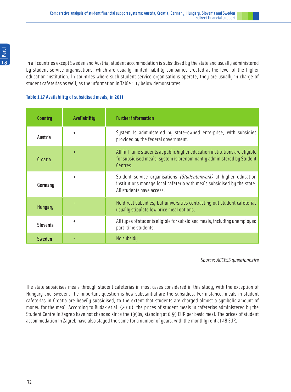In all countries except Sweden and Austria, student accommodation is subsidised by the state and usually administered by student service organisations, which are usually limited liability companies created at the level of the higher education institution. In countries where such student service organisations operate, they are usually in charge of student cafeterias as well, as the information in Table 1.17 below demonstrates.

#### **Table 1.17** Availability of subsidised meals, in 2011

| <b>Country</b> | Availability | <b>Further information</b>                                                                                                                                                |
|----------------|--------------|---------------------------------------------------------------------------------------------------------------------------------------------------------------------------|
| Austria        | $\ddot{}$    | System is administered by state-owned enterprise, with subsidies<br>provided by the federal government.                                                                   |
| Croatia        | $+$          | All full-time students at public higher education institutions are eligible<br>for subsidised meals, system is predominantly administered by Student<br>Centres.          |
| Germany        | $\ddot{}$    | Student service organisations (Studentenwerk) at higher education<br>institutions manage local cafeteria with meals subsidised by the state.<br>All students have access. |
| <b>Hungary</b> |              | No direct subsidies, but universities contracting out student cafeterias<br>usually stipulate low price meal options.                                                     |
| Slovenia       | $\ddot{}$    | All types of students eligible for subsidised meals, including unemployed<br>part-time students.                                                                          |
| <b>Sweden</b>  |              | No subsidy.                                                                                                                                                               |

Source: ACCESS questionnaire

The state subsidises meals through student cafeterias in most cases considered in this study, with the exception of Hungary and Sweden. The important question is how substantial are the subsidies. For instance, meals in student cafeterias in Croatia are heavily subsidised, to the extent that students are charged almost a symbolic amount of money for the meal. According to Budak et al. (2010), the prices of student meals in cafeterias administered by the Student Centre in Zagreb have not changed since the 1990s, standing at 0.59 EUR per basic meal. The prices of student accommodation in Zagreb have also stayed the same for a number of years, with the monthly rent at 48 EUR.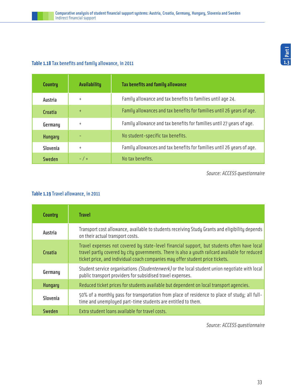#### **Table 1.18** Tax benefits and family allowance, in 2011

| Country        | <b>Availability</b> | Tax benefits and family allowance                                      |
|----------------|---------------------|------------------------------------------------------------------------|
| Austria        | $+$                 | Family allowance and tax benefits to families until age 24.            |
| Croatia        | $+$                 | Family allowances and tax benefits for families until 26 years of age. |
| Germany        | $+$                 | Family allowance and tax benefits for families until 27 years of age.  |
| <b>Hungary</b> |                     | No student-specific tax benefits.                                      |
| Slovenia       | $\ddot{}$           | Family allowances and tax benefits for families until 26 years of age. |
| Sweden         | $- / +$             | No tax benefits.                                                       |

Source: ACCESS questionnaire

#### **Table 1.19** Travel allowance, in 2011

| <b>Country</b>  | <b>Travel</b>                                                                                                                                                                                                                                                                   |
|-----------------|---------------------------------------------------------------------------------------------------------------------------------------------------------------------------------------------------------------------------------------------------------------------------------|
| Austria         | Transport cost allowance, available to students receiving Study Grants and eligibility depends<br>on their actual transport costs.                                                                                                                                              |
| <b>Croatia</b>  | Travel expenses not covered by state-level financial support, but students often have local<br>travel partly covered by city governments. There is also a youth railcard available for reduced<br>ticket price, and individual coach companies may offer student price tickets. |
| Germany         | Student service organisations <i>(Studentenwerk)</i> or the local student union negotiate with local<br>public transport providers for subsidised travel expenses.                                                                                                              |
| <b>Hungary</b>  | Reduced ticket prices for students available but dependent on local transport agencies.                                                                                                                                                                                         |
| <b>Slovenia</b> | 50% of a monthly pass for transportation from place of residence to place of study; all full-<br>time and unemployed part-time students are entitled to them.                                                                                                                   |
| Sweden          | Extra student loans available for travel costs.                                                                                                                                                                                                                                 |

Source: ACCESS questionnaire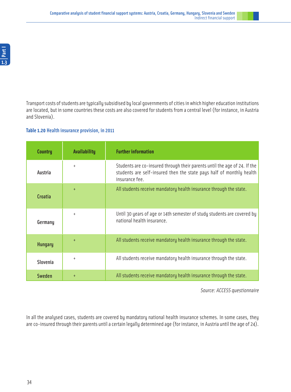Transport costs of students are typically subsidised by local governments of cities in which higher education institutions are located, but in some countries these costs are also covered for students from a central level (for instance, in Austria and Slovenia).

#### **Table 1.20** Health insurance provision, in 2011

| <b>Country</b> | <b>Availability</b> | <b>Further information</b>                                                                                                                                          |
|----------------|---------------------|---------------------------------------------------------------------------------------------------------------------------------------------------------------------|
| Austria        | $+$                 | Students are co-insured through their parents until the age of 24. If the<br>students are self-insured then the state pays half of monthly health<br>insurance fee. |
| Croatia        | $+$                 | All students receive mandatory health insurance through the state.                                                                                                  |
| Germany        | $+$                 | Until 30 years of age or 14th semester of study students are covered by<br>national health insurance.                                                               |
| <b>Hungary</b> | $+$                 | All students receive mandatory health insurance through the state.                                                                                                  |
| Slovenia       | $\ddot{}$           | All students receive mandatory health insurance through the state.                                                                                                  |
| Sweden         | $+$                 | All students receive mandatory health insurance through the state.                                                                                                  |

Source: ACCESS questionnaire

In all the analysed cases, students are covered by mandatory national health insurance schemes. In some cases, they are co-insured through their parents until a certain legally determined age (for instance, in Austria until the age of 24).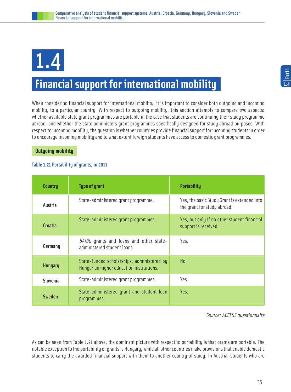## 1.4

## **Financial support for international mobility**

When considering financial support for international mobility, it is important to consider both outgoing and incoming mobility to a particular country. With respect to outgoing mobility, this section attempts to compare two aspects: whether available state grant programmes are portable in the case that students are continuing their study programme abroad, and whether the state administers grant programmes specifically designed for study abroad purposes. With respect to incoming mobility, the question is whether countries provide financial support for incoming students in order to encourage incoming mobility and to what extent foreign students have access to domestic grant programmes.

#### **Outgoing mobility**

#### **Table 1.21** Portability of grants, in 2011

| <b>Country</b> | <b>Type of grant</b>                                                                   | <b>Portability</b>                                                         |
|----------------|----------------------------------------------------------------------------------------|----------------------------------------------------------------------------|
| Austria        | State-administered grant programme.                                                    | Yes, the basic Study Grant is extended into<br>the grant for study abroad. |
| Croatia        | State-administered grant programmes.                                                   | Yes, but only if no other student financial<br>support is received.        |
| Germany        | BAföG grants and loans and other state-<br>administered student loans.                 | Yes.                                                                       |
| <b>Hungary</b> | State-funded scholarships, administered by<br>Hungarian higher education institutions. | No.                                                                        |
| Slovenia       | State-administered grant programmes.                                                   | Yes.                                                                       |
| Sweden         | State-administered grant and student loan<br>programmes.                               | Yes.                                                                       |

Source: ACCESS questionnaire

As can be seen from Table 1.21 above, the dominant picture with respect to portability is that grants are portable. The notable exception to the portability of grants is Hungary, while all other countries make provisions that enable domestic students to carry the awarded financial support with them to another country of study. In Austria, students who are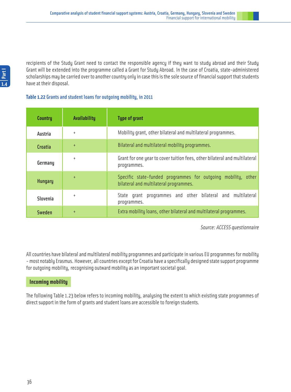**1.4Part I**

recipients of the Study Grant need to contact the responsible agency if they want to study abroad and their Study Grant will be extended into the programme called a Grant for Study Abroad. In the case of Croatia, state-administered scholarships may be carried over to another country only in case this is the sole source of financial support that students have at their disposal.

#### **Table 1.22** Grants and student loans for outgoing mobility, in 2011

| Country        | Availability | <b>Type of grant</b>                                                                                    |
|----------------|--------------|---------------------------------------------------------------------------------------------------------|
| Austria        | $+$          | Mobility grant, other bilateral and multilateral programmes.                                            |
| Croatia        | $+$          | Bilateral and multilateral mobility programmes.                                                         |
| Germany        | $\ddot{}$    | Grant for one year to cover tuition fees, other bilateral and multilateral<br>programmes.               |
| <b>Hungary</b> | $\ddot{}$    | Specific state-funded programmes for outgoing mobility, other<br>bilateral and multilateral programmes. |
| Slovenia       | $\ddot{}$    | programmes and other bilateral and multilateral<br>State grant<br>programmes.                           |
| <b>Sweden</b>  | $\ddot{}$    | Extra mobility loans, other bilateral and multilateral programmes.                                      |

Source: ACCESS questionnaire

All countries have bilateral and multilateral mobility programmes and participate in various EU programmes for mobility - most notably Erasmus. However, all countries except for Croatia have a specifically designed state support programme for outgoing mobility, recognising outward mobility as an important societal goal.

#### **Incoming mobility**

The following Table 1.23 below refers to incoming mobility, analysing the extent to which existing state programmes of direct support in the form of grants and student loans are accessible to foreign students.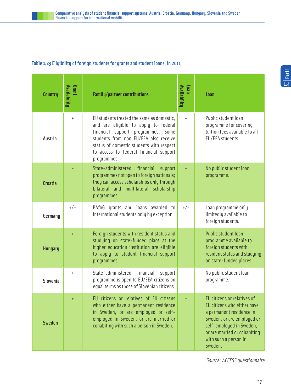#### **Table 1.23** Eligibility of foreign students for grants and student loans, in 2011

| <b>Country</b> | Grant<br>Availability | Availability<br><b>Family/partner contributions</b>                                                                                                                                                                                                                   |           | Loan                                                                                                                                                                                                                 |
|----------------|-----------------------|-----------------------------------------------------------------------------------------------------------------------------------------------------------------------------------------------------------------------------------------------------------------------|-----------|----------------------------------------------------------------------------------------------------------------------------------------------------------------------------------------------------------------------|
| Austria        | $\ddot{}$             | EU students treated the same as domestic,<br>and are eligible to apply to federal<br>financial support programmes. Some<br>students from non EU/EEA also receive<br>status of domestic students with respect<br>to access to federal financial support<br>programmes. | $+$       | Public student loan<br>programme for covering<br>tuition fees available to all<br>EU/EEA students.                                                                                                                   |
| <b>Croatia</b> |                       | State-administered<br>financial<br>support<br>programmes not open to foreign nationals;<br>they can access scholarships only through<br>bilateral and multilateral scholarship<br>programmes.                                                                         |           | No public student loan<br>programme.                                                                                                                                                                                 |
| Germany        | $+/-$                 | BAföG grants and loans awarded to<br>international students only by exception.                                                                                                                                                                                        | $+/-$     | Loan programme only<br>limitedly available to<br>foreign students.                                                                                                                                                   |
| <b>Hungary</b> | $\ddot{}$             | Foreign students with resident status and<br>studying on state-funded place at the<br>higher education institution are eligible<br>to apply to student financial support<br>programmes.                                                                               | $\ddot{}$ | <b>Public student loan</b><br>programme available to<br>foreign students with<br>resident status and studying<br>on state-funded places.                                                                             |
| Slovenia       | $\ddot{}$             | State-administered<br>financial<br>support<br>programme is open to EU/EEA citizens on<br>equal terms as those of Slovenian citizens.                                                                                                                                  |           | No public student loan<br>programme.                                                                                                                                                                                 |
| <b>Sweden</b>  | $\ddot{}$             | EU citizens or relatives of EU citizens<br>who either have a permanent residence<br>in Sweden, or are employed or self-<br>employed in Sweden, or are married or<br>cohabiting with such a person in Sweden.                                                          | $\ddot{}$ | EU citizens or relatives of<br>EU citizens who either have<br>a permanent residence in<br>Sweden, or are employed or<br>self-employed in Sweden,<br>or are married or cohabiting<br>with such a person in<br>Sweden. |

Source: ACCESS questionnaire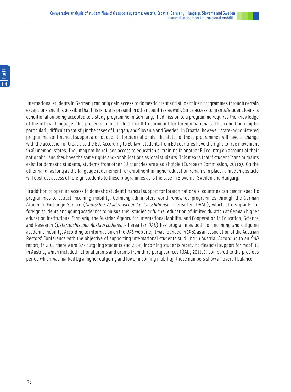International students in Germany can only gain access to domestic grant and student loan programmes through certain exceptions and it is possible that this is rule is present in other countries as well. Since access to grants/student loans is conditional on being accepted to a study programme in Germany, if admission to a programme requires the knowledge of the official language, this presents an obstacle difficult to surmount for foreign nationals. This condition may be particularly difficult to satisfy in the cases of Hungary and Slovenia and Sweden. In Croatia, however, state-administered programmes of financial support are not open to foreign nationals. The status of these programmes will have to change with the accession of Croatia to the EU. According to EU law, students from EU countries have the right to free movement in all member states. They may not be refused access to education or training in another EU country on account of their nationality and they have the same rights and/or obligations as local students. This means that if student loans or grants exist for domestic students, students from other EU countries are also eligible (European Commission, 2011b). On the other hand, as long as the language requirement for enrolment in higher education remains in place, a hidden obstacle will obstruct access of foreign students to these programmes as is the case in Slovenia, Sweden and Hungary.

In addition to opening access to domestic student financial support for foreign nationals, countries can design specific programmes to attract incoming mobility. Germany administers world-renowned programmes through the German Academic Exchange Service (Deutscher Akademischer Austauschdienst - hereafter: DAAD), which offers grants for foreign students and young academics to pursue their studies or further education of limited duration at German higher education institutions. Similarly, the Austrian Agency for International Mobility and Cooperation in Education, Science and Research (Österreichischer Austauschdienst - hereafter ÖAD) has programmes both for incoming and outgoing academic mobility. According to information on the  $\ddot{\theta}AD$  web site, it was founded in 1961 as an association of the Austrian Rectors' Conference with the objective of supporting international students studuing in Austria. According to an  $\ddot{\theta}AD$ report, in 2011 there were 877 outgoing students and 2,149 incoming students receiving financial support for mobility in Austria, which included national grants and grants from third party sources (ÖAD, 2011a). Compared to the previous period which was marked by a higher outgoing and lower incoming mobility, these numbers show an overall balance.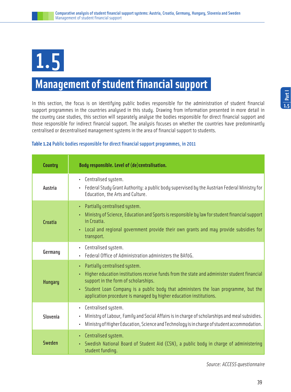

### **Management of student financial support**

In this section, the focus is on identifying public bodies responsible for the administration of student financial support programmes in the countries analysed in this study. Drawing from information presented in more detail in the country case studies, this section will separately analyse the bodies responsible for direct financial support and those responsible for indirect financial support. The analysis focuses on whether the countries have predominantly centralised or decentralised management systems in the area of financial support to students.

#### **Table 1.24** Public bodies responsible for direct financial support programmes, in 2011

| <b>Country</b> | Body responsible. Level of (de)centralisation.                                                                                                                                                                                                                                                                                       |
|----------------|--------------------------------------------------------------------------------------------------------------------------------------------------------------------------------------------------------------------------------------------------------------------------------------------------------------------------------------|
| Austria        | • Centralised system.<br>• Federal Study Grant Authority: a public body supervised by the Austrian Federal Ministry for<br>Education, the Arts and Culture.                                                                                                                                                                          |
| Croatia        | • Partially centralised system.<br>• Ministry of Science, Education and Sports is responsible by law for student financial support<br>in Croatia.<br>• Local and regional government provide their own grants and may provide subsidies for<br>transport.                                                                            |
| Germany        | • Centralised system.<br>• Federal Office of Administration administers the BAföG.                                                                                                                                                                                                                                                   |
| <b>Hungary</b> | • Partially centralised system.<br>Higher education institutions receive funds from the state and administer student financial<br>support in the form of scholarships.<br>• Student Loan Company is a public body that administers the loan programme, but the<br>application procedure is managed by higher education institutions. |
| Slovenia       | • Centralised system.<br>Ministry of Labour, Family and Social Affairs is in charge of scholarships and meal subsidies.<br>٠<br>Ministry of Higher Education, Science and Technology is in charge of student accommodation.<br>۰                                                                                                     |
| Sweden         | • Centralised system.<br>• Swedish National Board of Student Aid (CSN), a public body in charge of administering<br>student funding.                                                                                                                                                                                                 |

**1.5Part I**

Source: ACCESS questionnaire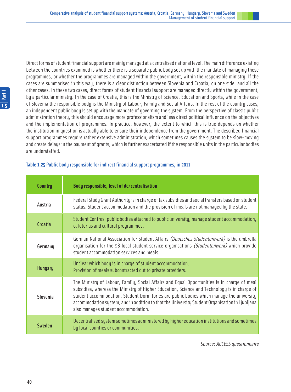Direct forms of student financial support are mainly managed at a centralised national level. The main difference existing between the countries examined is whether there is a separate public body set up with the mandate of managing these programmes, or whether the programmes are managed within the government, within the responsible ministry. If the cases are summarised in this way, there is a clear distinction between Slovenia and Croatia, on one side, and all the other cases. In these two cases, direct forms of student financial support are managed directly within the government, by a particular ministry. In the case of Croatia, this is the Ministry of Science, Education and Sports, while in the case of Slovenia the responsible body is the Ministry of Labour, Family and Social Affairs. In the rest of the country cases, an independent public body is set up with the mandate of governing the system. From the perspective of classic public administration theory, this should encourage more professionalism and less direct political influence on the objectives and the implementation of programmes. In practice, however, the extent to which this is true depends on whether the institution in question is actually able to ensure their independence from the government. The described financial support programmes require rather extensive administration, which sometimes causes the system to be slow-moving and create delays in the payment of grants, which is further exacerbated if the responsible units in the particular bodies are understaffed.

| <b>Country</b> | Body responsible, level of de/centralisation                                                                                                                                                                                                                                                                                                                                                                                    |
|----------------|---------------------------------------------------------------------------------------------------------------------------------------------------------------------------------------------------------------------------------------------------------------------------------------------------------------------------------------------------------------------------------------------------------------------------------|
| Austria        | Federal Study Grant Authority is in charge of tax subsidies and social transfers based on student<br>status. Student accommodation and the provision of meals are not managed by the state.                                                                                                                                                                                                                                     |
| <b>Croatia</b> | Student Centres, public bodies attached to public university, manage student accommodation,<br>cafeterias and cultural programmes.                                                                                                                                                                                                                                                                                              |
| Germany        | German National Association for Student Affairs (Deutsches Studentenwerk) is the umbrella<br>organisation for the 58 local student service organisations (Studentenwerk) which provide<br>student accommodation services and meals.                                                                                                                                                                                             |
| <b>Hungary</b> | Unclear which body is in charge of student accommodation.<br>Provision of meals subcontracted out to private providers.                                                                                                                                                                                                                                                                                                         |
| Slovenia       | The Ministry of Labour, Family, Social Affairs and Equal Opportunities is in charge of meal<br>subsidies, whereas the Ministry of Higher Education, Science and Technology is in charge of<br>student accommodation. Student Dormitories are public bodies which manage the university<br>accommodation system, and in addition to that the University Student Organisation in Ljubljana<br>also manages student accommodation. |
| Sweden         | Decentralised system sometimes administered by higher education institutions and sometimes<br>by local counties or communities.                                                                                                                                                                                                                                                                                                 |

#### **Table 1.25** Public body responsible for indirect financial support programmes, in 2011

Source: ACCESS questionnaire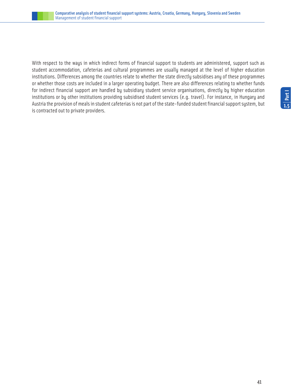

With respect to the ways in which indirect forms of financial support to students are administered, support such as student accommodation, cafeterias and cultural programmes are usually managed at the level of higher education institutions. Differences among the countries relate to whether the state directly subsidises any of these programmes or whether those costs are included in a larger operating budget. There are also differences relating to whether funds for indirect financial support are handled by subsidiary student service organisations, directly by higher education institutions or by other institutions providing subsidised student services (e.g. travel). For instance, in Hungary and Austria the provision of meals in student cafeterias is not part of the state-funded student financial support system, but is contracted out to private providers.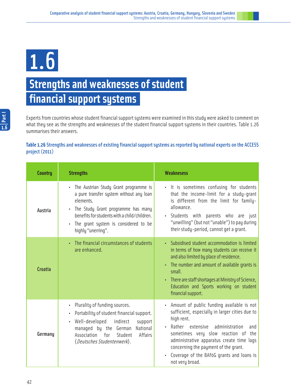1.6

## **Strengths and weaknesses of student financial support systems**

Experts from countries whose student financial support systems were examined in this study were asked to comment on what they see as the strengths and weaknesses of the student financial support systems in their countries. Table 1.26 summarises their answers.

#### **Table 1.26** Strengths and weaknesses of existing financial support systems as reported by national experts on the ACCESS project (2011)

| <b>Country</b> | <b>Strengths</b>                                                                                                                                                                                                                                                                         | <b>Weaknesess</b>                                                                                                                                                                                                                                                                                                                                     |
|----------------|------------------------------------------------------------------------------------------------------------------------------------------------------------------------------------------------------------------------------------------------------------------------------------------|-------------------------------------------------------------------------------------------------------------------------------------------------------------------------------------------------------------------------------------------------------------------------------------------------------------------------------------------------------|
| Austria        | The Austrian Study Grant programme is<br>$\bullet$<br>a pure transfer system without any loan<br>elements.<br>The Study Grant programme has many<br>$\bullet$<br>benefits for students with a child/children.<br>The grant system is considered to be<br>$\bullet$<br>highly "unerring". | • It is sometimes confusing for students<br>that the income-limit for a study-grant<br>is different from the limit for family-<br>allowance.<br>Students with parents who are just<br>"unwilling" (but not "unable") to pay during<br>their study-period, cannot get a grant.                                                                         |
| <b>Croatia</b> | The financial circumstances of students<br>are enhanced.                                                                                                                                                                                                                                 | Subsidised student accommodation is limited<br>in terms of how many students can receive it<br>and also limited by place of residence.<br>• The number and amount of available grants is<br>small.<br>There are staff shortages at Ministry of Science,<br>Education and Sports working on student<br>financial support.                              |
| Germany        | Plurality of funding sources.<br>$\bullet$<br>Portability of student financial support.<br>$\bullet$<br>Well-developed<br>indirect<br>support<br>$\bullet$<br>National<br>managed by the<br>German<br>for<br>Student<br>Affairs<br>Association<br>(Deutsches Studentenwerk).             | Amount of public funding available is not<br>sufficient, especially in larger cities due to<br>high rent.<br>Rather extensive<br>administration<br>and<br>sometimes very slow reaction of<br>the<br>administrative apparatus create time lags<br>concerning the payment of the grant.<br>Coverage of the BAföG grants and loans is<br>not very broad. |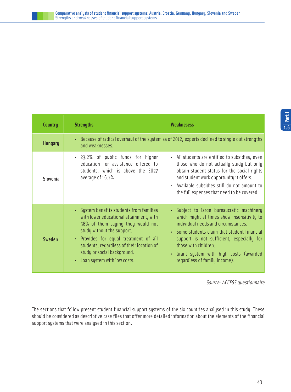| <b>Country</b> | <b>Strengths</b>                                                                                                                                                                                                                                                                                           | <b>Weaknesess</b>                                                                                                                                                                                                                                                                                                             |  |
|----------------|------------------------------------------------------------------------------------------------------------------------------------------------------------------------------------------------------------------------------------------------------------------------------------------------------------|-------------------------------------------------------------------------------------------------------------------------------------------------------------------------------------------------------------------------------------------------------------------------------------------------------------------------------|--|
| <b>Hungary</b> | and weaknesses.                                                                                                                                                                                                                                                                                            | Because of radical overhaul of the system as of 2012, experts declined to single out strengths                                                                                                                                                                                                                                |  |
| Slovenia       | • 23.2% of public funds for higher<br>education for assistance offered to<br>students, which is above the EU27<br>average of 16.7%                                                                                                                                                                         | • All students are entitled to subsidies, even<br>those who do not actually study but only<br>obtain student status for the social rights<br>and student work opportunity it offers.<br>Available subsidies still do not amount to<br>the full expenses that need to be covered.                                              |  |
| Sweden         | • System benefits students from families<br>with lower educational attainment, with<br>58% of them saying they would not<br>study without the support.<br>• Provides for equal treatment of all<br>students, regardless of their location of<br>study or social background.<br>Loan system with low costs. | • Subject to large bureaucratic machinery<br>which might at times show insensitivity to<br>individual needs and circumstances.<br>• Some students claim that student financial<br>support is not sufficient, especially for<br>those with children.<br>Grant system with high costs (awarded<br>regardless of family income). |  |

Source: ACCESS questionnaire

The sections that follow present student financial support systems of the six countries analysed in this study. These should be considered as descriptive case files that offer more detailed information about the elements of the financial support systems that were analysed in this section.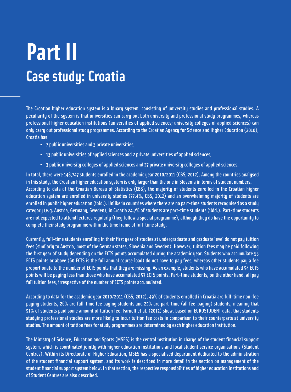## **Part II Case study: Croatia**

The Croatian higher education system is a binary system, consisting of university studies and professional studies. A peculiarity of the system is that universities can carry out both university and professional study programmes, whereas professional higher education institutions (universities of applied sciences; university colleges of applied sciences) can only carry out professional study programmes. According to the Croatian Agency for Science and Higher Education (2010), Croatia has

- • 7 public universities and 3 private universities,
- • 13 public universities of applied sciences and 2 private universities of applied sciences,
- • 3 public university colleges of applied sciences and 27 private university colleges of applied sciences.

In total, there were 148,747 students enrolled in the academic year 2010/2011 (CBS, 2012). Among the countries analysed in this study, the Croatian higher education system is only larger than the one in Slovenia in terms of student numbers. According to data of the Croatian Bureau of Statistics (CBS), the majority of students enrolled in the Croatian higher education system are enrolled in university studies (77.4%, CBS, 2012) and an overwhelming majority of students are enrolled in public higher education (ibid.). Unlike in countries where there are no part-time students recognised as a study category (e.g. Austria, Germany, Sweden), in Croatia 24.7% of students are part-time students (ibid.). Part-time students are not expected to attend lectures regularly (they follow a special programme), although they do have the opportunity to complete their study programme within the time frame of full-time study.

Currently, full-time students enrolling in their first year of studies at undergraduate and graduate level do not pay tuition fees (similarly to Austria, most of the German states, Slovenia and Sweden). However, tuition fees may be paid following the first year of study depending on the ECTS points accumulated during the academic year. Students who accumulate 55 ECTS points or above (60 ECTS is the full annual course load) do not have to pay fees, whereas other students pay a fee proportionate to the number of ECTS points that they are missing. As an example, students who have accumulated 54 ECTS points will be paying less than those who have accumulated 53 ECTS points. Part-time students, on the other hand, all pay full tuition fees, irrespective of the number of ECTS points accumulated.

According to data for the academic year 2010/2011 (CBS, 2012), 49% of students enrolled in Croatia are full-time non-fee paying students, 26% are full-time fee paying students and 25% are part-time (all fee-paying) students, meaning that 51% of students paid some amount of tuition fee. Farnell et al. (2012) show, based on EUROSTUDENT data, that students studying professional studies are more likely to incur tuition fee costs in comparison to their counterparts at university studies. The amount of tuition fees for study programmes are determined by each higher education institution.

The Ministry of Science, Education and Sports (MSES) is the central institution in charge of the student financial support system, which is coordinated jointly with higher education institutions and local student service organisations (Student Centres). Within its Directorate of Higher Education, MSES has a specialised department dedicated to the administration of the student financial support system, and its work is described in more detail in the section on management of the student financial support system below. In that section, the respective responsibilities of higher education institutions and of Student Centres are also described.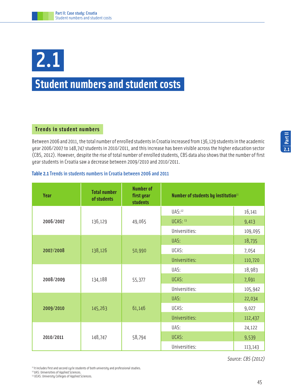# 2.1

### **Student numbers and student costs**

#### **Trends in student numbers**

Between 2006 and 2011, the total number of enrolled students in Croatia increased from 136,129 students in the academic year 2006/2007 to 148,747 students in 2010/2011, and this increase has been visible across the higher education sector (CBS, 2012). However, despite the rise of total number of enrolled students, CBS data also shows that the number of first year students in Croatia saw a decrease between 2009/2010 and 2010/2011.

#### **Table 2.1**Trends in students numbers in Croatia between 2006 and 2011

| Year      | <b>Total number</b><br>of students | <b>Number of</b><br>first year<br><b>students</b> | Number of students by institution <sup>11</sup> |         |
|-----------|------------------------------------|---------------------------------------------------|-------------------------------------------------|---------|
|           |                                    | 49,065                                            | UAS:12                                          | 16,141  |
| 2006/2007 | 136,129                            |                                                   | <b>UCAS: 13</b>                                 | 9,413   |
|           |                                    |                                                   | Universities:                                   | 109,095 |
|           |                                    | 50,990                                            | UAS:                                            | 18,735  |
| 2007/2008 | 138,126                            |                                                   | UCAS:                                           | 7,054   |
|           |                                    |                                                   | Universities:                                   | 110,720 |
|           | 134,188                            | 55,377                                            | UAS:                                            | 18,983  |
| 2008/2009 |                                    |                                                   | UCAS:                                           | 7,691   |
|           |                                    |                                                   | Universities:                                   | 105,942 |
|           | 145,263                            | 61,146                                            | UAS:                                            | 22,034  |
| 2009/2010 |                                    |                                                   | UCAS:                                           | 9,027   |
|           |                                    |                                                   | Universities:                                   | 112,437 |
|           | 148,747                            | 58,794                                            | UAS:                                            | 24,122  |
| 2010/2011 |                                    |                                                   | UCAS:                                           | 9,539   |
|           |                                    |                                                   | Universities:                                   | 113,143 |

Source: CBS (2012)

<sup>11</sup> It includes first and second cycle students of both university and professional studies. <sup>12</sup> UAS: Universities of Applied Sciences.

13 UCAS: University Colleges of Applied Sciences.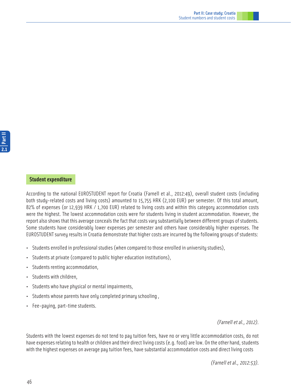#### **Student expenditure**

According to the national EUROSTUDENT report for Croatia (Farnell et al., 2012:49), overall student costs (including both study-related costs and living costs) amounted to 15,755 HRK (2,100 EUR) per semester. Of this total amount, 82% of expenses (or 12,939 HRK / 1,700 EUR) related to living costs and within this category accommodation costs were the highest. The lowest accommodation costs were for students living in student accommodation. However, the report also shows that this average conceals the fact that costs vary substantially between different groups of students. Some students have considerably lower expenses per semester and others have considerably higher expenses. The EUROSTUDENT survey results in Croatia demonstrate that higher costs are incurred by the following groups of students:

- Students enrolled in professional studies (when compared to those enrolled in university studies),
- Students at private (compared to public higher education institutions),
- Students renting accommodation,
- Students with children,
- Students who have physical or mental impairments,
- Students whose parents have only completed primary schooling ,
- Fee-paying, part-time students.

(Farnell et al., 2012).

Students with the lowest expenses do not tend to pay tuition fees, have no or very little accommodation costs, do not have expenses relating to health or children and their direct living costs (e.g. food) are low. On the other hand, students with the highest expenses on average pay tuition fees, have substantial accommodation costs and direct living costs

(Farnell et al., 2012:53).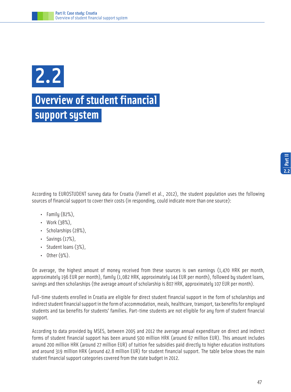

### **Overview of student financial support system**

According to EUROSTUDENT survey data for Croatia (Farnell et al., 2012), the student population uses the following sources of financial support to cover their costs (in responding, could indicate more than one source):

- Family  $(82%)$ ,
- Work (38%),
- Scholarships (28%),
- $\cdot$  Savings  $(17%)$ ,
- Student loans (3%),
- Other (9%).

On average, the highest amount of money received from these sources is own earnings (1,470 HRK per month, approximately 196 EUR per month), family (1,082 HRK, approximately 144 EUR per month), followed by student loans, savings and then scholarships (the average amount of scholarship is 807 HRK, approximately 107 EUR per month).

Full-time students enrolled in Croatia are eligible for direct student financial support in the form of scholarships and indirect student financial support in the form of accommodation, meals, healthcare, transport, tax benefits for employed students and tax benefits for students' families. Part-time students are not eligible for any form of student financial support.

According to data provided by MSES, between 2005 and 2012 the average annual expenditure on direct and indirect forms of student financial support has been around 500 million HRK (around 67 million EUR). This amount includes around 200 million HRK (around 27 million EUR) of tuition fee subsidies paid directly to higher education institutions and around 319 million HRK (around 42.8 million EUR) for student financial support. The table below shows the main student financial support categories covered from the state budget in 2012.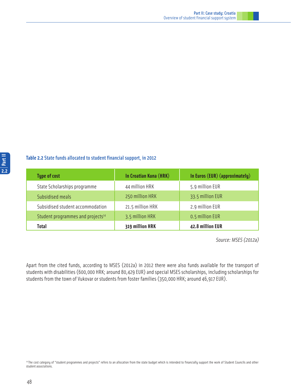#### **Table 2.2** State funds allocated to student financial support, in 2012

| <b>Type of cost</b>                           | In Croatian Kuna (HRK) | In Euros (EUR) (approximately) |
|-----------------------------------------------|------------------------|--------------------------------|
| State Scholarships programme                  | 44 million HRK         | 5.9 million EUR                |
| Subsidised meals                              | 250 million HRK        | 33.5 million EUR               |
| Subsidised student accommodation              | 21.5 million HRK       | 2.9 million EUR                |
| Student programmes and projects <sup>14</sup> | 3.5 million HRK        | 0.5 million EUR                |
| Total                                         | 319 million HRK        | 42.8 million EUR               |

Source: MSES (2012a)

Apart from the cited funds, according to MSES (2012a) in 2012 there were also funds available for the transport of students with disabilities (600,000 HRK; around 80,429 EUR) and special MSES scholarships, including scholarships for students from the town of Vukovar or students from foster families (350,000 HRK; around 46,917 EUR).

<sup>&</sup>lt;sup>14</sup> The cost category of "student programmes and projects" refers to an allocation from the state budget which is intended to financially support the work of Student Councils and other student associations.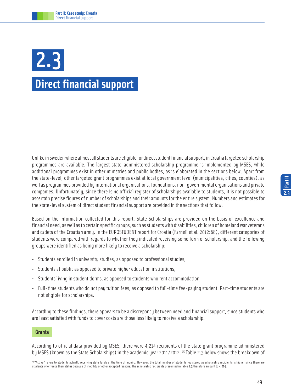## **Direct financial support**  2.3

Unlike in Sweden where almost all students are eligible for direct student financial support, in Croatia targeted scholarship programmes are available. The largest state-administered scholarship programme is implemented by MSES, while additional programmes exist in other ministries and public bodies, as is elaborated in the sections below. Apart from the state-level, other targeted grant programmes exist at local government level (municipalities, cities, counties), as well as programmes provided by international organisations, foundations, non-governmental organisations and private companies. Unfortunately, since there is no official register of scholarships available to students, it is not possible to ascertain precise figures of number of scholarships and their amounts for the entire system. Numbers and estimates for the state-level system of direct student financial support are provided in the sections that follow.

Based on the information collected for this report, State Scholarships are provided on the basis of excellence and financial need, as well as to certain specific groups, such as students with disabilities, children of homeland war veterans and cadets of the Croatian army. In the EUROSTUDENT report for Croatia (Farnell et al. 2012:68), different categories of students were compared with regards to whether they indicated receiving some form of scholarship, and the following groups were identified as being more likely to receive a scholarship:

- Students enrolled in university studies, as opposed to professional studies,
- Students at public as opposed to private higher education institutions,
- Students living in student dorms, as opposed to students who rent accommodation,
- Full-time students who do not pay tuition fees, as opposed to full-time fee-paying student. Part-time students are not eligible for scholarships.

According to these findings, there appears to be a discrepancy between need and financial support, since students who are least satisfied with funds to cover costs are those less likely to receive a scholarship.

#### **Grants**

According to official data provided by MSES, there were 4,214 recipients of the state grant programme administered by MSES (known as the State Scholarships) in the academic year 2011/2012. <sup>15</sup> Table 2.3 below shows the breakdown of

<sup>15 &</sup>quot;Active" refers to students actually receiving state funds at the time of inquiry. However, the total number of students registered as scholarship recipients is higher since there are students who freeze their status because of mobility or other accepted reasons. The scholarship recipients presented in Table 2.3 therefore amount to 4,214.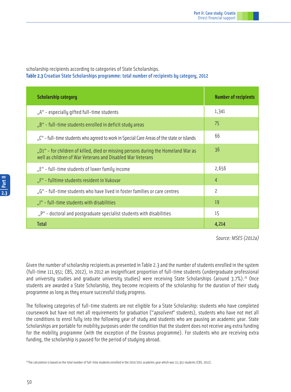scholarship recipients according to categories of State Scholarships. **Table 2.3** Croatian State Scholarships programme: total number of recipients by category, 2012

| <b>Scholarship category</b>                                                                                                                     | <b>Number of recipients</b> |
|-------------------------------------------------------------------------------------------------------------------------------------------------|-----------------------------|
| "A" - especially gifted full-time students                                                                                                      | 1,341                       |
| "B" - full-time students enrolled in deficit study areas                                                                                        | 75                          |
| "C" - full-time students who agreed to work in Special Care Areas of the state or islands                                                       | 66                          |
| "D1" - for children of killed, died or missing persons during the Homeland War as<br>well as children of War Veterans and Disabled War Veterans | 36                          |
| "E" - full-time students of lower family income                                                                                                 | 2,656                       |
| "F" - fulltime students resident in Vukovar                                                                                                     | $\overline{4}$              |
| "G" - full-time students who have lived in foster families or care centres                                                                      | $\overline{\phantom{0}}$    |
| "I" - full-time students with disabilities                                                                                                      | 19                          |
| "P" - doctoral and postgraduate specialist students with disabilities                                                                           | 15                          |
| <b>Total</b>                                                                                                                                    | 4,214                       |

Source: MSES (2012a)

Given the number of scholarship recipients as presented in Table 2.3 and the number of students enrolled in the system (full-time 111,951; CBS, 2012), in 2012 an insignificant proportion of full-time students (undergraduate professional and university studies and graduate university studies) were receiving State Scholarships (around 3.7%).<sup>16</sup> Once students are awarded a State Scholarship, they become recipients of the scholarship for the duration of their study programme as long as they ensure successful study progress.

The following categories of full-time students are not eligible for a State Scholarship: students who have completed coursework but have not met all requirements for graduation ("apsolvent" students), students who have not met all the conditions to enrol fully into the following year of study and students who are pausing an academic year. State Scholarships are portable for mobility purposes under the condition that the student does not receive any extra funding for the mobility programme (with the exception of the Erasmus programme). For students who are receiving extra funding, the scholarship is paused for the period of studying abroad.

16 The calculation is based on the total number of full-time students enrolled in the 2010/2011 academic year which was 111,951 students (CBS, 2012).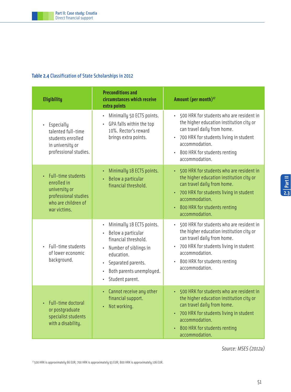#### **Table 2.4** Classification of State Scholarships in 2012

| <b>Eligibility</b>                                                                                                                        | <b>Preconditions and</b><br>circumstances which receive<br>extra points                                                                                                                                                                              | Amount (per month) <sup>17</sup>                                                                                                                                                                                                                            |
|-------------------------------------------------------------------------------------------------------------------------------------------|------------------------------------------------------------------------------------------------------------------------------------------------------------------------------------------------------------------------------------------------------|-------------------------------------------------------------------------------------------------------------------------------------------------------------------------------------------------------------------------------------------------------------|
| Especially<br>$\bullet$<br>talented full-time<br>students enrolled<br>in university or<br>professional studies.                           | Minimally 50 ECTS points.<br>$\bullet$<br>GPA falls within the top<br>10%. Rector's reward<br>brings extra points.                                                                                                                                   | 500 HRK for students who are resident in<br>$\bullet$<br>the higher education institution city or<br>can travel daily from home.<br>700 HRK for students living in student<br>accommodation.<br>800 HRK for students renting<br>$\bullet$<br>accommodation. |
| Full-time students<br>$\ddot{\phantom{0}}$<br>enrolled in<br>university or<br>professional studies<br>who are children of<br>war victims. | Minimally 18 ECTS points.<br>Below a particular<br>$\bullet$<br>financial threshold.                                                                                                                                                                 | 500 HRK for students who are resident in<br>the higher education institution city or<br>can travel daily from home.<br>700 HRK for students living in student<br>$\bullet$ .<br>accommodation.<br>800 HRK for students renting<br>accommodation.            |
| Full-time students<br>$\ddot{\phantom{0}}$<br>of lower economic<br>background.                                                            | Minimally 18 ECTS points.<br>$\bullet$<br>Below a particular<br>$\bullet$<br>financial threshold.<br>Number of siblings in<br>education.<br>Separated parents.<br>$\bullet$<br>Both parents unemployed.<br>$\bullet$<br>Student parent.<br>$\bullet$ | 500 HRK for students who are resident in<br>$\bullet$<br>the higher education institution city or<br>can travel daily from home.<br>700 HRK for students living in student<br>$\bullet$<br>accommodation.<br>800 HRK for students renting<br>accommodation. |
| Full-time doctoral<br>$\ddot{\phantom{0}}$<br>or postgraduate<br>specialist students<br>with a disability.                                | Cannot receive any other<br>$\bullet$<br>financial support.<br>Not working.<br>$\bullet$                                                                                                                                                             | 500 HRK for students who are resident in<br>the higher education institution city or<br>can travel daily from home.<br>700 HRK for students living in student<br>$\bullet$<br>accommodation.<br>800 HRK for students renting<br>accommodation.              |

**<sup>2.3</sup>Part II**

Source: MSES (2012a)

17 500 HRK is approximately 66 EUR; 700 HRK is approximately 93 EUR; 800 HRK is approximately 106 EUR.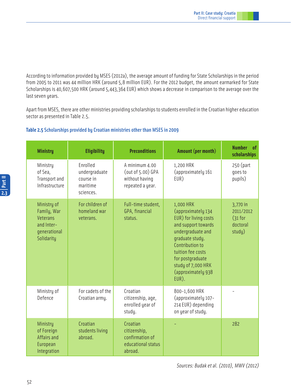According to information provided by MSES (2012a), the average amount of funding for State Scholarships in the period from 2005 to 2011 was 44 million HRK (around 5,8 million EUR). For the 2012 budget, the amount earmarked for State Scholarships is 40,607,500 HRK (around 5,443,364 EUR) which shows a decrease in comparison to the average over the last seven years.

Apart from MSES, there are other ministries providing scholarships to students enrolled in the Croatian higher education sector as presented in Table 2.5.

#### **Table 2.5** Scholarships provided by Croatian ministries other than MSES in 2009

| <b>Ministry</b>                                                                    | <b>Eligibility</b>                                              | <b>Preconditions</b>                                                         | Amount (per month)                                                                                                                                                                                                                       | <b>Number</b><br><sub>of</sub><br>scholarships           |
|------------------------------------------------------------------------------------|-----------------------------------------------------------------|------------------------------------------------------------------------------|------------------------------------------------------------------------------------------------------------------------------------------------------------------------------------------------------------------------------------------|----------------------------------------------------------|
| Ministry<br>of Sea,<br>Transport and<br>Infrastructure                             | Enrolled<br>undergraduate<br>course in<br>maritime<br>sciences. | A minimum 4.00<br>(out of 5.00) GPA<br>without having<br>repeated a year.    | 1,200 HRK<br>(approximately 161<br>EUR)                                                                                                                                                                                                  | 250 (part<br>qoes to<br>pupils)                          |
| Ministry of<br>Family, War<br>Veterans<br>and Inter-<br>qenerational<br>Solidarity | For children of<br>homeland war<br>veterans.                    | Full-time student,<br>GPA, financial<br>status.                              | 1,000 HRK<br>(approximately 134<br>EUR) for living costs<br>and support towards<br>undergraduate and<br>graduate study.<br>Contribution to<br>tuition fee costs<br>for postgraduate<br>study of 7,000 HRK<br>(approximately 938<br>EUR). | 3,770 in<br>2011/2012<br>$(31$ for<br>doctoral<br>study) |
| Ministry of<br>Defence                                                             | For cadets of the<br>Croatian army.                             | Croatian<br>citizenship, age,<br>enrolled year of<br>study.                  | 800-1,600 HRK<br>(approximately 107-<br>214 EUR) depending<br>on year of study.                                                                                                                                                          | $\overline{\phantom{a}}$                                 |
| Ministry<br>of Foreign<br>Affairs and<br>European<br>Integration                   | Croatian<br>students living<br>abroad.                          | Croatian<br>citizenship,<br>confirmation of<br>educational status<br>abroad. |                                                                                                                                                                                                                                          | 282                                                      |

Sources: Budak et al. (2010), MWV (2012)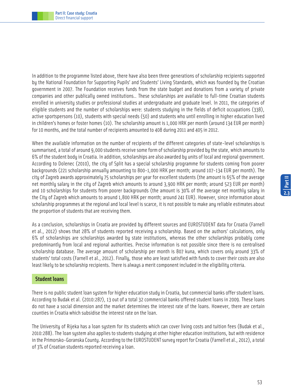In addition to the programme listed above, there have also been three generations of scholarship recipients supported by the National Foundation for Supporting Pupils' and Students' Living Standards, which was founded by the Croatian government in 2007. The Foundation receives funds from the state budget and donations from a variety of private companies and other publically owned institutions.. These scholarships are available to full-time Croatian students enrolled in university studies or professional studies at undergraduate and graduate level. In 2011, the categories of eligible students and the number of scholarships were: students studying in the fields of deficit occupations (338), active sportspersons (10), students with special needs (50) and students who until enrolling in higher education lived in children's homes or foster homes (10). The scholarship amount is 1,000 HRK per month (around 134 EUR per month) for 10 months, and the total number of recipients amounted to 408 during 2011 and 405 in 2012.

When the available information on the number of recipients of the different categories of state-level scholarships is summarised, a total of around 9,000 students receive some form of scholarship provided by the state, which amounts to 6% of the student body in Croatia. In addition, scholarships are also awarded by units of local and regional government. According to Dolenec (2010), the city of Split has a special scholarship programme for students coming from poorer backgrounds (221 scholarship annually amounting to 800-1,000 HRK per month; around 107-134 EUR per month). The city of Zagreb awards approximately 75 scholarships per year for excellent students (the amount is 65% of the average net monthly salary in the city of Zagreb which amounts to around 3,900 HRK per month; around 523 EUR per month) and 10 scholarships for students from poorer backgrounds (the amount is 30% of the average net monthly salary in the City of Zagreb which amounts to around 1,800 HRK per month; around 241 EUR). However, since information about scholarship programmes at the regional and local level is scarce, it is not possible to make any reliable estimates about the proportion of students that are receiving them.

As a conclusion, scholarships in Croatia are provided by different sources and EUROSTUDENT data for Croatia (Farnell et al., 2012) shows that 28% of students reported receiving a scholarship. Based on the authors' calculations, only 6% of scholarships are scholarships awarded by state institutions, whereas the other scholarships probably come predominantly from local and regional authorities. Precise information is not possible since there is no centralised scholarship database. The average amount of scholarship per month is 807 kuna, which covers only around 33% of students' total costs (Farnell et al., 2012). Finally, those who are least satisfied with funds to cover their costs are also least likely to be scholarship recipients. There is always a merit component included in the eligibility criteria.

#### **Student loans**

There is no public student loan system for higher education study in Croatia, but commercial banks offer student loans. According to Budak et al. (2010:287), 13 out of a total 32 commercial banks offered student loans in 2009. These loans do not have a social dimension and the market determines the interest rate of the loans. However, there are certain counties in Croatia which subsidise the interest rate on the loan.

The University of Rijeka has a loan system for its students which can cover living costs and tuition fees (Budak et al., 2010:288). The loan system also applies to students studying at other higher education institutions, but with residence in the Primorsko-Goranska County. According to the EUROSTUDENT survey report for Croatia (Farnell et al., 2012), a total of 3% of Croatian students reported receiving a loan.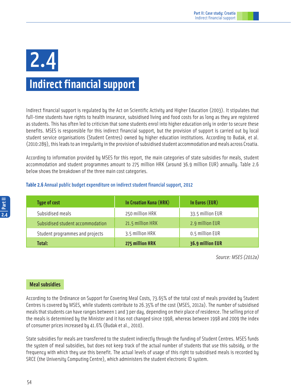# 2.4

### **Indirect financial support**

Indirect financial support is regulated by the Act on Scientific Activity and Higher Education (2003). It stipulates that full-time students have rights to health insurance, subsidised living and food costs for as long as they are registered as students. This has often led to criticism that some students enrol into higher education only in order to secure these benefits. MSES is responsible for this indirect financial support, but the provision of support is carried out by local student service organisations (Student Centres) owned by higher education institutions. According to Budak, et al. (2010:289), this leads to an irregularity in the provision of subsidised student accommodation and meals across Croatia.

According to information provided by MSES for this report, the main categories of state subsidies for meals, student accommodation and student programmes amount to 275 million HRK (around 36.9 million EUR) annually. Table 2.6 below shows the breakdown of the three main cost categories.

#### **Table 2.6** Annual public budget expenditure on indirect student financial support, 2012

| <b>Type of cost</b>              | In Croatian Kuna (HRK) | In Euros (EUR)   |
|----------------------------------|------------------------|------------------|
| Subsidised meals                 | 250 million HRK        | 33.5 million EUR |
| Subsidised student accommodation | 21.5 million HRK       | 2.9 million EUR  |
| Student programmes and projects  | 3.5 million HRK        | 0.5 million EUR  |
| Total:                           | 275 million HRK        | 36.9 million EUR |

Source: MSES (2012a)

#### **Meal subsidies**

According to the Ordinance on Support for Covering Meal Costs, 73.65% of the total cost of meals provided by Student Centres is covered by MSES, while students contribute to 26.35% of the cost (MSES, 2012a). The number of subsidised meals that students can have ranges between 1 and 3 per day, depending on their place of residence. The selling price of the meals is determined by the Minister and it has not changed since 1998, whereas between 1998 and 2009 the index of consumer prices increased by 41.6% (Budak et al., 2010).

State subsidies for meals are transferred to the student indirectly through the funding of Student Centres. MSES funds the system of meal subsidies, but does not keep track of the actual number of students that use this subsidy, or the frequency with which they use this benefit. The actual levels of usage of this right to subsidised meals is recorded by SRCE (the University Computing Centre), which administers the student electronic ID system.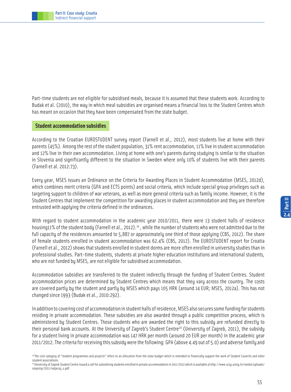Part-time students are not eligible for subsidised meals, because it is assumed that these students work. According to Budak et al. (2010), the way in which meal subsidies are organised means a financial loss to the Student Centres which has meant on occasion that they have been compensated from the state budget.

#### **Student accommodation subsidies**

According to the Croatian EUROSTUDENT survey report (Farnell et al., 2012), most students live at home with their parents (45%). Among the rest of the student population, 31% rent accommodation, 11% live in student accommodation and 12% live in their own accommodation. Living at home with one's parents during studying is similar to the situation in Slovenia and significantly different to the situation in Sweden where only 10% of students live with their parents (Farnell et al. 2012:73).

Every year, MSES issues an Ordinance on the Criteria for Awarding Places in Student Accommodation (MSES, 2012d), which combines merit criteria (GPA and ECTS points) and social criteria, which include special group privileges such as targeting support to children of war veterans, as well as more general criteria such as family income. However, it is the Student Centres that implement the competition for awarding places in student accommodation and they are therefore entrusted with applying the criteria defined in the ordinances.

With regard to student accommodation in the academic year 2010/2011, there were 13 student halls of residence housing11% of the student body (Farnell et al., 2012).<sup>19</sup>, while the number of students who were not admitted due to the full capacity of the residences amounted to 5,887 or approximately one third of those applying (CBS, 2012). The share of female students enrolled in student accommodation was 62.4% (CBS, 2012). The EUROSTUDENT report for Croatia (Farnell et al., 2012) shows that students enrolled in student dorms are more often enrolled in university studies than in professional studies. Part-time students, students at private higher education institutions and international students, who are not funded by MSES, are not eligible for subsidised accommodation.

Accommodation subsidies are transferred to the student indirectly through the funding of Student Centres. Student accommodation prices are determined by Student Centres which means that they vary across the country. The costs are covered partly by the student and partly by MSES which pays 105 HRK (around 14 EUR; MSES, 2012a). This has not changed since 1993 (Budak et al., 2010:292).

In addition to covering cost of accommodation in student halls of residence, MSES also secures some funding for students residing in private accommodation. These subsidies are also awarded through a public competition process, which is administered by Student Centres. Those students who are awarded the right to this subsidy are refunded directly to their personal bank accounts. At the University of Zagreb's Student Centre<sup>20</sup> (University of Zagreb, 2011), the subsidy for a student living in private accommodation was 147 HRK per month (around 20 EUR per month) in the academic year 2011/2012. The criteria for receiving this subsidy were the following: GPA (above 4.49 out of 5.0) and adverse family and

<sup>18</sup>The cost category of "student programmes and projects" refers to an allocation from the state budget which is intended to financially support the work of Student Councils and other student associations.

<sup>20</sup> University of Zagreb Student Centre issued a call for subsidising students enrolled in private accommodation in 2011/2012 which is available at http://www.sczg.unizg.hr/media/uploads/ smjestaj/2011/natjecaj\_s.pdf.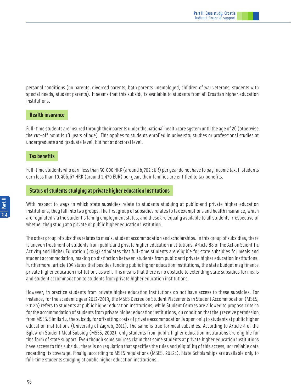personal conditions (no parents, divorced parents, both parents unemployed, children of war veterans, students with special needs, student parents). It seems that this subsidy is available to students from all Croatian higher education institutions.

#### **Health insurance**

Full-time students are insured through their parents under the national health care system until the age of 26 (otherwise the cut-off point is 18 years of age). This applies to students enrolled in university studies or professional studies at undergraduate and graduate level, but not at doctoral level.

#### **Tax benefits**

Full-time students who earn less than 50,000 HRK (around 6,702 EUR) per year do not have to pay income tax. If students earn less than 10.966,67 HRK (around 1,470 EUR) per year, their families are entitled to tax benefits.

#### **Status of students studying at private higher education institutions**

With respect to ways in which state subsidies relate to students studying at public and private higher education institutions, they fall into two groups. The first group of subsidies relates to tax exemptions and health insurance, which are regulated via the student's family employment status, and these are equally available to all students irrespective of whether they study at a private or public higher education institution.

The other group of subsidies relates to meals, student accommodation and scholarships. In this group of subsidies, there is uneven treatment of students from public and private higher education institutions. Article 88 of the Act on Scientific Activity and Higher Education (2003) stipulates that full-time students are eligible for state subsidies for meals and student accommodation, making no distinction between students from public and private higher education institutions. Furthermore, article 109 states that besides funding public higher education institutions, the state budget may finance private higher education institutions as well. This means that there is no obstacle to extending state subsidies for meals and student accommodation to students from private higher education institutions.

However, in practice students from private higher education institutions do not have access to these subsidies. For instance, for the academic year 2012/2013, the MSES Decree on Student Placements in Student Accommodation (MSES, 2012b) refers to students at public higher education institutions, while Student Centres are allowed to propose criteria for the accommodation of students from private higher education institutions, on condition that they receive permission from MSES. Similarly, the subsidy for offsetting costs of private accommodation is open only to students at public higher education institutions (University of Zagreb, 2011). The same is true for meal subsidies. According to Article 4 of the Bylaw on Student Meal Subsidy (MSES, 2002), only students from public higher education institutions are eligible for this form of state support. Even though some sources claim that some students at private higher education institutions have access to this subsidy, there is no regulation that specifies the rules and eligibility of this access, nor reliable data regarding its coverage. Finally, according to MSES regulations (MSES, 2012c), State Scholarships are available only to full-time students studying at public higher education institutions.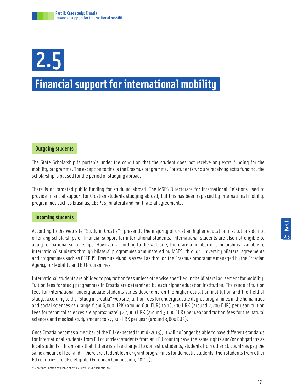## **Financial support for international mobility**  2.5

#### **Outgoing students**

The State Scholarship is portable under the condition that the student does not receive any extra funding for the mobility programme. The exception to this is the Erasmus programme. For students who are receiving extra funding, the scholarship is paused for the period of studying abroad.

There is no targeted public funding for studying abroad. The MSES Directorate for International Relations used to provide financial support for Croatian students studying abroad, but this has been replaced by international mobility programmes such as Erasmus, CEEPUS, bilateral and multilateral agreements.

#### **Incoming students**

According to the web site "Study in Croatia"<sup>21</sup> presently the majority of Croatian higher education institutions do not offer any scholarships or financial support for international students. International students are also not eligible to apply for national scholarships. However, according to the web site, there are a number of scholarships available to international students through bilateral programmes administered by MSES, through university bilateral agreements and programmes such as CEEPUS, Erasmus Mundus as well as through the Erasmus programme managed by the Croatian Agency for Mobility and EU Programmes.

International students are obliged to pay tuition fees unless otherwise specified in the bilateral agreement for mobility. Tuition fees for study programmes in Croatia are determined by each higher education institution. The range of tuition fees for international undergraduate students varies depending on the higher education institution and the field of study. According to the "Study in Croatia" web site, tuition fees for undergraduate degree programmes in the humanities and social sciences can range from 6,000 HRK (around 800 EUR) to 16,500 HRK (around 2,200 EUR) per year, tuition fees for technical sciences are approximately 22,000 HRK (around 3,000 EUR) per year and tuition fees for the natural sciences and medical study amount to 27,000 HRK per year (around 3,600 EUR).

Once Croatia becomes a member of the EU (expected in mid-2013), it will no longer be able to have different standards for international students from EU countries: students from any EU country have the same rights and/or obligations as local students. This means that if there is a fee charged to domestic students, students from other EU countries pay the same amount of fee, and if there are student loan or grant programmes for domestic students, then students from other EU countries are also eligible (European Commission, 2011b).

21 More information available at http://www.studyincroatia.hr/.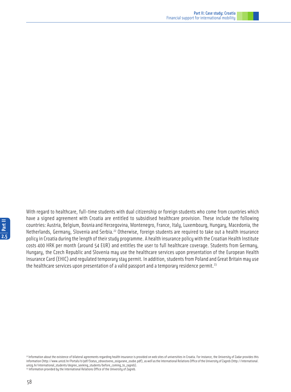With regard to healthcare, full-time students with dual citizenship or foreign students who come from countries which have a signed agreement with Croatia are entitled to subsidised healthcare provision. These include the following countries: Austria, Belgium, Bosnia and Herzegovina, Montenegro, France, Italy, Luxembourg, Hungary, Macedonia, the Netherlands, Germany, Slovenia and Serbia.<sup>22</sup> Otherwise, foreign students are required to take out a health insurance policy in Croatia during the length of their study programme. A health insurance policy with the Croatian Health Institute costs 400 HRK per month (around 54 EUR) and entitles the user to full healthcare coverage. Students from Germany, Hungary, the Czech Republic and Slovenia may use the healthcare services upon presentation of the European Health Insurance Card (EHIC) and regulated temporary stay permit. In addition, students from Poland and Great Britain may use the healthcare services upon presentation of a valid passport and a temporary residence permit.<sup>23</sup>

58

<sup>22</sup> Information about the existence of bilateral agreements regarding health insurance is provided on web sites of universities in Croatia. For instance, the University of Zadar provides this information (http://www.unizd.hr/Portals/0/pdf/Status\_zdravstveno\_osigurane\_osobe.pdf), as well as the International Relations Office of the University of Zagreb (http://international. unizg.hr/international\_students/degree\_seeking\_students/before\_coming\_to\_zagreb). <sup>23</sup> Information provided by the International Relations Office of the University of Zagreb.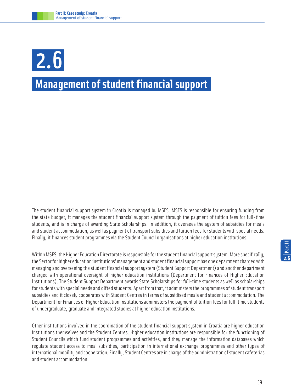## **Management of student financial support** 2.6

The student financial support system in Croatia is managed by MSES. MSES is responsible for ensuring funding from the state budget, it manages the student financial support system through the payment of tuition fees for full-time students, and is in charge of awarding State Scholarships. In addition, it oversees the system of subsidies for meals and student accommodation, as well as payment of transport subsidies and tuition fees for students with special needs. Finally, it finances student programmes via the Student Council organisations at higher education institutions.

Within MSES, the Higher Education Directorate is responsible for the student financial support system. More specifically, the Sector for higher education institutions' management and student financial support has one department charged with managing and overseeing the student financial support system (Student Support Department) and another department charged with operational oversight of higher education institutions (Department for Finances of Higher Education Institutions). The Student Support Department awards State Scholarships for full-time students as well as scholarships for students with special needs and gifted students. Apart from that, it administers the programmes of student transport subsidies and it closely cooperates with Student Centres in terms of subsidised meals and student accommodation. The Department for Finances of Higher Education Institutions administers the payment of tuition fees for full-time students of undergraduate, graduate and integrated studies at higher education institutions.

Other institutions involved in the coordination of the student financial support system in Croatia are higher education institutions themselves and the Student Centres. Higher education institutions are responsible for the functioning of Student Councils which fund student programmes and activities, and they manage the information databases which regulate student access to meal subsidies, participation in international exchange programmes and other types of international mobility and cooperation. Finally, Student Centres are in charge of the administration of student cafeterias and student accommodation.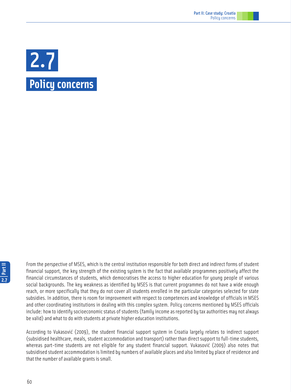

From the perspective of MSES, which is the central institution responsible for both direct and indirect forms of student financial support, the key strength of the existing system is the fact that available programmes positively affect the financial circumstances of students, which democratises the access to higher education for young people of various social backgrounds. The key weakness as identified by MSES is that current programmes do not have a wide enough reach, or more specifically that they do not cover all students enrolled in the particular categories selected for state subsidies. In addition, there is room for improvement with respect to competences and knowledge of officials in MSES and other coordinating institutions in dealing with this complex system. Policy concerns mentioned by MSES officials include: how to identify socioeconomic status of students (family income as reported by tax authorities may not always be valid) and what to do with students at private higher education institutions.

According to Vukasović (2009), the student financial support system in Croatia largely relates to indirect support (subsidised healthcare, meals, student accommodation and transport) rather than direct support to full-time students, whereas part-time students are not eligible for any student financial support. Vukasović (2009) also notes that subsidised student accommodation is limited by numbers of available places and also limited by place of residence and that the number of available grants is small.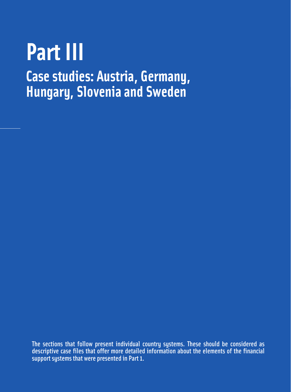# **Part III**

**Case studies: Austria, Germany, Hungary, Slovenia and Sweden**

The sections that follow present individual country systems. These should be considered as descriptive case files that offer more detailed information about the elements of the financial support systems that were presented in Part 1.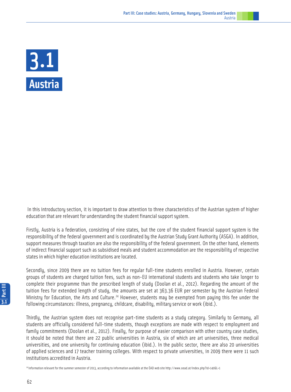

 In this introductory section, it is important to draw attention to three characteristics of the Austrian system of higher education that are relevant for understanding the student financial support system.

Firstly, Austria is a federation, consisting of nine states, but the core of the student financial support system is the responsibility of the federal government and is coordinated by the Austrian Study Grant Authority (ASGA). In addition, support measures through taxation are also the responsibility of the federal government. On the other hand, elements of indirect financial support such as subsidised meals and student accommodation are the responsibility of respective states in which higher education institutions are located.

Secondly, since 2009 there are no tuition fees for regular full-time students enrolled in Austria. However, certain groups of students are charged tuition fees, such as non-EU international students and students who take longer to complete their programme than the prescribed length of study (Doolan et al., 2012). Regarding the amount of the tuition fees for extended length of study, the amounts are set at 363.36 EUR per semester by the Austrian Federal Ministry for Education, the Arts and Culture.<sup>24</sup> However, students may be exempted from paying this fee under the following circumstances: illness, pregnancy, childcare, disability, military service or work (ibid.).

Thirdly, the Austrian system does not recognise part-time students as a study category. Similarly to Germany, all students are officially considered full-time students, though exceptions are made with respect to employment and family commitments (Doolan et al., 2012). Finally, for purpose of easier comparison with other country case studies, it should be noted that there are 22 public universities in Austria, six of which are art universities, three medical universities, and one university for continuing education (ibid.). In the public sector, there are also 20 universities of applied sciences and 17 teacher training colleges. With respect to private universities, in 2009 there were 11 such institutions accredited in Austria.

24 Information relevant for the summer semester of 2013, according to information available at the ÖAD web site http://www.oead.at/index.php?id=140&L=1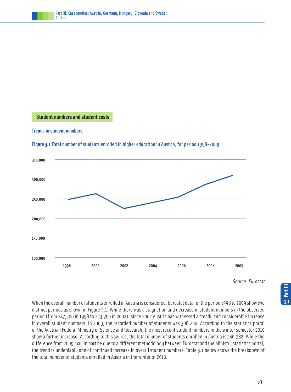

 **Student numbers and student costs**

#### **Trends in student numbers**



**Figure 3.1**Total number of students enrolled in higher education in Austria, for period 1998-2009

Source: Eurostat

When the overall number of students enrolled in Austria is considered, Eurostat data for the period 1998 to 2009 show two distinct periods as shown in Figure 3.1. While there was a stagnation and decrease in student numbers in the observed period (from 247,500 in 1998 to 223,700 in 2002), since 2002 Austria has witnessed a steady and considerable increase in overall student numbers. In 2009, the recorded number of students was 308,200. According to the statistics portal of the Austrian Federal Ministry of Science and Research, the most recent student numbers in the winter semester 2010 show a further increase. According to this source, the total number of students enrolled in Austria is 340,382. While the difference from 2009 may in part be due to a different methodology between Eurostat and the Ministry statistics portal, the trend is undeniably one of continued increase in overall student numbers. Table 3.1 below shows the breakdown of the total number of students enrolled in Austria in the winter of 2010.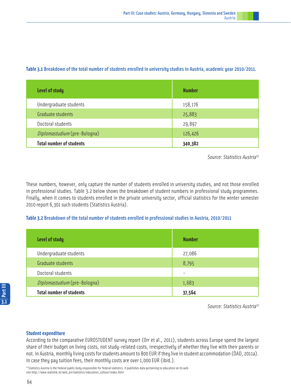| Level of study                  | <b>Number</b> |
|---------------------------------|---------------|
| Undergraduate students          | 158,176       |
| Graduate students               | 25,883        |
| Doctoral students               | 29,897        |
| Diplomastudium (pre-Bologna)    | 126,426       |
| <b>Total number of students</b> | 340,382       |

#### **Table 3.1** Breakdown of the total number of students enrolled in university studies in Austria, academic year 2010/2011.

Source: Statistics Austria<sup>25</sup>

These numbers, however, only capture the number of students enrolled in university studies, and not those enrolled in professional studies. Table 3.2 below shows the breakdown of student numbers in professional study programmes. Finally, when it comes to students enrolled in the private university sector, official statistics for the winter semester 2010 report 6,301 such students (Statistics Austria).

#### **Table 3.2** Breakdown of the total number of students enrolled in professional studies in Austria, 2010/2011

| <b>Level of study</b>           | <b>Number</b>            |
|---------------------------------|--------------------------|
| Undergraduate students          | 27,086                   |
| Graduate students               | 8,795                    |
| Doctoral students               | $\overline{\phantom{a}}$ |
| Diplomastudium (pre-Bologna)    | 1,683                    |
| <b>Total number of students</b> | 37,564                   |

Source: Statistics Austria<sup>25</sup>

#### **Student expenditure**

According to the comparative EUROSTUDENT survey report (Orr et al., 2011), students across Europe spend the largest share of their budget on living costs, not study-related costs, irrespectively of whether they live with their parents or not. In Austria, monthly living costs for students amount to 800 EUR if they live in student accommodation (ÖAD, 2011a). In case they pay tuition fees, their monthly costs are over 1,000 EUR (ibid.).

<sup>25</sup> Statistics Austria is the federal public body responsible for federal statistics. It publishes data pertaining to education on its web site http://www.statistik.at/web\_en/statistics/education\_culture/index.html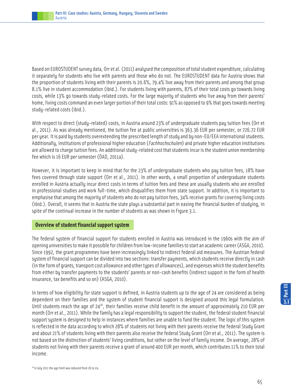Based on EUROSTUDENT survey data, Orr et al. (2011) analysed the composition of total student expenditure, calculating it separately for students who live with parents and those who do not. The EUROSTUDENT data for Austria shows that the proportion of students living with their parents is 20.6%, 79.4% live away from their parents and among that group 8.1% live in student accommodation (ibid.). For students living with parents, 87% of their total costs go towards living costs, while 13% go towards study-related costs. For the large majority of students who live away from their parents' home, living costs command an even larger portion of their total costs: 91% as opposed to 9% that goes towards meeting study-related costs (ibid.).

With respect to direct (study-related) costs, in Austria around 23% of undergraduate students pay tuition fees (Orr et al., 2011). As was already mentioned, the tuition fee at public universities is 363.36 EUR per semester, or 726.72 EUR per year. It is paid by students overextending the prescribed length of study and by non-EU/EEA international students. Additionally, institutions of professional higher education (Fachhochschulen) and private higher education institutions are allowed to charge tuition fees. An additional study-related cost that students incur is the student union membership fee which is 16 EUR per semester (ÖAD, 2011a).

However, it is important to keep in mind that for the 23% of undergraduate students who pay tuition fees, 18% have fees covered through state support (Orr et al., 2011). In other words, a small proportion of undergraduate students enrolled in Austria actually incur direct costs in terms of tuition fees and these are usually students who are enrolled in professional studies and work full-time, which disqualifies them from state support. In addition, it is important to emphasise that among the majority of students who do not pay tuition fees, 34% receive grants for covering living costs (ibid.). Overall, it seems that in Austria the state plays a substantial part in easing the financial burden of studying, in spite of the continual increase in the number of students as was shown in Figure 3.1.

#### **Overview of student financial support system**

The federal system of financial support for students enrolled in Austria was introduced in the 1960s with the aim of opening universities to make it possible for children from low-income families to start an academic career (ASGA, 2010). Since 1992, the grant programmes have been increasingly linked to indirect federal aid measures. The Austrian federal system of financial support can be divided into two sections: transfer payments, which students receive directly in cash (in the form of grants, transport cost allowance and other types of allowances), and expenses which the student benefits from either by transfer payments to the students' parents or non-cash benefits (indirect support in the form of health insurance, tax benefits and so on) (ASGA, 2010).

In terms of how eligibility for state support is defined, in Austria students up to the age of 24 are considered as being dependent on their families and the system of student financial support is designed around this legal formulation. Until students reach the age of  $24^{26}$ , their families receive child benefit in the amount of approximately 210 EUR per month (Orr et al., 2011). While the family has a legal responsibility to support the student, the federal student financial support system is designed to help in instances where families are unable to fund the student. The logic of this system is reflected in the data according to which 28% of students not living with their parents receive the federal Study Grant and about 21% of students living with their parents also receive the federal Study Grant (Orr et al., 2011). The system is not based on the distinction of students' living conditions, but rather on the level of family income. On average, 28% of students not living with their parents receive a grant of around 400 EUR per month, which contributes 11% to their total income.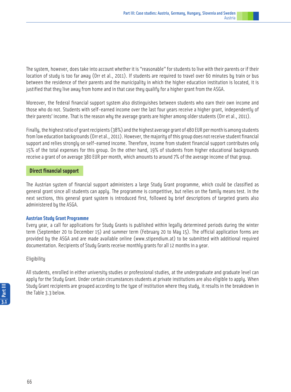The system, however, does take into account whether it is "reasonable" for students to live with their parents or if their location of study is too far away (Orr et al., 2011). If students are required to travel over 60 minutes by train or bus between the residence of their parents and the municipality in which the higher education institution is located, it is justified that they live away from home and in that case they qualify for a higher grant from the ASGA.

Moreover, the federal financial support system also distinguishes between students who earn their own income and those who do not. Students with self-earned income over the last four years receive a higher grant, independently of their parents' income. That is the reason why the average grants are higher among older students (Orr et al., 2011).

Finally, the highest ratio of grant recipients (38%) and the highest average grant of 480 EUR per month is among students from low education backgrounds (Orr et al., 2011). However, the majority of this group does not receive student financial support and relies strongly on self-earned income. Therefore, income from student financial support contributes only 15% of the total expenses for this group. On the other hand, 19% of students from higher educational backgrounds receive a grant of on average 380 EUR per month, which amounts to around 7% of the average income of that group.

#### **Direct financial support**

The Austrian system of financial support administers a large Study Grant programme, which could be classified as general grant since all students can apply. The programme is competitive, but relies on the family means test. In the next sections, this general grant system is introduced first, followed by brief descriptions of targeted grants also administered by the ASGA.

#### **Austrian Study Grant Programme**

Every year, a call for applications for Study Grants is published within legally determined periods during the winter term (September 20 to December 15) and summer term (February 20 to May 15). The official application forms are provided by the ASGA and are made available online (www.stipendium.at) to be submitted with additional required documentation. Recipients of Study Grants receive monthly grants for all 12 months in a year.

#### Eligibility

All students, enrolled in either university studies or professional studies, at the undergraduate and graduate level can apply for the Study Grant. Under certain circumstances students at private institutions are also eligible to apply. When Study Grant recipients are grouped according to the type of institution where they study, it results in the breakdown in the Table 3.3 below.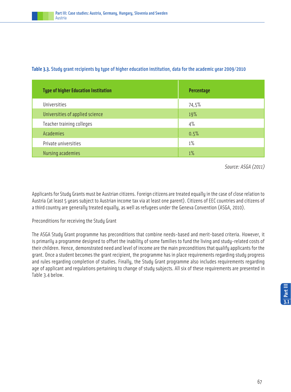| <b>Type of higher Education Institution</b> | Percentage |
|---------------------------------------------|------------|
| Universities                                | 74,5%      |
| Universities of applied science             | 19%        |
| Teacher training colleges                   | 4%         |
| Academies                                   | 0.5%       |
| Private universities                        | 1%         |
| Nursing academies                           | $1\%$      |

#### **Table 3.3.** Study grant recipients by type of higher education institution, data for the academic year 2009/2010

Source: ASGA (2011)

Applicants for Study Grants must be Austrian citizens. Foreign citizens are treated equally in the case of close relation to Austria (at least 5 years subject to Austrian income tax via at least one parent). Citizens of EEC countries and citizens of a third country are generally treated equally, as well as refugees under the Geneva Convention (ASGA, 2010).

#### Preconditions for receiving the Study Grant

The ASGA Study Grant programme has preconditions that combine needs-based and merit-based criteria. However, it is primarily a programme designed to offset the inability of some families to fund the living and study-related costs of their children. Hence, demonstrated need and level of income are the main preconditions that qualify applicants for the grant. Once a student becomes the grant recipient, the programme has in place requirements regarding study progress and rules regarding completion of studies. Finally, the Study Grant programme also includes requirements regarding age of applicant and regulations pertaining to change of study subjects. All six of these requirements are presented in Table 3.4 below.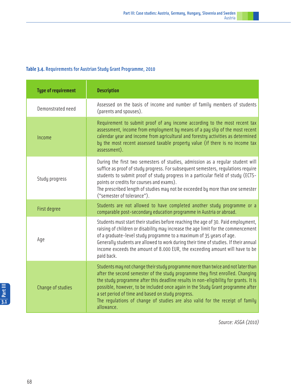#### **Table 3.4.** Requirements for Austrian Study Grant Programme, 2010

| <b>Type of requirement</b> | <b>Description</b>                                                                                                                                                                                                                                                                                                                                                                                                                                                                                |
|----------------------------|---------------------------------------------------------------------------------------------------------------------------------------------------------------------------------------------------------------------------------------------------------------------------------------------------------------------------------------------------------------------------------------------------------------------------------------------------------------------------------------------------|
| Demonstrated need          | Assessed on the basis of income and number of family members of students<br>(parents and spouses).                                                                                                                                                                                                                                                                                                                                                                                                |
| Income                     | Requirement to submit proof of any income according to the most recent tax<br>assessment, income from employment by means of a pay slip of the most recent<br>calendar year and income from agricultural and forestry activities as determined<br>by the most recent assessed taxable property value (if there is no income tax<br>assessment).                                                                                                                                                   |
| Study progress             | During the first two semesters of studies, admission as a regular student will<br>suffice as proof of study progress. For subsequent semesters, requlations require<br>students to submit proof of study progress in a particular field of study (ECTS-<br>points or credits for courses and exams).<br>The prescribed length of studies may not be exceeded by more than one semester<br>("semester of tolerance").                                                                              |
| First degree               | Students are not allowed to have completed another study programme or a<br>comparable post-secondary education programme in Austria or abroad.                                                                                                                                                                                                                                                                                                                                                    |
| Age                        | Students must start their studies before reaching the age of 30. Paid employment,<br>raising of children or disability may increase the age limit for the commencement<br>of a graduate-level study programme to a maximum of 35 years of age.<br>Generally students are allowed to work during their time of studies. If their annual<br>income exceeds the amount of 8.000 EUR, the exceeding amount will have to be<br>paid back.                                                              |
| Change of studies          | Students may not change their study programme more than twice and not later than<br>after the second semester of the study programme they first enrolled. Changing<br>the study programme after this deadline results in non-eligibility for grants. It is<br>possible, however, to be included once again in the Study Grant programme after<br>a set period of time and based on study progress.<br>The regulations of change of studies are also valid for the receipt of family<br>allowance. |

Source: ASGA (2010)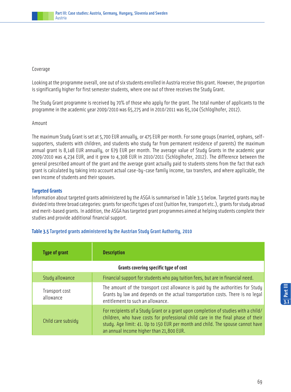

#### Coverage

Looking at the programme overall, one out of six students enrolled in Austria receive this grant. However, the proportion is significantly higher for first semester students, where one out of three receives the Study Grant.

The Study Grant programme is received by 70% of those who apply for the grant. The total number of applicants to the programme in the academic year 2009/2010 was 65,275 and in 2010/2011 was 65,104 (Schlöglhofer, 2012).

#### Amount

The maximum Study Grant is set at 5,700 EUR annually, or 475 EUR per month. For some groups (married, orphans, selfsupporters, students with children, and students who study far from permanent residence of parents) the maximum annual grant is 8,148 EUR annually, or 679 EUR per month. The average value of Study Grants in the academic year 2009/2010 was 4,234 EUR, and it grew to 4,308 EUR in 2010/2011 (Schlöglhofer, 2012). The difference between the general prescribed amount of the grant and the average grant actually paid to students stems from the fact that each grant is calculated by taking into account actual case-by-case family income, tax transfers, and where applicable, the own income of students and their spouses.

#### **Targeted Grants**

Information about targeted grants administered by the ASGA is summarised in Table 3.5 below. Targeted grants may be divided into three broad categories: grants for specific types of cost (tuition fee, transport etc.), grants for study abroad and merit-based grants. In addition, the ASGA has targeted grant programmes aimed at helping students complete their studies and provide additional financial support.

| <b>Type of grant</b>                  | <b>Description</b>                                                                                                                                                                                                                                                                                     |  |
|---------------------------------------|--------------------------------------------------------------------------------------------------------------------------------------------------------------------------------------------------------------------------------------------------------------------------------------------------------|--|
| Grants covering specific type of cost |                                                                                                                                                                                                                                                                                                        |  |
| Study allowance                       | Financial support for students who pay tuition fees, but are in financial need.                                                                                                                                                                                                                        |  |
| Transport cost<br>allowance           | The amount of the transport cost allowance is paid by the authorities for Study<br>Grants by law and depends on the actual transportation costs. There is no legal<br>entitlement to such an allowance.                                                                                                |  |
| Child care subsidy                    | For recipients of a Study Grant or a grant upon completion of studies with a child/<br>children, who have costs for professional child care in the final phase of their<br>study. Age limit: 41. Up to 150 EUR per month and child. The spouse cannot have<br>an annual income higher than 21,800 EUR. |  |

#### **Table 3.5** Targeted grants administered by the Austrian Study Grant Authority, 2010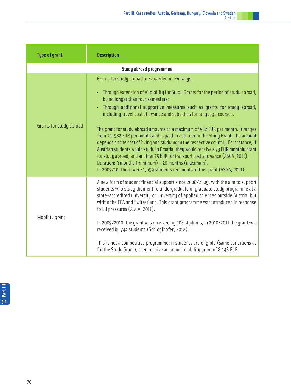| <b>Type of grant</b>           | <b>Description</b>                                                                                                                                                                                                                                                                                                                                                                                                                                                                                                                                                                                                                                                                                                                                                                                                                                                                                               |  |  |  |  |
|--------------------------------|------------------------------------------------------------------------------------------------------------------------------------------------------------------------------------------------------------------------------------------------------------------------------------------------------------------------------------------------------------------------------------------------------------------------------------------------------------------------------------------------------------------------------------------------------------------------------------------------------------------------------------------------------------------------------------------------------------------------------------------------------------------------------------------------------------------------------------------------------------------------------------------------------------------|--|--|--|--|
| <b>Study abroad programmes</b> |                                                                                                                                                                                                                                                                                                                                                                                                                                                                                                                                                                                                                                                                                                                                                                                                                                                                                                                  |  |  |  |  |
| Grants for study abroad        | Grants for study abroad are awarded in two ways:<br>• Through extension of eligibility for Study Grants for the period of study abroad,<br>by no longer than four semesters;<br>Through additional supportive measures such as grants for study abroad,<br>including travel cost allowance and subsidies for language courses.<br>The grant for study abroad amounts to a maximum of 582 EUR per month. It ranges<br>from 73-582 EUR per month and is paid in addition to the Study Grant. The amount<br>depends on the cost of living and studying in the respective country. For instance, if<br>Austrian students would study in Croatia, they would receive a 73 EUR monthly grant<br>for study abroad, and another 75 EUR for transport cost allowance (ASGA, 2011).<br>Duration: 3 months (minimum) - 20 months (maximum).<br>In 2009/10, there were 1,659 students recipients of this grant (ASGA, 2011). |  |  |  |  |
| Mobility grant                 | A new form of student financial support since 2008/2009, with the aim to support<br>students who study their entire undergraduate or graduate study programme at a<br>state-accredited university or university of applied sciences outside Austria, but<br>within the EEA and Switzerland. This grant programme was introduced in response<br>to EU pressures (ASGA, 2011).<br>In 2009/2010, the grant was received by 508 students, in 2010/2011 the grant was<br>received by 744 students (Schlöglhofer, 2012).<br>This is not a competitive programme: if students are eligible (same conditions as<br>for the Study Grant), they receive an annual mobility grant of 8,148 EUR.                                                                                                                                                                                                                             |  |  |  |  |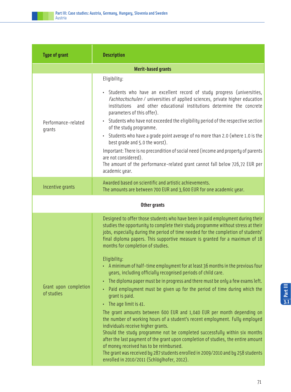| <b>Type of grant</b>                | <b>Description</b>                                                                                                                                                                                                                                                                                                                                                            |  |  |  |  |
|-------------------------------------|-------------------------------------------------------------------------------------------------------------------------------------------------------------------------------------------------------------------------------------------------------------------------------------------------------------------------------------------------------------------------------|--|--|--|--|
| <b>Merit-based grants</b>           |                                                                                                                                                                                                                                                                                                                                                                               |  |  |  |  |
|                                     | Eligibility:                                                                                                                                                                                                                                                                                                                                                                  |  |  |  |  |
|                                     | Students who have an excellent record of study progress (universities,<br>٠<br>Fachhochschulen / universities of applied sciences, private higher education<br>and other educational institutions determine the concrete<br>institutions<br>parameters of this offer).                                                                                                        |  |  |  |  |
| Performance-related<br>grants       | Students who have not exceeded the eligibility period of the respective section<br>٠<br>of the study programme.                                                                                                                                                                                                                                                               |  |  |  |  |
|                                     | Students who have a grade point average of no more than 2.0 (where 1.0 is the<br>$\bullet$<br>best grade and 5.0 the worst).                                                                                                                                                                                                                                                  |  |  |  |  |
|                                     | Important: There is no precondition of social need (income and property of parents<br>are not considered).                                                                                                                                                                                                                                                                    |  |  |  |  |
|                                     | The amount of the performance-related grant cannot fall below 726,72 EUR per<br>academic year.                                                                                                                                                                                                                                                                                |  |  |  |  |
| Incentive grants                    | Awarded based on scientific and artistic achievements.<br>The amounts are between 700 EUR and 3,600 EUR for one academic year.                                                                                                                                                                                                                                                |  |  |  |  |
| <b>Other grants</b>                 |                                                                                                                                                                                                                                                                                                                                                                               |  |  |  |  |
|                                     | Designed to offer those students who have been in paid employment during their<br>studies the opportunity to complete their study programme without stress at their<br>jobs, especially during the period of time needed for the completion of students'<br>final diploma papers. This supportive measure is granted for a maximum of 18<br>months for completion of studies. |  |  |  |  |
|                                     | Eligibility:<br>• A minimum of half-time employment for at least 36 months in the previous four<br>years, including officially recognised periods of child care.                                                                                                                                                                                                              |  |  |  |  |
| Grant upon completion<br>of studies | The diploma paper must be in progress and there must be only a few exams left.<br>Paid employment must be given up for the period of time during which the<br>۰<br>grant is paid.                                                                                                                                                                                             |  |  |  |  |
|                                     | The age limit is 41.<br>۰<br>The grant amounts between 600 EUR and 1,040 EUR per month depending on<br>the number of working hours of a student's recent employment. Fully employed<br>individuals receive higher grants.                                                                                                                                                     |  |  |  |  |
|                                     | Should the study programme not be completed successfully within six months<br>after the last payment of the grant upon completion of studies, the entire amount<br>of money received has to be reimbursed.                                                                                                                                                                    |  |  |  |  |
|                                     | The grant was received by 287 students enrolled in 2009/2010 and by 258 students<br>enrolled in 2010/2011 (Schlöglhofer, 2012).                                                                                                                                                                                                                                               |  |  |  |  |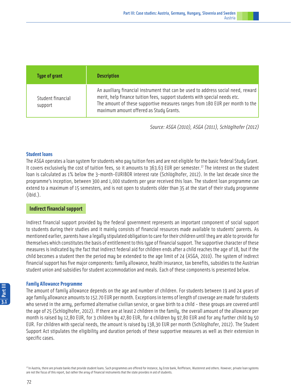| <b>Type of grant</b>         | <b>Description</b>                                                                                                                                                                                                                                                                         |
|------------------------------|--------------------------------------------------------------------------------------------------------------------------------------------------------------------------------------------------------------------------------------------------------------------------------------------|
| Student financial<br>support | An auxiliary financial instrument that can be used to address social need, reward<br>merit, help finance tuition fees, support students with special needs etc.<br>The amount of these supportive measures ranges from 180 EUR per month to the<br>maximum amount offered as Study Grants. |

Source: ASGA (2010), ASGA (2011), Schlöglhofer (2012)

### **Student loans**

The ASGA operates a loan system for students who pay tuition fees and are not eligible for the basic federal Study Grant. It covers exclusively the cost of tuition fees, so it amounts to  $363.63$  EUR per semester.<sup>27</sup> The interest on the student loan is calculated as 1% below the 3-month-EURIBOR interest rate (Schlöglhofer, 2012). In the last decade since the programme's inception, between 300 and 1,000 students per year received this loan. The student loan programme can extend to a maximum of 15 semesters, and is not open to students older than 35 at the start of their study programme (ibid.).

### **Indirect financial support**

Indirect financial support provided by the federal government represents an important component of social support to students during their studies and it mainly consists of financial resources made available to students' parents. As mentioned earlier, parents have a legally stipulated obligation to care for their children until they are able to provide for themselves which constitutes the basis of entitlement to this type of financial support. The supportive character of these measures is indicated by the fact that indirect federal aid for children ends after a child reaches the age of 18, but if the child becomes a student then the period may be extended to the age limit of 24 (ASGA, 2010). The system of indirect financial support has five major components: family allowance, health insurance, tax benefits, subsidies to the Austrian student union and subsidies for student accommodation and meals. Each of these components is presented below.

### **Family Allowance Programme**

The amount of family allowance depends on the age and number of children. For students between 19 and 24 years of age family allowance amounts to 152.70 EUR per month. Exceptions in terms of length of coverage are made for students who served in the army, performed alternative civilian service, or gave birth to a child - these groups are covered until the age of 25 (Schlöglhofer, 2012). If there are at least 2 children in the family, the overall amount of the allowance per month is raised by 12,80 EUR, for 3 children by 47,80 EUR, for 4 children by 97,80 EUR and for any further child by 50 EUR. For children with special needs, the amount is raised by 138,30 EUR per month (Schlöglhofer, 2012). The Student Support Act stipulates the eligibility and duration periods of these supportive measures as well as their extension in specific cases.

<sup>27</sup> In Austria, there are private banks that provide student loans. Such programmes are offered for instance, by Erste bank, Reiffeisen, Wustenrot and others. However, private loan systems are not the focus of this report, but rather the array of financial instruments that the state provides in aid of students.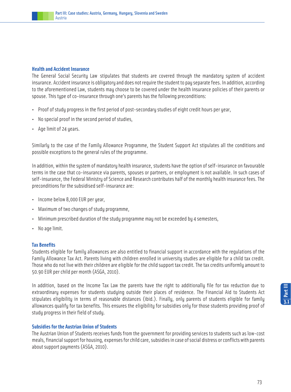### **Health and Accident Insurance**

The General Social Security Law stipulates that students are covered through the mandatory system of accident insurance. Accident insurance is obligatory and does not require the student to pay separate fees. In addition, according to the aforementioned Law, students may choose to be covered under the health insurance policies of their parents or spouse. This type of co-insurance through one's parents has the following preconditions:

- Proof of studu progress in the first period of post-secondary studies of eight credit hours per year,
- No special proof in the second period of studies,
- Age limit of 24 years.

Similarly to the case of the Family Allowance Programme, the Student Support Act stipulates all the conditions and possible exceptions to the general rules of the programme.

In addition, within the system of mandatory health insurance, students have the option of self-insurance on favourable terms in the case that co-insurance via parents, spouses or partners, or employment is not available. In such cases of self-insurance, the Federal Ministry of Science and Research contributes half of the monthly health insurance fees. The preconditions for the subsidised self-insurance are:

- Income below 8,000 EUR per year,
- Maximum of two changes of study programme,
- Minimum prescribed duration of the study programme may not be exceeded by 4 semesters,
- No age limit.

# **Tax Benefits**

Students eligible for family allowances are also entitled to financial support in accordance with the regulations of the Family Allowance Tax Act. Parents living with children enrolled in university studies are eligible for a child tax credit. Those who do not live with their children are eligible for the child support tax credit. The tax credits uniformly amount to 50.90 EUR per child per month (ASGA, 2010).

In addition, based on the Income Tax Law the parents have the right to additionally file for tax reduction due to extraordinary expenses for students studying outside their places of residence. The Financial Aid to Students Act stipulates eligibility in terms of reasonable distances (ibid.). Finally, only parents of students eligible for family allowances qualify for tax benefits. This ensures the eligibility for subsidies only for those students providing proof of study progress in their field of study.

# **Subsidies for the Austrian Union of Students**

The Austrian Union of Students receives funds from the government for providing services to students such as low-cost meals, financial support for housing, expenses for child care, subsidies in case of social distress or conflicts with parents about support payments (ASGA, 2010).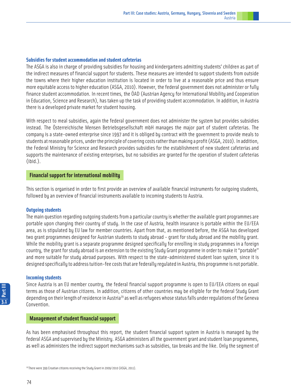### **Subsidies for student accommodation and student cafeterias**

The ASGA is also in charge of providing subsidies for housing and kindergartens admitting students' children as part of the indirect measures of financial support for students. These measures are intended to support students from outside the towns where their higher education institution is located in order to live at a reasonable price and thus ensure more equitable access to higher education (ASGA, 2010). However, the federal government does not administer or fully finance student accommodation. In recent times, the ÖAD (Austrian Agency for International Mobility and Cooperation in Education, Science and Research), has taken up the task of providing student accommodation. In addition, in Austria there is a developed private market for student housing.

With respect to meal subsidies, again the federal government does not administer the system but provides subsidies instead. The Österreichische Mensen Betriebsgesellschaft mbH manages the major part of student cafeterias. The company is a state-owned enterprise since 1997 and it is obliged by contract with the government to provide meals to students at reasonable prices, under the principle of covering costs rather than making a profit (ASGA, 2010). In addition, the Federal Ministry for Science and Research provides subsidies for the establishment of new student cafeterias and supports the maintenance of existing enterprises, but no subsidies are granted for the operation of student cafeterias (ibid.).

### **Financial support for international mobility**

This section is organised in order to first provide an overview of available financial instruments for outgoing students, followed by an overview of financial instruments available to incoming students to Austria.

### **Outgoing students**

The main question regarding outgoing students from a particular country is whether the available grant programmes are portable upon changing their country of study. In the case of Austria, health insurance is portable within the EU/EEA area, as is stipulated by EU law for member countries. Apart from that, as mentioned before, the ASGA has developed two grant programmes designed for Austrian students to study abroad - grant for study abroad and the mobility grant. While the mobility grant is a separate programme designed specifically for enrolling in study programmes in a foreign country, the grant for study abroad is an extension to the existing Study Grant programme in order to make it "portable" and more suitable for study abroad purposes. With respect to the state-administered student loan system, since it is designed specifically to address tuition-fee costs that are federally regulated in Austria, this programme is not portable.

### **Incoming students**

Since Austria is an EU member country, the federal financial support programme is open to EU/EEA citizens on equal terms as those of Austrian citizens. In addition, citizens of other countries may be eligible for the federal Study Grant depending on their length of residence in Austria<sup>29</sup> as well as refugees whose status falls under regulations of the Geneva Convention.

### **Management of student financial support**

As has been emphasised throughout this report, the student financial support system in Austria is managed by the federal ASGA and supervised by the Ministry. ASGA administers all the government grant and student loan programmes, as well as administers the indirect support mechanisms such as subsidies, tax breaks and the like. Only the segment of

<sup>29</sup> There were 399 Croatian citizens receiving the Study Grant in 2009/2010 (ASGA, 2011).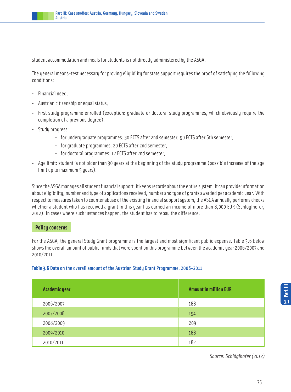student accommodation and meals for students is not directly administered by the ASGA.

The general means-test necessary for proving eligibility for state support requires the proof of satisfying the following conditions:

- Financial need,
- Austrian citizenship or equal status,
- First study programme enrolled (exception: graduate or doctoral study programmes, which obviously require the completion of a previous degree),
- Study progress:
	- for undergraduate programmes: 30 ECTS after 2nd semester, 90 ECTS after 6th semester,
	- for graduate programmes: 20 ECTS after 2nd semester,
	- for doctoral programmes: 12 ECTS after 2nd semester,
- Age limit: student is not older than 30 years at the beginning of the study programme (possible increase of the age limit up to maximum 5 years).

Since the ASGA manages all student financial support, it keeps records about the entire system. It can provide information about eligibility, number and type of applications received, number and type of grants awarded per academic year. With respect to measures taken to counter abuse of the existing financial support system, the ASGA annually performs checks whether a student who has received a grant in this year has earned an income of more than 8,000 EUR (Schlöglhofer, 2012). In cases where such instances happen, the student has to repay the difference.

# **Policy concerns**

For the ASGA, the general Study Grant programme is the largest and most significant public expense. Table 3.6 below shows the overall amount of public funds that were spent on this programme between the academic year 2006/2007 and 2010/2011.

# **Table 3.6** Data on the overall amount of the Austrian Study Grant Programme, 2006-2011

| <b>Academic year</b> | <b>Amount in million EUR</b> |
|----------------------|------------------------------|
| 2006/2007            | 188                          |
| 2007/2008            | 194                          |
| 2008/2009            | 209                          |
| 2009/2010            | 188                          |
| 2010/2011            | 182                          |

Source: Schlöglhofer (2012)

**3.1Part III**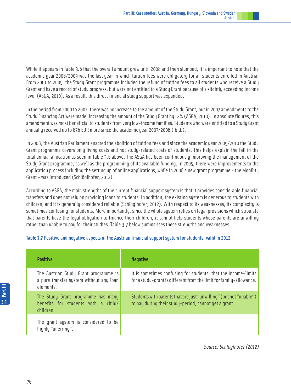While it appears in Table 3.6 that the overall amount grew until 2008 and then slumped, it is important to note that the academic year 2008/2009 was the last year in which tuition fees were obligatory for all students enrolled in Austria. From 2001 to 2009, the Study Grant programme included the refund of tuition fees to all students who receive a Study Grant and have a record of study progress, but were not entitled to a Study Grant because of a slightly exceeding income level (ASGA, 2010). As a result, this direct financial study support was expanded.

In the period from 2000 to 2007, there was no increase to the amount of the Study Grant, but in 2007 amendments to the Study Financing Act were made, increasing the amount of the Study Grant by 12% (ASGA, 2010). In absolute figures, this amendment was most beneficial to students from very low-income families. Students who were entitled to a Study Grant annually received up to 876 EUR more since the academic year 2007/2008 (ibid.).

In 2008, the Austrian Parliament enacted the abolition of tuition fees and since the academic year 2009/2010 the Study Grant programme covers only living costs and not study-related costs of students. This helps explain the fall in the total annual allocation as seen in Table 3.6 above. The ASGA has been continuously improving the management of the Study Grant programme, as well as the programming of its available funding. In 2005, there were improvements to the application process including the setting up of online applications, while in 2008 a new grant programme - the Mobility Grant - was introduced (Schlöglhofer, 2012).

According to ASGA, the main strengths of the current financial support system is that it provides considerable financial transfers and does not rely on providing loans to students. In addition, the existing system is generous to students with children, and it is generally considered reliable (Schlöglhofer, 2012). With respect to its weaknesses, its complexity is sometimes confusing for students. More importantly, since the whole system relies on legal provisions which stipulate that parents have the legal obligation to finance their children, it cannot help students whose parents are unwilling rather than unable to pay for their studies. Table 3.7 below summarises these strengths and weaknesses.

# **Table 3.7** Positive and negative aspects of the Austrian financial support system for students, valid in 2012

| <b>Positive</b>                                                                               | <b>Negative</b>                                                                                                                       |
|-----------------------------------------------------------------------------------------------|---------------------------------------------------------------------------------------------------------------------------------------|
| The Austrian Study Grant programme is<br>a pure transfer system without any loan<br>elements. | It is sometimes confusing for students, that the income-limits<br>for a study-grant is different from the limit for family-allowance. |
| The Study Grant programme has many<br>benefits for students with a child/<br>children.        | Students with parents that are just "unwilling" (but not "unable")<br>to pay during their study-period, cannot get a grant.           |
| The grant system is considered to be<br>highly "unerring".                                    |                                                                                                                                       |

Source: Schlöglhofer (2012)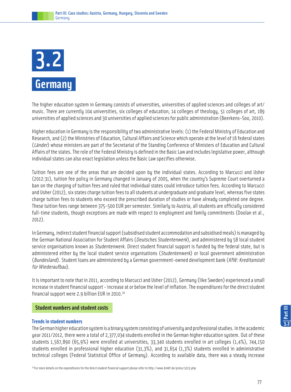# **Germany** 3.2

The higher education system in Germany consists of universities, universities of applied sciences and colleges of art/ music. There are currently 104 universities, six colleges of education, 14 colleges of theology, 51 colleges of art, 189 universities of applied sciences and 30 universities of applied sciences for public administration (Beerkens-Soo, 2010).

Higher education in Germany is the responsibility of two administrative levels: (1) the Federal Ministry of Education and Research, and (2) the Ministries of Education, Cultural Affairs and Science which operate at the level of 16 federal states (Länder) whose ministers are part of the Secretariat of the Standing Conference of Ministers of Education and Cultural Affairs of the states. The role of the Federal Ministry is defined in the Basic Law and includes legislative power, although individual states can also enact legislation unless the Basic Law specifies otherwise.

Tuition fees are one of the areas that are decided upon by the individual states. According to Marcucci and Usher (2012:31), tuition fee policy in Germany changed in January of 2005, when the country's Supreme Court overturned a ban on the charging of tuition fees and ruled that individual states could introduce tuition fees. According to Marcucci and Usher (2012), six states charge tuition fees to all students at undergraduate and graduate level, whereas five states charge tuition fees to students who exceed the prescribed duration of studies or have already completed one degree. These tuition fees range between 375-500 EUR per semester. Similarly to Austria, all students are officially considered full-time students, though exceptions are made with respect to employment and family commitments (Doolan et al., 2012).

In Germany, indirect student financial support (subsidised student accommodation and subsidised meals) is managed by the German National Association for Student Affairs (Deutsches Studentenwerk), and administered by 58 local student service organisations known as Studentenwerk. Direct student financial support is funded by the federal state, but is administered either by the local student service organisations (Studentenwerk) or local government administration (Bundesland). Student loans are administered by a German government-owned development bank (KfW: Kreditanstalt für Wiederaufbau).

It is important to note that in 2011, according to Marcucci and Usher (2012), Germany (like Sweden) experienced a small increase in student financial support - increase at or below the level of inflation. The expenditures for the direct student financial support were 2.9 billion EUR in 2010.30

# **Student numbers and student costs**

# **Trends in student numbers**

The German higher education system is a binary system consisting of university and professional studies. In the academic year 2011/2012, there were a total of 2,377,034 students enrolled in the German higher education system. Out of these students 1,567,890 (65,9%) were enrolled at universities, 33,340 students enrolled in art colleges (1,4%), 744,150 students enrolled in professional higher education (31,3%), and 31,654 (1,3%) students enrolled in administrative technical colleges (Federal Statistical Office of Germany). According to available data, there was a steady increase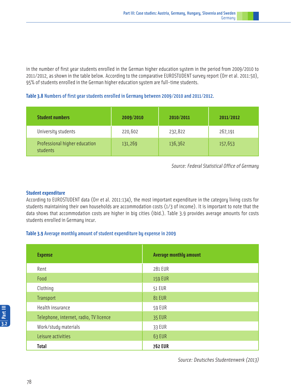in the number of first year students enrolled in the German higher education system in the period from 2009/2010 to 2011/2012, as shown in the table below. According to the comparative EUROSTUDENT survey report (Orr et al. 2011:50), 95% of students enrolled in the German higher education system are full-time students.

# **Table 3.8** Numbers of first year students enrolled in Germany between 2009/2010 and 2011/2012.

| <b>Student numbers</b>                    | 2009/2010 | 2010/2011 | 2011/2012 |
|-------------------------------------------|-----------|-----------|-----------|
| University students                       | 220,602   | 232,822   | 267,191   |
| Professional higher education<br>students | 131,269   | 136,362   | 157,653   |

Source: Federal Statistical Office of Germany

# **Student expenditure**

According to EUROSTUDENT data (Orr et al. 2011:134), the most important expenditure in the category living costs for students maintaining their own households are accommodation costs (1/3 of income). It is important to note that the data shows that accommodation costs are higher in big cities (ibid.). Table 3.9 provides average amounts for costs students enrolled in Germany incur.

# **Table 3.9** Average monthly amount of student expenditure by expense in 2009

| <b>Expense</b>                         | <b>Average monthly amount</b> |
|----------------------------------------|-------------------------------|
| Rent                                   | 281 EUR                       |
| Food                                   | <b>159 EUR</b>                |
| Clothing                               | <b>51 EUR</b>                 |
| <b>Transport</b>                       | <b>81 EUR</b>                 |
| Health insurance                       | <b>59 EUR</b>                 |
| Telephone, internet, radio, TV licence | <b>35 EUR</b>                 |
| Work/study materials                   | 33 EUR                        |
| Leisure activities                     | 63 EUR                        |
| <b>Total</b>                           | <b>762 EUR</b>                |

Source: Deutsches Studentenwerk (2013)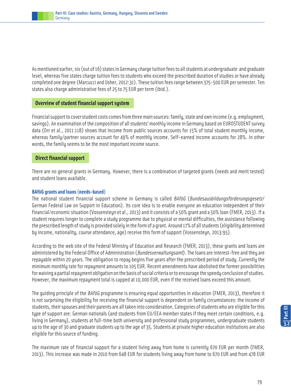

As mentioned earlier, six (out of 16) states in Germany charge tuition fees to all students at undergraduate and graduate level, whereas five states charge tuition fees to students who exceed the prescribed duration of studies or have already completed one degree (Marcucci and Usher, 2012:31). These tuition fees range between 375-500 EUR per semester. Ten states also charge administrative fees of 25 to 75 EUR per term (ibid.).

### **Overview of student financial support system**

Financial support to cover student costs comes from three main sources: family, state and own income (e.g. employment, savings). An examination of the composition of all students' monthly income in Germany based on EUROSTUDENT survey data (Orr et al., 2011:118) shows that income from public sources accounts for 15% of total student monthly income, whereas family/partner sources account for 49% of monthly income. Self-earned income accounts for 28%. In other words, the family seems to be the most important income source.

### **Direct financial support**

There are no general grants in Germany. However, there is a combination of targeted grants (needs and merit tested) and student loans available.

### **BAföG grants and loans (needs-based)**

The national student financial support scheme in Germany is called BAföG (Bundesausbildungsförderungsgesetz/ German Federal Law on Support in Education). Its core idea is to enable everyone an education independent of their financial/economic situation (Vossensteyn et al., 2013) and it consists of a 50% grant and a 50% loan (FMER, 2013). If a student requires longer to complete a study programme due to physical or mental difficulties, the assistance following the prescribed length of study is provided solely in the form of a grant. Around 17% of all students (eligibility determined by income, nationality, course attendance, age) receive this form of support (Vossensteyn, 2013:95).

According to the web site of the Federal Ministry of Education and Research (FMER, 2013), these grants and loans are administered by the Federal Office of Administration (Bundesverwaltungsamt). The loans are interest-free and they are repayable within 20 years. The obligation to repay begins five years after the prescribed period of study. Currently the minimum monthly rate for repayment amounts to 105 EUR. Recent amendments have abolished the former possibilities for waiving a partial repayment obligation on the basis of social criteria or to encourage the speedy conclusion of studies. However, the maximum repayment total is capped at 10,000 EUR, even if the received loans exceed this amount.

The quiding principle of the *BAföG* programme is ensuring equal opportunities in education (FMER, 2013), therefore it is not surprising the eligibility for receiving the financial support is dependent on family circumstances: the income of students, their spouses and their parents are all taken into consideration. Categories of students who are eligible for this type of support are: German nationals (and students from EU/EEA member states if they meet certain conditions, e.g. living in Germany), students at full-time both university and professional study programmes, undergraduate students up to the age of 30 and graduate students up to the age of 35. Students at private higher education institutions are also eligible for this source of funding.

The maximum rate of financial support for a student living away from home is currently 670 EUR per month (FMER, 2013). This increase was made in 2010 from 648 EUR for students living away from home to 670 EUR and from 478 EUR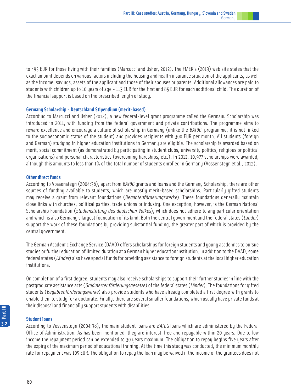to 495 EUR for those living with their families (Marcucci and Usher, 2012). The FMER's (2013) web site states that the exact amount depends on various factors including the housing and health insurance situation of the applicants, as well as the income, savings, assets of the applicant and those of their spouses or parents. Additional allowances are paid to students with children up to 10 years of age - 113 EUR for the first and 85 EUR for each additional child. The duration of the financial support is based on the prescribed length of study.

# **Germany Scholarship - Deutschland Stipendium (merit-based)**

According to Marcucci and Usher (2012), a new federal-level grant programme called the Germany Scholarship was introduced in 2011, with funding from the federal government and private contributions. The programme aims to reward excellence and encourage a culture of scholarship in Germany (unlike the BAföG programme, it is not linked to the socioeconomic status of the student) and provides recipients with 300 EUR per month. All students (foreign and German) studying in higher education institutions in Germany are eligible. The scholarship is awarded based on merit, social commitment (as demonstrated by participating in student clubs, university politics, religious or political organisations) and personal characteristics (overcoming hardships, etc.). In 2012, 10,977 scholarships were awarded, although this amounts to less than 1% of the total number of students enrolled in Germany (Vossensteyn et al., 2013).

### **Other direct funds**

According to Vossensteyn (2004:36), apart from *BAföG* grants and loans and the Germany Scholarship, there are other sources of funding available to students, which are mostly merit-based scholarships. Particularly gifted students may receive a grant from relevant foundations (Begabtenförderungswerke). These foundations generally maintain close links with churches, political parties, trade unions or industry. One exception, however, is the German National Scholarship Foundation (Studienstiftung des deutschen Volkes), which does not adhere to any particular orientation and which is also Germany's largest foundation of its kind. Both the central government and the federal states (Länder) support the work of these foundations by providing substantial funding, the greater part of which is provided by the central government.

The German Academic Exchange Service (DAAD) offers scholarships for foreign students and young academics to pursue studies or further education of limited duration at a German higher education institution. In addition to the DAAD, some federal states (Länder) also have special funds for providing assistance to foreign students at the local higher education institutions.

On completion of a first degree, students may also receive scholarships to support their further studies in line with the postgraduate assistance acts (Graduiertenförderungsgesetze) of the federal states (Länder). The foundations for gifted students (Begabtenförderungswerke) also provide students who have already completed a first degree with grants to enable them to study for a doctorate. Finally, there are several smaller foundations, which usually have private funds at their disposal and financially support students with disabilities.

# **Student loans**

According to Vossensteyn (2004:38), the main student loans are BAföG loans which are administered by the Federal Office of Administration. As has been mentioned, they are interest-free and repayable within 20 years. Due to low income the repayment period can be extended to 30 years maximum. The obligation to repay begins five years after the expiry of the maximum period of educational training. At the time this study was conducted, the minimum monthly rate for repayment was 105 EUR. The obligation to repay the loan may be waived if the income of the grantees does not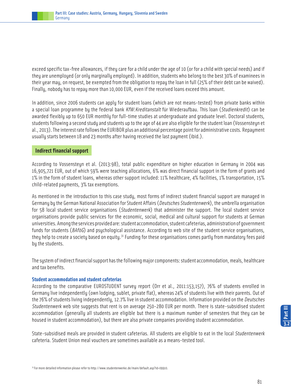

exceed specific tax-free allowances, if they care for a child under the age of 10 (or for a child with special needs) and if they are unemployed (or only marginally employed). In addition, students who belong to the best 30% of examinees in their year may, on request, be exempted from the obligation to repay the loan in full (25% of their debt can be waived). Finally, nobody has to repay more than 10,000 EUR, even if the received loans exceed this amount.

In addition, since 2006 students can apply for student loans (which are not means-tested) from private banks within a special loan programme by the federal bank KfW:Kreditanstalt für Wiederaufbau. This loan (Studienkredit) can be awarded flexibly up to 650 EUR monthly for full-time studies at undergraduate and graduate level. Doctoral students, students following a second studu and students up to the age of 44 are also eligible for the student loan (Vossensteun et al., 2013). The interest rate follows the EURIBOR plus an additional percentage point for administrative costs. Repayment usually starts between 18 and 23 months after having received the last payment (ibid.).

### **Indirect financial support**

According to Vossensteyn et al. (2013:98), total public expenditure on higher education in Germany in 2004 was 16,905,721 EUR, out of which 59% were teaching allocations, 6% was direct financial support in the form of grants and 1% in the form of student loans, whereas other support included: 11% healthcare, 4% facilities, 1% transportation, 15% child-related payments, 3% tax exemptions.

As mentioned in the introduction to this case study, most forms of indirect student financial support are managed in Germany by the German National Association for Student Affairs (Deutsches Studentenwerk), the umbrella organisation for 58 local student service organisations (Studentenwerk) that administer the support. The local student service organisations provide public services for the economic, social, medical and cultural support for students at German universities. Among the services provided are: student accommodation, student cafeterias, administration of government funds for students ( $BAf\ddot{o}G$ ) and psychological assistance. According to web site of the student service organisations, they help to create a society based on equity.<sup>31</sup> Funding for these organisations comes partly from mandatory fees paid by the students.

The system of indirect financial support has the following major components: student accommodation, meals, healthcare and tax benefits.

### **Student accommodation and student cafeterias**

According to the comparative EUROSTUDENT survey report (Orr et al., 2011:153,157), 76% of students enrolled in Germany live independently (own lodging, sublet, private flat), whereas 24% of students live with their parents. Out of the 76% of students living independently, 12.7% live in student accommodation. Information provided on the Deutsches Studentenwerk web site suggests that rent is on average 250-280 EUR per month. There is state-subsidised student accommodation (generally all students are eligible but there is a maximum number of semesters that they can be housed in student accommodation), but there are also private companies providing student accommodation.

State-subsidised meals are provided in student cafeterias. All students are eligible to eat in the local Studentenwerk cafeteria. Student Union meal vouchers are sometimes available as a means-tested tool.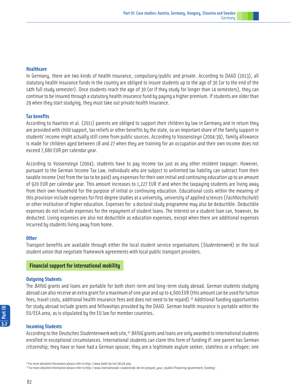In Germany, there are two kinds of health insurance, compulsory/public and private. According to DAAD (2013), all statutory health insurance funds in the country are obliged to insure students up to the age of 30 (or to the end of the 14th full study semester). Once students reach the age of 30 (or if they study for longer than 14 semesters), they can continue to be insured through a statutory health insurance fund by paying a higher premium. If students are older than 29 when they start studying, they must take out private health insurance.

### **Tax benefits**

According to Haaristo et al. (2011) parents are obliged to support their children by law in Germany and in return they are provided with child support, tax reliefs or other benefits by the state, so an important share of the family support in students' income might actually still come from public sources. According to Vossensteyn (2004:39), family allowance is made for children aged between 18 and 27 when they are training for an occupation and their own income does not exceed 7,680 EUR per calendar year.

According to Vossensteyn (2004), students have to pay income tax just as any other resident taxpayer. However, pursuant to the German Income Tax Law, individuals who are subject to unlimited tax liability can subtract from their taxable income (not from the tax to be paid) any expenses for their own initial and continuing education up to an amount of 920 EUR per calendar year. This amount increases to 1,227 EUR if and when the taxpaying students are living away from their own household for the purpose of initial or continuing education. Educational costs within the meaning of this provision include expenses for first degree studies at a university, university of applied sciences (Fachhochschule) or other institution of higher education. Expenses for a doctoral study programme may also be deductible. Deductible expenses do not include expenses for the repayment of student loans. The interest on a student loan can, however, be deducted. Living expenses are also not deductible as education expenses, except when there are additional expenses incurred by students living away from home.

### **Other**

Transport benefits are available through either the local student service organisations (Studentenwerk) or the local student union that negotiate framework agreements with local public transport providers.

# **Financial support for international mobility**

### **Outgoing Students**

The BAföG grants and loans are portable for both short-term and long-term study abroad. German students studying abroad can also receive an extra grant for a maximum of one year and up to 4,600 EUR (this amount can be used for tuition fees, travel costs, additional health insurance fees and does not need to be repaid).<sup>32</sup> Additional funding opportunities for study abroad include grants and fellowships provided by the DAAD. German health insurance is portable within the EU/EEA area, as is stipulated by the EU law for member countries.

### **Incoming Students**

According to the *Deutsches Studentenwerk* web site,<sup>33</sup> BAföG grants and loans are only awarded to international students enrolled in exceptional circumstances. International students can claim this form of funding if: one parent has German citizenship; they have or have had a German spouse; they are a legitimate asylum seeker, stateless or a refugee; one

<sup>32</sup>For more detailed information please refer to http://www.bmbf.de/en/18228.php.

<sup>33</sup> For more detailed information please refer to http://www.internationale-studierende.de/en/prepare\_your\_studies/financing/government\_funding/.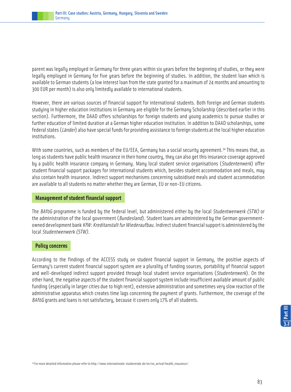

parent was legally employed in Germany for three years within six years before the beginning of studies, or they were legally employed in Germany for five years before the beginning of studies. In addition, the student loan which is available to German students (a low interest loan from the state granted for a maximum of 24 months and amounting to 300 EUR per month) is also only limitedly available to international students.

However, there are various sources of financial support for international students. Both foreign and German students studying in higher education institutions in Germany are eligible for the Germany Scholarship (described earlier in this section). Furthermore, the DAAD offers scholarships for foreign students and young academics to pursue studies or further education of limited duration at a German higher education institution. In addition to DAAD scholarships, some federal states (Länder) also have special funds for providing assistance to foreign students at the local higher education institutions.

With some countries, such as members of the EU/EEA, Germany has a social security agreement.<sup>34</sup> This means that, as long as students have public health insurance in their home country, they can also get this insurance coverage approved by a public health insurance company in Germany. Many local student service organisations (Studentenwerk) offer student financial support packages for international students which, besides student accommodation and meals, may also contain health insurance. Indirect support mechanisms concerning subsidised meals and student accommodation are available to all students no matter whether they are German, EU or non-EU citizens.

# **Management of student financial support**

The BAföG programme is funded by the federal level, but administered either by the local Studentwenwerk (STW) or the administration of the local government (Bundesland). Student loans are administered by the German governmentowned development bank KfW: Kreditanstalt fur Wiederaufbau. Indirect student financial support is administered by the local Studentwenwerk (STW).

# **Policy concerns**

According to the findings of the ACCESS study on student financial support in Germany, the positive aspects of Germany's current student financial support system are a plurality of funding sources, portability of financial support and well-developed indirect support provided through local student service organisations (Studentenwerk). On the other hand, the negative aspects of the student financial support system include insufficient available amount of public funding (especially in larger cities due to high rent), extensive administration and sometimes very slow reaction of the administrative apparatus which creates time lags concerning the payment of grants. Furthermore, the coverage of the BAföG grants and loans is not satisfactory, because it covers only 17% of all students.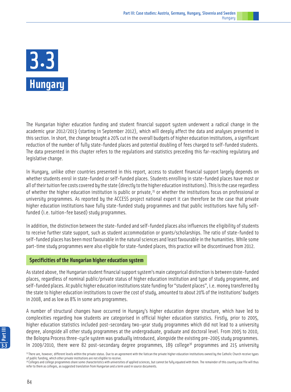# **Hungary** 3.3

The Hungarian higher education funding and student financial support system underwent a radical change in the academic year 2012/2013 (starting in September 2012), which will deeply affect the data and analyses presented in this section. In short, the change brought a 20% cut in the overall budgets of higher education institutions, a significant reduction of the number of fully state-funded places and potential doubling of fees charged to self-funded students. The data presented in this chapter refers to the regulations and statistics preceding this far-reaching regulatory and legislative change.

In Hungary, unlike other countries presented in this report, access to student financial support largely depends on whether students enrol in state-funded or self-funded places. Students enrolling in state-funded places have most or all of their tuition fee costs covered by the state (directly to the higher education institutions). This is the case regardless of whether the higher education institution is public or private,  $35$  or whether the institutions focus on professional or university programmes. As reported by the ACCESS project national expert it can therefore be the case that private higher education institutions have fully state-funded study programmes and that public institutions have fully selffunded (i.e. tuition-fee based) study programmes.

In addition, the distinction between the state-funded and self-funded places also influences the eligibility of students to receive further state support, such as student accommodation or grants/scholarships. The ratio of state-funded to self-funded places has been most favourable in the natural sciences and least favourable in the humanities. While some part-time study programmes were also eligible for state-funded places, this practice will be discontinued from 2012.

# **Specificities of the Hungarian higher education system**

As stated above, the Hungarian student financial support system's main categorical distinction is between state-funded places, regardless of nominal public/private status of higher education institution and type of study programme, and self-funded places. At public higher education institutions state funding for "student places", i.e. money transferred by the state to higher education institutions to cover the cost of study, amounted to about 20% of the institutions' budgets in 2008, and as low as 8% in some arts programmes.

A number of structural changes have occurred in Hungary's higher education degree structure, which have led to complexities regarding how students are categorised in official higher education statistics. Firstly, prior to 2005, higher education statistics included post-secondary two-year study programmes which did not lead to a university degree, alongside all other study programmes at the undergraduate, graduate and doctoral level. From 2005 to 2010, the Bologna Process three-cycle system was gradually introduced, alongside the existing pre-2005 study programmes. In 2009/2010, there were 82 post-secondary degree programmes, 189 college<sup>36</sup> programmes and 215 university

<sup>&</sup>lt;sup>35</sup> There are, however, different levels within the private status. Due to an agreement with the Vatican the private higher education institutions owned by the Catholic Church receive types of public funding, which other private institutions are not eligible to receive.

 $^{36}$ Colleges and college programmes share some characteristics with universities of applied sciences, but cannot be fully equated with them. The remainder of this country case file will thus refer to them as colleges, as suggested translation from Hungarian and a term used in source documents.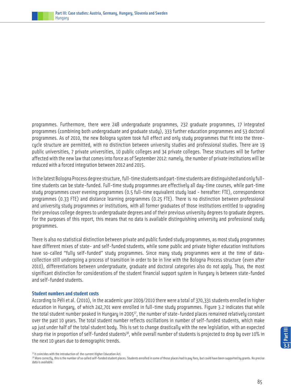

programmes. Furthermore, there were 248 undergraduate programmes, 232 graduate programmes, 17 integrated programmes (combining both undergraduate and graduate study), 333 further education programmes and 53 doctoral programmes. As of 2010, the new Bologna sustem took full effect and only study programmes that fit into the threecycle structure are permitted, with no distinction between university studies and professional studies. There are 19 public universities, 7 private universities, 10 public colleges and 34 private colleges. These structures will be further affected with the new law that comes into force as of September 2012: namely, the number of private institutions will be reduced with a forced integration between 2012 and 2015.

In the latest Bologna Process degree structure, full-time students and part-time students are distinguished and only fulltime students can be state-funded. Full-time study programmes are effectively all day-time courses, while part-time study programmes cover evening programmes (0.5 full-time equivalent study load - hereafter: FTE), correspondence programmes (0.33 FTE) and distance learning programmes (0.25 FTE). There is no distinction between professional and university study programmes or institutions, with all former graduates of those institutions entitled to upgrading their previous college degrees to undergraduate degrees and of their previous university degrees to graduate degrees. For the purposes of this report, this means that no data is available distinguishing university and professional study programmes.

There is also no statistical distinction between private and public funded study programmes, as most study programmes have different mixes of state- and self-funded students, while some public and private higher education institutions have so-called "fully self-funded" study programmes. Since many study programmes were at the time of datacollection still undergoing a process of transition in order to be in line with the Bologna Process structure (even after 2010), differentiations between undergraduate, graduate and doctoral categories also do not apply. Thus, the most significant distinction for considerations of the student financial support system in Hungary is between state-funded and self-funded students.

### **Student numbers and student costs**

According to Péli et al. (2010), in the academic year 2009/2010 there were a total of 370,331 students enrolled in higher education in Hungary, of which 242,701 were enrolled in full-time study programmes. Figure 3.2 indicates that while the total student number peaked in Hungary in 2005<sup>37</sup>, the number of state-funded places remained relatively constant over the past 10 years. The total student number reflects oscillations in number of self-funded students, which make up just under half of the total student body. This is set to change drastically with the new legislation, with an expected sharp rise in proportion of self-funded students<sup>38</sup>, while overall number of students is projected to drop by over 10% in the next 10 years due to demographic trends.

<sup>&</sup>lt;sup>37</sup> It coincides with the introduction of the current Higher Education Act.

<sup>38</sup> More correctly, this is the number of so called self-funded student places. Students enrolled in some of those places had to pay fees, but could have been supported by grants. No precise data is available.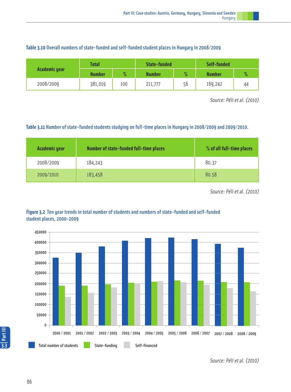| Table 3.10 Overall numbers of state-funded and self-funded student places in Hungary in 2008/2009 |  |
|---------------------------------------------------------------------------------------------------|--|
|---------------------------------------------------------------------------------------------------|--|

|               | Total         |      | State-funded |      | Self-funded   |               |
|---------------|---------------|------|--------------|------|---------------|---------------|
| Academic year | <b>Number</b> | $\%$ | Number       | $\%$ | <b>Number</b> | $\mathbf{O}/$ |
| 2008/2009     | 381,019       | 100  | 211,777      | 56   | 169,242       | 44            |

Source: Péli et al. (2010)

# **Table 3.11** Number of state-funded students studying on full-time places in Hungary in 2008/2009 and 2009/2010.

| <b>Academic year</b> | Number of state-funded full-time places | % of all full-time places |
|----------------------|-----------------------------------------|---------------------------|
| 2008/2009            | 184,243                                 | 80.37                     |
| 2009/2010            | 183,458                                 | 80.58                     |

Source: Péli et al. (2010)





Source: Péli et al. (2010)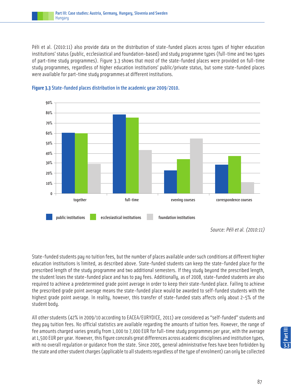Péli et al. (2010:11) also provide data on the distribution of state-funded places across types of higher education institutions' status (public, ecclesiastical and foundation-based) and study programme types (full-time and two types of part-time study programmes). Figure 3.3 shows that most of the state-funded places were provided on full-time study programmes, regardless of higher education institutions' public/private status, but some state-funded places were available for part-time study programmes at different institutions.





State-funded students pay no tuition fees, but the number of places available under such conditions at different higher education institutions is limited, as described above. State-funded students can keep the state-funded place for the prescribed length of the study programme and two additional semesters. If they study beyond the prescribed length, the student loses the state-funded place and has to pay fees. Additionally, as of 2008, state-funded students are also required to achieve a predetermined grade point average in order to keep their state-funded place. Failing to achieve the prescribed grade point average means the state-funded place would be awarded to self-funded students with the highest grade point average. In reality, however, this transfer of state-funded stats affects only about 2-5% of the student body.

All other students (42% in 2009/10 according to EACEA/EURYDICE, 2011) are considered as "self-funded" students and they pay tuition fees. No official statistics are available regarding the amounts of tuition fees. However, the range of fee amounts charged varies greatly from 1,000 to 7,000 EUR for full-time study programmes per year, with the average at 1,500 EUR per year. However, this figure conceals great differences across academic disciplines and institution types, with no overall regulation or guidance from the state. Since 2005, general administrative fees have been forbidden by the state and other student charges (applicable to all students regardless of the type of enrolment) can only be collected

Source: Péli et al. (2010:11)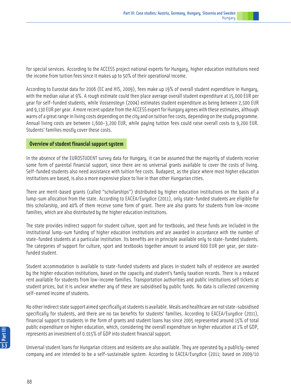for special services. According to the ACCESS project national experts for Hungary, higher education institutions need the income from tuition fees since it makes up to 50% of their operational income.

According to Eurostat data for 2006 (EC and HIS, 2009), fees make up 19% of overall student expenditure in Hungary, with the median value at 9%. A rough estimate could then place average overall student expenditure at 15,000 EUR per year for self-funded students, while Vossensteyn (2004) estimates student expenditure as being between 2,500 EUR and 9,130 EUR per year. A more recent update from the ACCESS expert for Hungary agrees with these estimates, although warns of a great range in living costs depending on the city and on tuition fee costs, depending on the study programme. Annual living costs are between 1,600-3,200 EUR, while paying tuition fees could raise overall costs to 9,200 EUR. Students' families mostly cover these costs.

# **Overview of student financial support system**

In the absence of the EUROSTUDENT survey data for Hungary, it can be assumed that the majority of students receive some form of parental financial support, since there are no universal grants available to cover the costs of living. Self-funded students also need assistance with tuition fee costs. Budapest, as the place where most higher education institutions are based, is also a more expensive place to live in than other Hungarian cities.

There are merit-based grants (called "scholarships") distributed by higher education institutions on the basis of a lump-sum allocation from the state. According to EACEA/Eurydice (2011), only state-funded students are eligible for this scholarship, and 40% of them receive some form of grant. There are also grants for students from low-income families, which are also distributed by the higher education institutions.

The state provides indirect support for student culture, sport and for textbooks, and these funds are included in the institutional lump-sum funding of higher education institutions and are awarded in accordance with the number of state-funded students at a particular institution. Its benefits are in principle available only to state-funded students. The categories of support for culture, sport and textbooks together amount to around 600 EUR per year, per statefunded student.

Student accommodation is available to state-funded students and places in student halls of residence are awarded by the higher education institutions, based on the capacity and student's family taxation records. There is a reduced rent available for students from low-income families. Transportation authorities and public institutions sell tickets at student prices, but it is unclear whether any of these are subsidised by public funds. No data is collected concerning self-earned income of students.

No other indirect state support aimed specifically at students is available. Meals and healthcare are not state-subsidised specifically for students, and there are no tax benefits for students' families. According to EACEA/Eurydice (2011), financial support to students in the form of grants and student loans has since 2005 represented around 15% of total public expenditure on higher education, which, considering the overall expenditure on higher education at 1% of GDP, represents an investment of 0.015% of GDP into student financial support.

Universal student loans for Hungarian citizens and residents are also available. They are operated by a publicly-owned company and are intended to be a self-sustainable system. According to EACEA/Eurydice (2011; based on 2009/10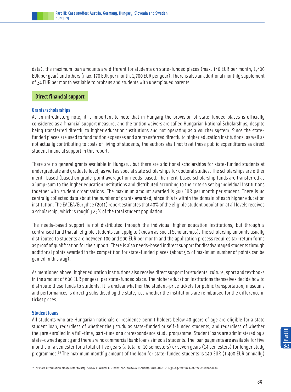data), the maximum loan amounts are different for students on state-funded places (max. 140 EUR per month, 1,400 EUR per year) and others (max. 170 EUR per month. 1,700 EUR per year). There is also an additional monthly supplement of 34 EUR per month available to orphans and students with unemployed parents.

# **Direct financial support**

### **Grants/scholarships**

As an introductory note, it is important to note that in Hungary the provision of state-funded places is officially considered as a financial support measure, and the tuition waivers are called Hungarian National Scholarships, despite being transferred directly to higher education institutions and not operating as a voucher system. Since the statefunded places are used to fund tuition expenses and are transferred directly to higher education institutions, as well as not actually contributing to costs of living of students, the authors shall not treat these public expenditures as direct student financial support in this report.

There are no general grants available in Hungary, but there are additional scholarships for state-funded students at undergraduate and graduate level, as well as special state scholarships for doctoral studies. The scholarships are either merit- based (based on grade-point average) or needs-based. The merit-based scholarship funds are transferred as a lump-sum to the higher education institutions and distributed according to the criteria set by individual institutions together with student organisations. The maximum amount awarded is 300 EUR per month per student. There is no centrally collected data about the number of grants awarded, since this is within the domain of each higher education institution. The EACEA/Eurydice (2011) report estimates that 40% of the eligible student population at all levels receives a scholarship, which is roughly 25% of the total student population.

The needs-based support is not distributed through the individual higher education institutions, but through a centralised fund that all eligible students can apply to (known as Social Scholarships). The scholarship amounts usually distributed to students are between 100 and 500 EUR per month and the application process requires tax-return forms as proof of qualification for the support. There is also needs-based indirect support for disadvantaged students through additional points awarded in the competition for state-funded places (about 9% of maximum number of points can be gained in this way).

As mentioned above, higher education institutions also receive direct support for students, culture, sport and textbooks in the amount of 600 EUR per year, per state-funded place. The higher education institutions themselves decide how to distribute these funds to students. It is unclear whether the student-price tickets for public transportation, museums and performances is directly subsidised by the state, i.e. whether the institutions are reimbursed for the difference in ticket prices.

### **Student loans**

All students who are Hungarian nationals or residence permit holders below 40 years of age are eligible for a state student loan, regardless of whether they study as state-funded or self-funded students, and regardless of whether they are enrolled in a full-time, part-time or a correspondence study programme. Student loans are administered by a state-owned agency and there are no commercial bank loans aimed at students. The loan payments are available for five months of a semester for a total of five years (a total of 10 semesters) or seven years (14 semesters) for longer study programmes.<sup>39</sup> The maximum monthly amount of the loan for state-funded students is 140 EUR (1,400 EUR annually)

**3.3Part III**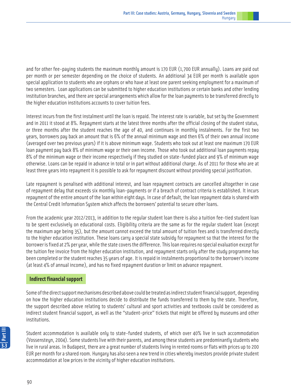and for other fee-paying students the maximum monthly amount is 170 EUR (1,700 EUR annually). Loans are paid out per month or per semester depending on the choice of students. An additional 34 EUR per month is available upon special application to students who are orphans or who have at least one parent seeking employment for a maximum of two semesters. Loan applications can be submitted to higher education institutions or certain banks and other lending institution branches, and there are special arrangements which allow for the loan payments to be transferred directly to the higher education institutions accounts to cover tuition fees.

Interest incurs from the first instalment until the loan is repaid. The interest rate is variable, but set by the Government and in 2011 it stood at 8%. Repayment starts at the latest three months after the official closing of the student status, or three months after the student reaches the age of 40, and continues in monthly instalments. For the first two years, borrowers pay back an amount that is 6% of the annual minimum wage and then 6% of their own annual income (averaged over two previous years) if it is above minimum wage. Students who took out at least one maximum 170 EUR loan payment pay back 8% of minimum wage or their own income. Those who took out additional loan payments repay 8% of the minimum wage or their income respectively if they studied on state-funded place and 9% of minimum wage otherwise. Loans can be repaid in advance in total or in part without additional charge. As of 2011 for those who are at least three years into repayment it is possible to ask for repayment discount without providing special justification.

Late repayment is penalised with additional interest, and loan repayment contracts are cancelled altogether in case of repayment delay that exceeds six monthly loan-payments or if a breach of contract criteria is established. It incurs repayment of the entire amount of the loan within eight days. In case of default, the loan repayment data is shared with the Central Credit Information System which affects the borrowers' potential to secure other loans.

From the academic year 2012/2013, in addition to the regular student loan there is also a tuition fee-tied student loan to be spent exclusively on educational costs. Eligibility criteria are the same as for the regular student loan (except the maximum age being 35), but the amount cannot exceed the total amount of tuition fees and is transferred directly to the higher education institution. These loans carry a special state subsidy for repayment so that the interest for the borrower is fixed at 2% per year, while the state covers the difference. This loan requires no special evaluation except for the tuition fee invoice from the higher education institution, and repayment starts only after the study programme has been completed or the student reaches 35 years of age. It is repaid in instalments proportional to the borrower's income (at least 4% of annual income), and has no fixed repayment duration or limit on advance repayment.

# **Indirect financial support**

Some of the direct support mechanisms described above could be treated as indirect student financial support, depending on how the higher education institutions decide to distribute the funds transferred to them by the state. Therefore, the support described above relating to students' cultural and sport activities and textbooks could be considered as indirect student financial support, as well as the "student-price" tickets that might be offered by museums and other institutions.

Student accommodation is available only to state-funded students, of which over 40% live in such accommodation (Vossensteyn, 2004). Some students live with their parents, and among these students are predominantly students who live in rural areas. In Budapest, there are a great number of students living in rented rooms or flats with prices up to 200 EUR per month for a shared room. Hungary has also seen a new trend in cities whereby investors provide private student accommodation at low prices in the vicinity of higher education institutions.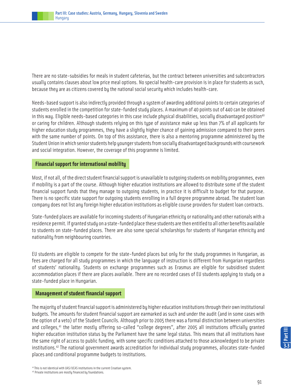There are no state-subsidies for meals in student cafeterias, but the contract between universities and subcontractors usually contains clauses about low price meal options. No special health-care provision is in place for students as such, because they are as citizens covered by the national social security which includes health-care.

Needs-based support is also indirectly provided through a system of awarding additional points to certain categories of students enrolled in the competition for state-funded study places. A maximum of 40 points out of 440 can be obtained in this way. Eligible needs-based categories in this case include physical disabilities, socially disadvantaged position<sup>40</sup> or caring for children. Although students relying on this type of assistance make up less than 7% of all applicants for higher education study programmes, they have a slightly higher chance of gaining admission compared to their peers with the same number of points. On top of this assistance, there is also a mentoring programme administered by the Student Union in which senior students help younger students from socially disadvantaged backgrounds with coursework and social integration. However, the coverage of this programme is limited.

# **Financial support for international mobility**

Most, if not all, of the direct student financial support is unavailable to outgoing students on mobility programmes, even if mobility is a part of the course. Although higher education institutions are allowed to distribute some of the student financial support funds that they manage to outgoing students, in practice it is difficult to budget for that purpose. There is no specific state support for outgoing students enrolling in a full degree programme abroad. The student loan company does not list any foreign higher education institutions as eligible course providers for student loan contracts.

State-funded places are available for incoming students of Hungarian ethnicity or nationality and other nationals with a residence permit. If granted study on a state-funded place these students are then entitled to all other benefits available to students on state-funded places. There are also some special scholarships for students of Hungarian ethnicity and nationality from neighbouring countries.

EU students are eligible to compete for the state-funded places but only for the study programmes in Hungarian, as fees are charged for all study programmes in which the language of instruction is different from Hungarian regardless of students' nationality. Students on exchange programmes such as Erasmus are eligible for subsidised student accommodation places if there are places available. There are no recorded cases of EU students applying to study on a state-funded place in Hungarian.

# **Management of student financial support**

The majority of student financial support is administered by higher education institutions through their own institutional budgets. The amounts for student financial support are earmarked as such and under the audit (and in some cases with the option of a veto) of the Student Councils. Although prior to 2005 there was a formal distinction between universities and colleges,<sup>41</sup> the latter mostly offering so-called "college degrees", after 2005 all institutions officially granted higher education institution status by the Parliament have the same legal status. This means that all institutions have the same right of access to public funding, with some specific conditions attached to those acknowledged to be private institutions.42 The national government awards accreditation for individual study programmes, allocates state-funded places and conditional programme budgets to institutions.

<sup>41</sup>This is not identical with UAS/UCAS institutions in the current Croatian system.

<sup>42</sup> Private institutions are mostly financed by foundations.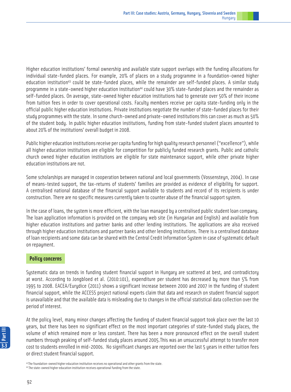Higher education institutions' formal ownership and available state support overlaps with the funding allocations for individual state-funded places. For example, 20% of places on a study programme in a foundation-owned higher education institution<sup>43</sup> could be state-funded places, while the remainder are self-funded places. A similar study programme in a state-owned higher education institution<sup>44</sup> could have 30% state-funded places and the remainder as self-funded places. On average, state-owned higher education institutions had to generate over 50% of their income from tuition fees in order to cover operational costs. Faculty members receive per capita state-funding only in the official public higher education institutions. Private institutions negotiate the number of state-funded places for their study programmes with the state. In some church-owned and private-owned institutions this can cover as much as 50% of the student body. In public higher education institutions, funding from state-funded student places amounted to about 20% of the institutions' overall budget in 2008.

Public higher education institutions receive per capita funding for high quality research personnel ("excellence"), while all higher education institutions are eligible for competition for publicly funded research grants. Public and catholic church owned higher education institutions are eligible for state maintenance support, while other private higher education institutions are not.

Some scholarships are managed in cooperation between national and local governments (Vossensteyn, 2004). In case of means-tested support, the tax-returns of students' families are provided as evidence of eligibility for support. A centralised national database of the financial support available to students and record of its recipients is under construction. There are no specific measures currently taken to counter abuse of the financial support system.

In the case of loans, the system is more efficient, with the loan managed by a centralised public student loan company. The loan application information is provided on the company web site (in Hungarian and English) and available from higher education institutions and partner banks and other lending institutions. The applications are also received through higher education institutions and partner banks and other lending institutions. There is a centralised database of loan recipients and some data can be shared with the Central Credit Information System in case of systematic default on repayment.

# **Policy concerns**

Systematic data on trends in funding student financial support in Hungary are scattered at best, and contradictory at worst. According to Jongbloed et al. (2010:101), expenditure per student has decreased by more than 5% from 1995 to 2008. EACEA/Eurydice (2011) shows a significant increase between 2000 and 2007 in the funding of student financial support, while the ACCESS project national experts claim that data and research on student financial support is unavailable and that the available data is misleading due to changes in the official statistical data collection over the period of interest.

At the policy level, many minor changes affecting the funding of student financial support took place over the last 10 years, but there has been no significant effect on the most important categories of state-funded study places, the volume of which remained more or less constant. There has been a more pronounced effect on the overall student numbers through peaking of self-funded study places around 2005.This was an unsuccessful attempt to transfer more cost to students enrolled in mid-2000s. No significant changes are reported over the last 5 years in either tuition fees or direct student financial support.

<sup>43</sup> The foundation-owned higher education institution receives no operational and other grants from the state.

<sup>44</sup> The state-owned higher education institution receives operational funding from the state.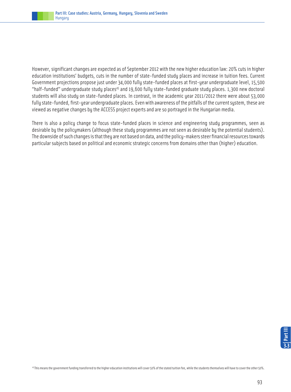

However, significant changes are expected as of September 2012 with the new higher education law: 20% cuts in higher education institutions' budgets, cuts in the number of state-funded study places and increase in tuition fees. Current Government projections propose just under 34,000 fully state-funded places at first-year undergraduate level, 15,500 "half-funded" undergraduate study places<sup>45</sup> and 19,600 fully state-funded graduate study places. 1,300 new doctoral students will also study on state-funded places. In contrast, in the academic year 2011/2012 there were about 53,000 fully state-funded, first-year undergraduate places. Even with awareness of the pitfalls of the current system, these are viewed as negative changes by the ACCESS project experts and are so portrayed in the Hungarian media.

There is also a policy change to focus state-funded places in science and engineering study programmes, seen as desirable by the policymakers (although these study programmes are not seen as desirable by the potential students). The downside of such changes is that they are not based on data, and the policy-makers steer financial resources towards particular subjects based on political and economic strategic concerns from domains other than (higher) education.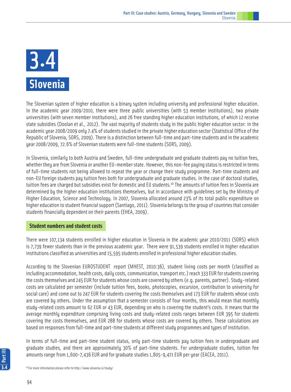# **Slovenia** 3.4

The Slovenian system of higher education is a binary system including university and professional higher education. In the academic year 2009/2010, there were three public universities (with 53 member institutions), two private universities (with seven member institutions), and 26 free standing higher education institutions, of which 12 receive state subsidies (Doolan et al., 2012). The vast majority of students study in the public higher education sector: in the academic year 2008/2009 only 7.4% of students studied in the private higher education sector (Statistical Office of the Republic of Slovenia, SORS, 2009). There is a distinction between full-time and part-time students and in the academic year 2008/2009, 72.6% of Slovenian students were full-time students (SORS, 2009).

In Slovenia, similarly to both Austria and Sweden, full-time undergraduate and graduate students pay no tuition fees, whether they are from Slovenia or another EU-member state. However, this non-fee paying status is restricted in terms of full-time students not being allowed to repeat the year or change their study programme. Part-time students and non-EU foreign students pay tuition fees both for undergraduate and graduate studies. In the case of doctoral studies, tuition fees are charged but subsidies exist for domestic and EU students.<sup>46</sup> The amounts of tuition fees in Slovenia are determined by the higher education institutions themselves, but in accordance with guidelines set by the Ministry of Higher Education, Science and Technology. In 2007, Slovenia allocated around 23% of its total public expenditure on higher education to student financial support (Santiago, 2011). Slovenia belongs to the group of countries that consider students financially dependent on their parents (EHEA, 2009).

# **Student numbers and student costs**

There were 107,134 students enrolled in higher education in Slovenia in the academic year 2010/2011 (SORS) which is 7,739 fewer students than in the previous academic year. There were 91,539 students enrolled in higher education institutions classified as universities and 15,595 students enrolled in professional higher education studies.

According to the Slovenian EUROSTUDENT report (MHEST, 2010:36), student living costs per month (classified as including accommodation, health costs, daily costs, communication, transport etc.) reach 333 EUR for students covering the costs themselves and 245 EUR for students whose costs are covered by others (e.g. parents, partner). Study-related costs are calculated per semester (include tuition fees, books, photocopies, excursion, contribution to university for social care) and come out to 247 EUR for students covering the costs themselves and 173 EUR for students whose costs are covered by others. Under the assumption that a semester consists of four months, this would mean that monthly study-related costs amount to 62 EUR or 43 EUR, depending on who is covering the student's costs. It means that the average monthly expenditure comprising living costs and study-related costs ranges between EUR 395 for students covering the costs themselves, and EUR 288 for students whose costs are covered by others. These calculations are based on responses from full-time and part-time students at different study programmes and types of institution.

In terms of full-time and part-time student status, only part-time students pay tuition fees in undergraduate and graduate studies, and there are approximately 30% of part-time students. For undergraduate studies, tuition fee amounts range from 1,600-7,436 EUR and for graduate studies 1,805-9,471 EUR per year (EACEA, 2011).

46 For more information please refer to http://www.slovenia.si/study/

94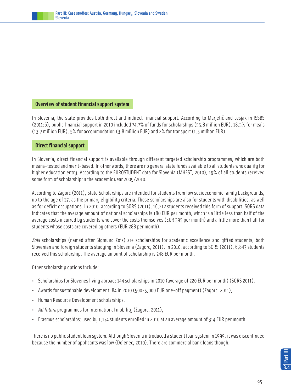

### **Overview of student financial support system**

In Slovenia, the state provides both direct and indirect financial support. According to Marjetič and Lesjak in ISSBS (2011:6), public financial support in 2010 included 74.7% of funds for scholarships (55.8 million EUR), 18.3% for meals (13.7 million EUR), 5% for accommodation (3.8 million EUR) and 2% for transport (1.5 million EUR).

### **Direct financial support**

In Slovenia, direct financial support is available through different targeted scholarship programmes, which are both means-tested and merit-based. In other words, there are no general state funds available to all students who qualify for higher education entry. According to the EUROSTUDENT data for Slovenia (MHEST, 2010), 19% of all students received some form of scholarship in the academic year 2009/2010.

According to Zagorc (2011), State Scholarships are intended for students from low socioeconomic family backgrounds, up to the age of 27, as the primary eligibility criteria. These scholarships are also for students with disabilities, as well as for deficit occupations. In 2010, according to SORS (2011), 16,212 students received this form of support. SORS data indicates that the average amount of national scholarships is 180 EUR per month, which is a little less than half of the average costs incurred by students who cover the costs themselves (EUR 395 per month) and a little more than half for students whose costs are covered by others (EUR 288 per month).

Zois scholarships (named after Sigmund Zois) are scholarships for academic excellence and gifted students, both Slovenian and foreign students studying in Slovenia (Zagorc, 2011). In 2010, according to SORS (2011), 6,843 students received this scholarship. The average amount of scholarship is 248 EUR per month.

Other scholarship options include:

- Scholarships for Slovenes living abroad: 144 scholarships in 2010 (average of 220 EUR per month) (SORS 2011),
- Awards for sustainable development: 84 in 2010 (500-5,000 EUR one-off payment) (Zagorc, 2011),
- Human Resource Development scholarships,
- Ad futura programmes for international mobility (Zagorc, 2011),
- Erasmus scholarships: used by 1,174 students enrolled in 2010 at an average amount of 314 EUR per month.

There is no public student loan system. Although Slovenia introduced a student loan system in 1999, it was discontinued because the number of applicants was low (Dolenec, 2010). There are commercial bank loans though.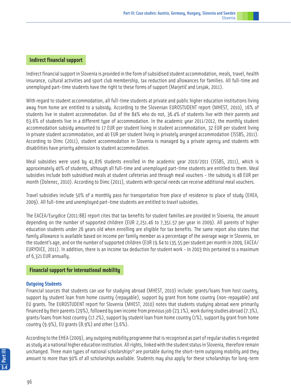# **Indirect financial support**

Indirect financial support in Slovenia is provided in the form of subsidised student accommodation, meals, travel, health insurance, cultural activities and sport club membership, tax reduction and allowances for families. All full-time and unemployed part-time students have the right to these forms of support (Marjetič and Lesjak, 2011).

With regard to student accommodation, all full-time students at private and public higher education institutions living away from home are entitled to a subsidy. According to the Slovenian EUROSTUDENT report (MHEST, 2010), 16% of students live in student accommodation. Out of the 84% who do not, 36.4% of students live with their parents and 63.6% of students live in a different type of accommodation. In the academic year 2011/2012, the monthly student accommodation subsidy amounted to 17 EUR per student living in student accommodation, 32 EUR per student living in private student accommodation, and 40 EUR per student living in privately arranged accommodation (ISSBS, 2011). According to Dimc (2011), student accommodation in Slovenia is managed by a private agency and students with disabilities have priority admission to student accommodation.

Meal subsidies were used by 41,876 students enrolled in the academic year 2010/2011 (ISSBS, 2011), which is approximately 40% of students, although all full-time and unemployed part-time students are entitled to them. Meal subsidies include both subsidised meals at student cafeterias and through meal vouchers - the subsidy is 48 EUR per month (Dolenec, 2010). According to Dimc (2011), students with special needs can receive additional meal vouchers.

Travel subsidies include 50% of a monthly pass for transportation from place of residence to place of study (EHEA, 2009). All full-time and unemployed part-time students are entitled to travel subsidies.

The EACEA/Eurydice (2011:88) report cites that tax benefits for student families are provided in Slovenia, the amount depending on the number of supported children (EUR 2,251.46 to 7,351.57 per year in 2009). All parents of higher education students under 26 years old when enrolling are eligible for tax benefits. The same report also states that family allowance is available based on income per family member as a percentage of the average wage in Slovenia, on the student's age, and on the number of supported children (EUR 19.64 to 135.55 per student per month in 2009, EACEA/ EURYDICE, 2011). In addition, there is an income tax deduction for student work - in 2003 this pertained to a maximum of 6,321 EUR annually.

### **Financial support for international mobility**

### **Outgoing Students**

Financial sources that students can use for studying abroad (MHEST, 2010) include: grants/loans from host country, support by student loan from home country (repayable), support by grant from home country (non-repayable) and EU grants. The EUROSTUDENT report for Slovenia (MHEST, 2010) notes that students studying abroad were primarily financed by their parents (29%), followed by own income from previous job (23.1%), work during studies abroad (7.3%), grants/loans from host country (17.2%), support by student loan from home country (1%), support by grant from home country (9.9%), EU grants (8.9%) and other (3.6%).

According to the EHEA (2009), any outgoing mobility programme that is recognised as part of regular studies is regarded as study at a national higher education institution. All rights, linked with the student status in Slovenia, therefore remain unchanged. Three main types of national scholarships<sup>47</sup> are portable during the short-term outgoing mobility and they amount to more than 90% of all scholarships available. Students may also apply for these scholarships for long-term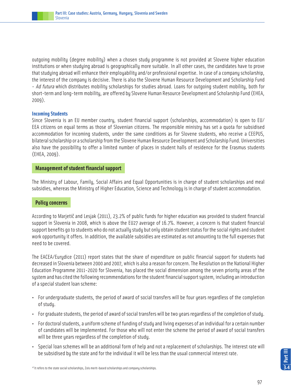outgoing mobility (degree mobility) when a chosen study programme is not provided at Slovene higher education institutions or when studying abroad is geographically more suitable. In all other cases, the candidates have to prove that studying abroad will enhance their employability and/or professional expertise. In case of a company scholarship, the interest of the company is decisive. There is also the Slovene Human Resource Development and Scholarship Fund - Ad futura which distributes mobility scholarships for studies abroad. Loans for outgoing student mobility, both for short-term and long-term mobility, are offered by Slovene Human Resource Development and Scholarship Fund (EHEA, 2009).

### **Incoming Students**

Since Slovenia is an EU member country, student financial support (scholarships, accommodation) is open to EU/ EEA citizens on equal terms as those of Slovenian citizens. The responsible ministry has set a quota for subsidised accommodation for incoming students, under the same conditions as for Slovene students, who receive a CEEPUS, bilateral scholarship or a scholarship from the Slovene Human Resource Development and Scholarship Fund. Universities also have the possibility to offer a limited number of places in student halls of residence for the Erasmus students (EHEA, 2009).

### **Management of student financial support**

The Ministry of Labour, Family, Social Affairs and Equal Opportunities is in charge of student scholarships and meal subsidies, whereas the Ministry of Higher Education, Science and Technology is in charge of student accommodation.

# **Policy concerns**

According to Marjetič and Lesjak (2011), 23.2% of public funds for higher education was provided to student financial support in Slovenia in 2008, which is above the EU27 average of 16.7%. However, a concern is that student financial support benefits go to students who do not actually study but only obtain student status for the social rights and student work opportunity it offers. In addition, the available subsidies are estimated as not amounting to the full expenses that need to be covered.

The EACEA/Eurydice (2011) report states that the share of expenditure on public financial support for students had decreased in Slovenia between 2000 and 2007, which is also a reason for concern. The Resolution on the National Higher Education Programme 2011-2020 for Slovenia, has placed the social dimension among the seven priority areas of the system and has cited the following recommendations for the student financial support system, including an introduction of a special student loan scheme:

- For undergraduate students, the period of award of social transfers will be four years regardless of the completion of study.
- For graduate students, the period of award of social transfers will be two years regardless of the completion of study.
- For doctoral students, a uniform scheme of funding of study and living expenses of an individual for a certain number of candidates will be implemented. For those who will not enter the scheme the period of award of social transfers will be three years regardless of the completion of study.
- Special loan schemes will be an additional form of help and not a replacement of scholarships. The interest rate will be subsidised by the state and for the individual it will be less than the usual commercial interest rate.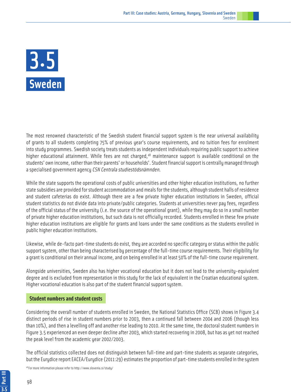

The most renowned characteristic of the Swedish student financial support system is the near universal availability of grants to all students completing 75% of previous year's course requirements, and no tuition fees for enrolment into study programmes. Swedish society treats students as independent individuals requiring public support to achieve higher educational attainment. While fees are not charged,<sup>48</sup> maintenance support is available conditional on the students' own income, rather than their parents' or households'. Student financial support is centrally managed through a specialised government agency CSN Centrala studiestödsnämnden.

While the state supports the operational costs of public universities and other higher education institutions, no further state subsidies are provided for student accommodation and meals for the students, although student halls of residence and student cafeterias do exist. Although there are a few private higher education institutions in Sweden, official student statistics do not divide data into private/public categories. Students at universities never pay fees, regardless of the official status of the university (i.e. the source of the operational grant), while they may do so in a small number of private higher education institutions, but such data is not officially recorded. Students enrolled in these few private higher education institutions are eligible for grants and loans under the same conditions as the students enrolled in public higher education institutions.

Likewise, while de-facto part-time students do exist, they are accorded no specific category or status within the public support system, other than being characterised by percentage of the full-time course requirements. Their eligibility for a grant is conditional on their annual income, and on being enrolled in at least 50% of the full-time course requirement.

Alongside universities, Sweden also has higher vocational education but it does not lead to the university-equivalent degree and is excluded from representation in this study for the lack of equivalent in the Croatian educational system. Higher vocational education is also part of the student financial support system.

# **Student numbers and student costs**

Considering the overall number of students enrolled in Sweden, the National Statistics Office (SCB) shows in Figure 3.4 distinct periods of rise in student numbers prior to 2003, then a continued fall between 2004 and 2006 (though less than 10%), and then a levelling off and another rise leading to 2010. At the same time, the doctoral student numbers in Figure 3.5 experienced an even deeper decline after 2003, which started recovering in 2008, but has as yet not reached the peak level from the academic year 2002/2003.

The official statistics collected does not distinguish between full-time and part-time students as separate categories, but the Eurydice report EACEA/Eurydice (2011:29) estimates the proportion of part-time students enrolled in the system

48 For more information please refer to http://www.slovenia.si/study/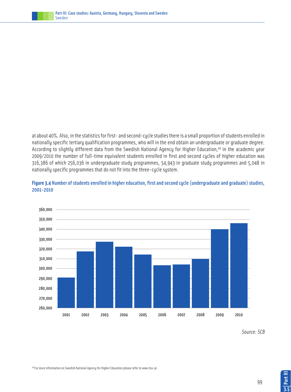

at about 40%. Also, in the statistics for first- and second-cycle studies there is a small proportion of students enrolled in nationally specific tertiary qualification programmes, who will in the end obtain an undergraduate or graduate degree. According to slightly different data from the Swedish National Agency for Higher Education,<sup>49</sup> in the academic year 2009/2010 the number of full-time equivalent students enrolled in first and second cycles of higher education was 316,386 of which 256,036 in undergraduate study programmes, 54,943 in graduate study programmes and 5,048 in nationally specific programmes that do not fit into the three-cycle system.



**Figure 3.4** Number of students enrolled in higher education, first and second cycle (undergraduate and graduate) studies, 2001-2010

Source: SCB

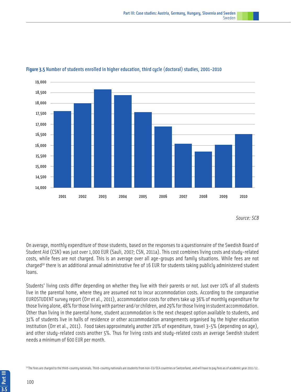

### **Figure 3.5** Number of students enrolled in higher education, third cycle (doctoral) studies, 2001-2010

Source: SCB

On average, monthly expenditure of those students, based on the responses to a questionnaire of the Swedish Board of Student Aid (CSN) was just over 1,000 EUR (Sauli, 2007; CSN, 2011a). This cost combines living costs and study-related costs, while fees are not charged. This is an average over all age-groups and family situations. While fees are not charged<sup>50</sup> there is an additional annual administrative fee of 16 EUR for students taking publicly administered student loans.

Students' living costs differ depending on whether they live with their parents or not. Just over 10% of all students live in the parental home, where they are assumed not to incur accommodation costs. According to the comparative EUROSTUDENT survey report (Orr et al., 2011), accommodation costs for others take up 36% of monthly expenditure for those living alone, 48% for those living with partner and/or children, and 29% for those living in student accommodation. Other than living in the parental home, student accommodation is the next cheapest option available to students, and 31% of students live in halls of residence or other accommodation arrangements organised by the higher education institution (Orr et al., 2011). Food takes approximately another 20% of expenditure, travel 3-5% (depending on age), and other study-related costs another 5%. Thus for living costs and study-related costs an average Swedish student needs a minimum of 600 EUR per month.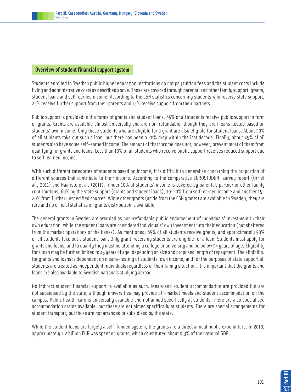

# **Overview of student financial support system**

Students enrolled in Swedish public higher education institutions do not pay tuition fees and the student costs include living and administrative costs as described above. Those are covered through parental and other family support, grants, student loans and self-earned income. According to the CSN statistics concerning students who receive state support, 25% receive further support from their parents and 15% receive support from their partners.

Public support is provided in the forms of grants and student loans. 65% of all students receive public support in form of grants. Grants are available almost universally and are non-refundable, though they are means-tested based on students' own income. Only those students who are eligible for a grant are also eligible for student loans. About 50% of all students take out such a loan, but there has been a 20% drop within the last decade. Finally, about 45% of all students also have some self-earned income. The amount of that income does not, however, prevent most of them from qualifying for grants and loans. Less than 10% of all students who receive public support receives reduced support due to self-earned income.

With such different categories of students based on income, it is difficult to generalise concerning the proportion of different sources that contribute to their income. According to the comparative EUROSTUDENT survey report (Orr et al., 2011) and Haaristo et al. (2011), under 10% of students' income is covered by parental, partner or other family contributions, 60% by the state support (grants and student loans), 10-20% from self-earned income and another 15- 20% from further unspecified sources. While other grants (aside from the CSN grants) are available in Sweden, they are rare and no official statistics on grants distribution is available.

The general grants in Sweden are awarded as non-refundable public endorsement of individuals' investment in their own education, while the student loans are considered individuals' own investment into their education (but sheltered from the market operations of the banks). As mentioned, 65% of all students receive grants, and approximately 50% of all students take out a student loan. Only grant-receiving students are eligible for a loan. Students must apply for grants and loans, and to qualify they must be attending a college or university and be below 54 years of age. Eligibility for a loan may be further limited to 45 years of age, depending on size and proposed length of repayment. The eligibility for grants and loans is dependent on means-testing of students' own income, and for the purposes of state support all students are treated as independent individuals regardless of their family situation. It is important that the grants and loans are also available to Swedish nationals studying abroad.

No indirect student financial support is available as such. Meals and student accommodation are provided but are not subsidised by the state, although universities may provide off-market meals and student accommodation on the campus. Public health-care is universally available and not aimed specifically at students. There are also specialised accommodation grants available, but these are not aimed specifically at students. There are special arrangements for student transport, but those are not arranged or subsidised by the state.

While the student loans are largely a self-funded system, the grants are a direct annual public expenditure. In 2010, approximately 1.2 billion EUR was spent on grants, which constituted about 0.3% of the national GDP.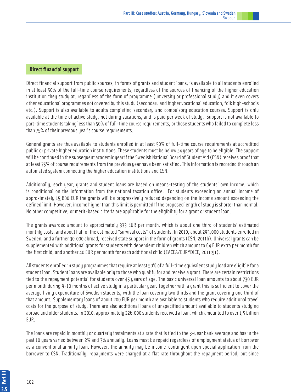Direct financial support from public sources, in forms of grants and student loans, is available to all students enrolled in at least 50% of the full-time course requirements, regardless of the sources of financing of the higher education institution they study at, regardless of the form of programme (university or professional study) and it even covers other educational programmes not covered by this study (secondary and higher vocational education, folk high-schools etc.). Support is also available to adults completing secondary and compulsory education courses. Support is only available at the time of active study, not during vacations, and is paid per week of study. Support is not available to part-time students taking less than 50% of full-time course requirements, or those students who failed to complete less than 75% of their previous year's course requirements.

General grants are thus available to students enrolled in at least 50% of full-time course requirements at accredited public or private higher education institutions. These students must be below 54 years of age to be eligible. The support will be continued in the subsequent academic year if the Swedish National Board of Student Aid (CSN) receives proof that at least 75% of course requirements from the previous year have been satisfied. This information is recorded through an automated system connecting the higher education institutions and CSN.

Additionally, each year, grants and student loans are based on means-testing of the students' own income, which is conditional on the information from the national taxation office. For students exceeding an annual income of approximately 15,800 EUR the grants will be progressively reduced depending on the income amount exceeding the defined limit. However, income higher than this limit is permitted if the proposed length of study is shorter than normal. No other competitive, or merit-based criteria are applicable for the eligibility for a grant or student loan.

The grants awarded amount to approximately 333 EUR per month, which is about one third of students' estimated monthly costs, and about half of the estimated "survival costs" of students. In 2010, about 293,000 students enrolled in Sweden, and a further 30,000 abroad, received state support in the form of grants (CSN, 2011b). Universal grants can be supplemented with additional grants for students with dependent children which amount to 64 EUR extra per month for the first child, and another 40 EUR per month for each additional child (EACEA/EURYDICE, 2011:91).

All students enrolled in study programmes that require at least 50% of a full-time equivalent study load are eligible for a student loan. Student loans are available only to those who qualify for and receive a grant. There are certain restrictions tied to the repayment potential for students over 45 years of age. The basic universal loan amounts to about 730 EUR per month during 9-10 months of active study in a particular year. Together with a grant this is sufficient to cover the average living expenditure of Swedish students, with the loan covering two thirds and the grant covering one third of that amount. Supplementary loans of about 200 EUR per month are available to students who require additional travel costs for the purpose of study. There are also additional loans of unspecified amount available to students studying abroad and older students. In 2010, approximately 226,000 students received a loan, which amounted to over 1,5 billion EUR.

The loans are repaid in monthly or quarterly instalments at a rate that is tied to the 3-year bank average and has in the past 10 years varied between 2% and 3% annually. Loans must be repaid regardless of employment status of borrower as a conventional annuity loan. However, the annuity may be income-contingent upon special application from the borrower to CSN. Traditionally, repayments were charged at a flat rate throughout the repayment period, but since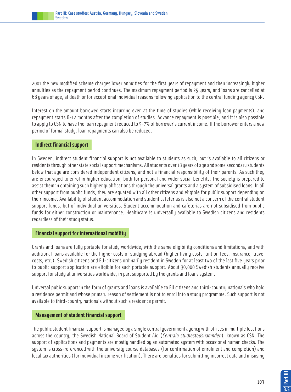2001 the new modified scheme charges lower annuities for the first years of repayment and then increasingly higher annuities as the repayment period continues. The maximum repayment period is 25 years, and loans are cancelled at 68 years of age, at death or for exceptional individual reasons following application to the central funding agency CSN.

Interest on the amount borrowed starts incurring even at the time of studies (while receiving loan payments), and repayment starts 6-12 months after the completion of studies. Advance repayment is possible, and it is also possible to apply to CSN to have the loan repayment reduced to 5-7% of borrower's current income. If the borrower enters a new period of formal study, loan repayments can also be reduced.

# **Indirect financial support**

In Sweden, indirect student financial support is not available to students as such, but is available to all citizens or residents through other state social support mechanisms. All students over 18 years of age and some secondary students below that age are considered independent citizens, and not a financial responsibility of their parents. As such they are encouraged to enrol in higher education, both for personal and wider social benefits. The society is prepared to assist them in obtaining such higher qualifications through the universal grants and a system of subsidised loans. In all other support from public funds, they are equated with all other citizens and eligible for public support depending on their income. Availability of student accommodation and student cafeterias is also not a concern of the central student support funds, but of individual universities. Student accommodation and cafeterias are not subsidised from public funds for either construction or maintenance. Healthcare is universally available to Swedish citizens and residents regardless of their study status.

# **Financial support for international mobility**

Grants and loans are fully portable for study worldwide, with the same eligibility conditions and limitations, and with additional loans available for the higher costs of studying abroad (higher living costs, tuition fees, insurance, travel costs, etc.). Swedish citizens and EU-citizens ordinarily resident in Sweden for at least two of the last five years prior to public support application are eligible for such portable support. About 30,000 Swedish students annually receive support for study at universities worldwide, in part supported by the grants and loans system.

Universal pubic support in the form of grants and loans is available to EU citizens and third-country nationals who hold a residence permit and whose primary reason of settlement is not to enrol into a study programme. Such support is not available to third-country nationals without such a residence permit.

# **Management of student financial support**

The public student financial support is managed by a single central government agency with offices in multiple locations across the country, the Swedish National Board of Student Aid (Centrala studiestödsnämnden), known as CSN. The support of applications and payments are mostly handled by an automated system with occasional human checks. The system is cross-referenced with the university course databases (for confirmation of enrolment and completion) and local tax authorities (for individual income verification). There are penalties for submitting incorrect data and misusing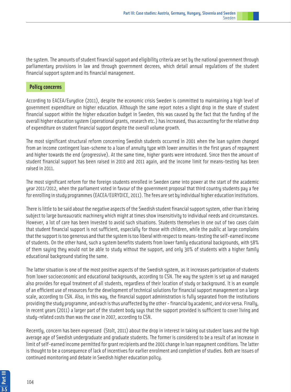the system. The amounts of student financial support and eligibility criteria are set by the national government through parliamentary provisions in law and through government decrees, which detail annual regulations of the student financial support system and its financial management.

# **Policy concerns**

According to EACEA/Eurydice (2011), despite the economic crisis Sweden is committed to maintaining a high level of government expenditure on higher education. Although the same report notes a slight drop in the share of student financial support within the higher education budget in Sweden, this was caused by the fact that the funding of the overall higher education system (operational grants, research etc.) has increased, thus accounting for the relative drop of expenditure on student financial support despite the overall volume growth.

The most significant structural reform concerning Swedish students occurred in 2001 when the loan system changed from an income contingent loan-scheme to a loan of annuity type with lower annuities in the first years of repayment and higher towards the end (progressive). At the same time, higher grants were introduced. Since then the amount of student financial support has been raised in 2010 and 2011 again, and the income limit for means-testing has been raised in 2011.

The most significant reform for the foreign students enrolled in Sweden came into power at the start of the academic year 2011/2012, when the parliament voted in favour of the government proposal that third country students pay a fee for enrolling in study programmes (EACEA/EURYDICE, 2011). The fees are set by individual higher education institutions.

There is little to be said about the negative aspects of the Swedish student financial support system, other than it being subject to large bureaucratic machinery which might at times show insensitivity to individual needs and circumstances. However, a lot of care has been invested to avoid such situations. Students themselves in one out of two cases claim that student financial support is not sufficient, especially for those with children, while the public at large complains that the support is too generous and that the system is too liberal with respect to means-testing the self-earned income of students. On the other hand, such a system benefits students from lower family educational backgrounds, with 58% of them saying they would not be able to study without the support, and only 30% of students with a higher family educational background stating the same.

The latter situation is one of the most positive aspects of the Swedish system, as it increases participation of students from lower socioeconomic and educational backgrounds, according to CSN. The way the system is set up and managed also provides for equal treatment of all students, regardless of their location of study or background. It is an example of an efficient use of resources for the development of technical solutions for financial support management on a large scale, according to CSN. Also, in this way, the financial support administration is fully separated from the institutions providing the study programme, and each is thus unaffected by the other - financial by academic, and vice versa. Finally, in recent years (2011) a larger part of the student body says that the support provided is sufficient to cover living and study-related costs than was the case in 2007, according to CSN.

Recently, concern has been expressed (Stolt, 2011) about the drop in interest in taking out student loans and the high average age of Swedish undergraduate and graduate students. The former is considered to be a result of an increase in limit of self-earned income permitted for grant recipients and the 2001 change in loan repayment conditions. The latter is thought to be a consequence of lack of incentives for earlier enrolment and completion of studies. Both are issues of continued monitoring and debate in Swedish higher education policy.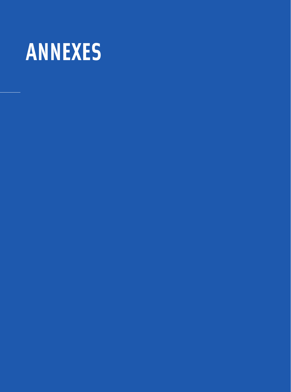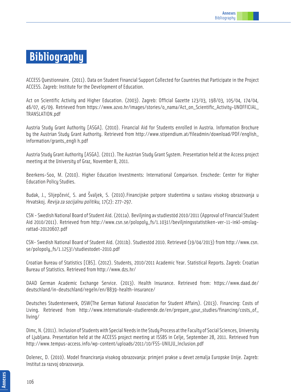# **Bibliography**

ACCESS Questionnaire. (2011). Data on Student Financial Support Collected for Countries that Participate in the Project ACCESS. Zagreb: Institute for the Development of Education.

Act on Scientific Activity and Higher Education. (2003). Zagreb: Official Gazette 123/03, 198/03, 105/04, 174/04, 46/07, 45/09. Retrieved from https://www.azvo.hr/images/stories/o\_nama/Act\_on\_Scientific\_Activity-UNOFFICIAL\_ TRANSLATION.pdf

Austria Study Grant Authority [ASGA]. (2010). Financial Aid for Students enrolled in Austria. Information Brochure by the Austrian Study Grant Authority. Retrieved from http://www.stipendium.at/fileadmin/download/PDF/english\_ information/grants\_engli h.pdf

Austria Study Grant Authority [ASGA]. (2011). The Austrian Study Grant System. Presentation held at the Access project meeting at the University of Graz, November 8, 2011.

Beerkens-Soo, M. (2010). Higher Education Investments: International Comparison. Enschede: Center for Higher Education Policy Studies.

Budak, J., Slijepčević, S. and Švaljek, S. (2010).Financijske potpore studentima u sustavu visokog obrazovanja u Hrvatskoj. Revija za socijalnu politiku, 17(2): 277-297.

CSN - Swedish National Board of Student Aid. (2011a). Beviljning av studiestöd 2010/2011 (Approval of Financial Student Aid 2010/2011). Retrieved from http://www.csn.se/polopoly\_fs/1.1031!/beviljningsstatistiken-ver-11-inkl-omslagrattad-20120607.pdf

CSN- Swedish National Board of Student Aid. (2011b). Studiestöd 2010. Retrieved (19/04/2013) from http://www.csn. se/polopoly\_fs/1.1253!/studiestodet-2010.pdf

Croatian Bureau of Statistics [CBS]. (2012). Students, 2010/2011 Academic Year. Statistical Reports. Zagreb: Croatian Bureau of Statistics. Retrieved from http://www.dzs.hr/

DAAD German Academic Exchange Service. (2013). Health Insurance. Retrieved from: https://www.daad.de/ deutschland/in-deutschland/regeln/en/8839-health-insurance/

Deutsches Studentenwerk, DSW(The German National Association for Student Affairs). (2013). Financing: Costs of Living. Retrieved from http://www.internationale-studierende.de/en/prepare\_your\_studies/financing/costs\_of\_ living/

Dimc, N. (2011). Inclusion of Students with Special Needs in the Study Process at the Faculty of Social Sciences, University of Ljubljana. Presentation held at the ACCESS project meeting at ISSBS in Celje, September 28, 2011. Retrieved from http://www.tempus-access.info/wp-content/uploads/2011/10/FSS-UNILJU\_Inclusion.pdf

Dolenec, D. (2010). Model financiranja visokog obrazovanja: primjeri prakse u devet zemalja Europske Unije. Zagreb: Institut za razvoj obrazovanja.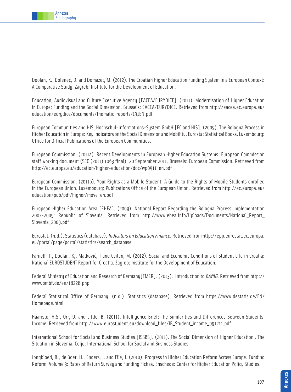

Doolan, K., Dolenec, D. and Domazet, M. (2012). The Croatian Higher Education Funding System in a European Context: A Comparative Study. Zagreb: Institute for the Development of Education.

Education, Audiovisual and Culture Executive Agency [EACEA/EURYDICE]. (2011). Modernisation of Higher Education in Europe: Funding and the Social Dimension. Brussels: EACEA/EURYDICE. Retrieved from http://eacea.ec.europa.eu/ education/eurydice/documents/thematic\_reports/131EN.pdf

European Communities and HIS, Hochschul-Informations-System GmbH [EC and HIS]. (2009). The Bologna Process in Higher Education in Europe: Key Indicators on the Social Dimension and Mobility. Eurostat Statistical Books. Luxembourg: Office for Official Publications of the European Communities.

European Commission. (2011a). Recent Developments in European Higher Education Systems. European Commission staff working document (SEC (2011) 1063 final), 20 September 2011. Brussels: European Commission. Retrieved from http://ec.europa.eu/education/higher-education/doc/wp0911\_en.pdf

European Commission. (2011b). Your Rights as a Mobile Student: A Guide to the Rights of Mobile Students enrolled in the European Union. Luxembourg: Publications Office of the European Union. Retrieved from http://ec.europa.eu/ education/pub/pdf/higher/move\_en.pdf

European Higher Education Area [EHEA]. (2009). National Report Regarding the Bologna Process Implementation 2007-2009: Republic of Slovenia. Retrieved from http://www.ehea.info/Uploads/Documents/National\_Report\_ Slovenia\_2009.pdf

Eurostat. (n.d.). Statistics (database). Indicators on Education Finance. Retrieved from http://epp.eurostat.ec.europa. eu/portal/page/portal/statistics/search\_database

Farnell, T., Doolan, K,. Matković, T and Cvitan, M. (2012). Social and Economic Conditions of Student Life in Croatia: National EUROSTUDENT Report for Croatia. Zagreb: Institute for the Development of Education.

Federal Ministry of Education and Research of Germany[FMER]. (2013). Introduction to BAföG. Retrieved from http:// www.bmbf.de/en/18228.php

Federal Statistical Office of Germany. (n.d.). Statistics (database). Retrieved from https://www.destatis.de/EN/ Homepage.html

Haaristo, H.S., Orr, D. and Little, B. (2011). Intelligence Brief: The Similarities and Differences Between Students' Income. Retrieved from http://www.eurostudent.eu/download\_files/IB\_Student\_income\_091211.pdf

International School for Social and Business Studies [ISSBS]. (2011). The Social Dimension of Higher Education . The Situation in Slovenia. Celje: International School for Social and Business Studies.

Jongbloed, B., de Boer, H., Enders, J. and File, J. (2010). Progress in Higher Education Reform Across Europe. Funding Reform. Volume 3: Rates of Return Survey and Funding Fiches. Enschede: Center for Higher Education Policy Studies.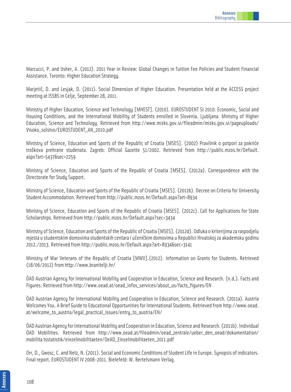Marcucci, P. and Usher, A. (2012). 2011 Year in Review: Global Changes in Tuition Fee Policies and Student Financial Assistance. Toronto: Higher Education Strategy.

Marjetič, D. and Lesjak, D. (2011). Social Dimension of Higher Education. Presentation held at the ACCESS project meeting at ISSBS in Celje, September 28, 2011.

Ministry of Higher Education, Science and Technology [MHEST]. (2010). EUROSTUDENT SI 2010: Economic, Social and Housing Conditions, and the International Mobility of Students enrolled in Slovenia. Ljubljana: Ministry of Higher Education, Science and Technology. Retrieved from http://www.mizks.gov.si/fileadmin/mizks.gov.si/pageuploads/ Visoko\_solstvo/EUROSTUDENT\_AN\_2010.pdf

Ministry of Science, Education and Sports of the Republic of Croatia [MSES]. (2002) Pravilnik o potpori za pokriće troškova prehrane studenata. Zagreb: Official Gazette 51/2002. Retrieved from http://public.mzos.hr/Default. aspx?art=5437&sec=2259

Ministry of Science, Education and Sports of the Republic of Croatia [MSES]. (2012a). Correspondence with the Directorate for Study Support.

Ministry of Science, Education and Sports of the Republic of Croatia [MSES]. (2012b). Decree on Criteria for University Student Accommodation. Retrieved from http://public.mzos.hr/Default.aspx?art=8934

Ministry of Science, Education and Sports of the Republic of Croatia [MSES]. (2012c). Call for Applications for State Scholarships. Retrieved from http://public.mzos.hr/Default.aspx?sec=3434

Ministry of Science, Education and Sports of the Republic of Croatia [MSES]. (2012d). Odluka o kriterijima za raspodjelu mjesta u studentskim domovima studentskih centara i učeničkim domovima u Republici Hrvatskoj za akademsku godinu 2012./2013. Retrieved from http://public.mzos.hr/Default.aspx?art=8934&sec=3141

Ministry of War Veterans of the Republic of Croatia [MWV].(2012). Information on Grants for Students. Retrieved (18/06/2012) from http://www.branitelji.hr/

ÖAD Austrian Agency for International Mobility and Cooperation in Education, Science and Research. (n.d.). Facts and Figures. Retrieved from http://www.oead.at/oead\_infos\_services/about\_us/facts\_figures/EN

ÖAD Austrian Agency for International Mobility and Cooperation in Education, Science and Research. (2011a). Austria Welcomes You. A Brief Guide to Educational Opportunities for International Students. Retrieved from http://www.oead. at/welcome\_to\_austria/legal\_practical\_issues/entry\_to\_austria/EN/

ÖAD Austrian Agency for International Mobility and Cooperation in Education, Science and Research. (2011b). Individual ÖAD Mobilities. Retrieved from http://www.oead.at/fileadmin/oead\_zentrale/ueber\_den\_oead/dokumentation/ mobilita tsstatistik/einzelmobilitaeten/OeAD\_Einzelmobilitaeten\_2011.pdf

Orr, D., Gwosc, C. and Netz, N. (2011). Social and Economic Conditions of Student Life in Europe. Synopsis of indicators. Final report. EUROSTUDENT IV 2008-2011. Bielefeld: W. Bertelsmann Verlag.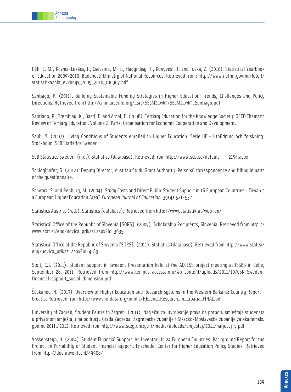

Péli, E. M., Kozma-Lukács, J., Csécsine, M. E., Hagymásy, T., Könyvesi, T. and Tuska, Z. (2010). Statistical Yearbook of Education 2009/2010. Budapest: Ministry of National Resources. Retrieved from: http://www.nefmi.gov.hu/letolt/ statisztika/okt\_evkonyv\_2009\_2010\_100907.pdf

Santiago, P. (2011). Building Sustainable Funding Strategies in Higher Education: Trends, Challenges and Policy Directions. Retrieved from http://cmimarseille.org/\_src/SELM2\_wk3/SELM2\_wk3\_Santiago.pdf

Santiago, P., Tremblay, K., Basri, E. and Arnal, E. (2008). Tertiary Education for the Knowledge Society: OECD Thematic Review of Tertiary Education. Volume 2. Paris: Organisation for Economic Cooperation and Development.

Sauli, S. (2007). Living Conditions of Students enrolled in Higher Education. Serie UF - Utbildning och forskning. Stockholm: SCB Statistics Sweden.

SCB Statistics Sweden. (n.d.). Statistics (database). Retrieved from http://www.scb.se/default\_\_\_\_2154.aspx

Schlöglhofer, G. (2012). Deputy Director, Austrian Study Grant Authority. Personal correspondence and filling in parts of the questionnaire.

Schwarz, S. and Rehburg, M. (2004). Study Costs and Direct Public Student Support in 16 European Countries - Towards a European Higher Education Area? European Journal of Education, 39(4):521-532.

Statistics Austria. (n.d.). Statistics (database). Retrieved from http://www.statistik.at/web\_en/

Statistical Office of the Republic of Slovenia [SORS]. (2009). Scholarship Recipients, Slovenia. Retrieved from http:// www.stat.si/eng/novica\_prikazi.aspx?id=3635

Statistical Office of the Republic of Slovenia [SORS]. (2011). Statistics (database). Retrieved from http://www.stat.si/ eng/novica\_prikazi.aspx?id=4189

Stolt, C.J. (2011). Student Support in Sweden. Presentation held at the ACCESS project meeting at ISSBS in Celje, September 28, 2011. Retrieved from http://www.tempus-access.info/wp-content/uploads/2011/10/CSN\_Swedenfinancial-support\_social-dimension.pdf

Šćukanec, N. (2013). Overview of Higher Education and Research Systems in the Western Balkans: Country Report - Croatia. Retrieved from http://www.herdata.org/public/HE\_and\_Research\_in\_Croatia\_FINAL.pdf

University of Zagreb, Student Centre in Zagreb. (2011). Natječaj za utvrdivanje prava na potporu smještaja studenata u privatnom smještaju na podrucju Grada Zagreba, Zagrebacke županije i Sisacko-Moslavacke županije za akademsku godinu 2011./2012. Retrieved from http://www.sczg.unizg.hr/media/uploads/smjestaj/2011/natjecaj\_s.pdf

Vossensteyn, H. (2004). Student Financial Support. An Inventory in 24 European Countries. Background Report for the Project on Portability of Student Financial Support. Enschede: Center for Higher Education Policy Studies. Retrieved from http://doc.utwente.nl/49908/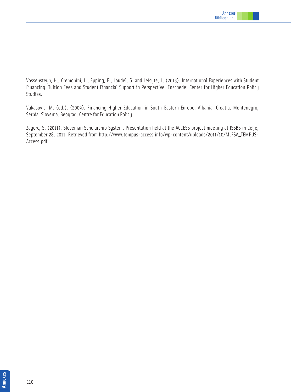

Vossensteyn, H., Cremonini, L., Epping, E., Laudel, G. and Leisyte, L. (2013). International Experiences with Student Financing. Tuition Fees and Student Financial Support in Perspective. Enschede: Center for Higher Education Policy Studies.

Vukasovic, M. (ed.). (2009). Financing Higher Education in South-Eastern Europe: Albania, Croatia, Montenegro, Serbia, Slovenia. Beograd: Centre for Education Policy.

Zagorc, S. (2011). Slovenian Scholarship System. Presentation held at the ACCESS project meeting at ISSBS in Celje, September 28, 2011. Retrieved from http://www.tempus-access.info/wp-content/uploads/2011/10/MLFSA\_TEMPUS-Access.pdf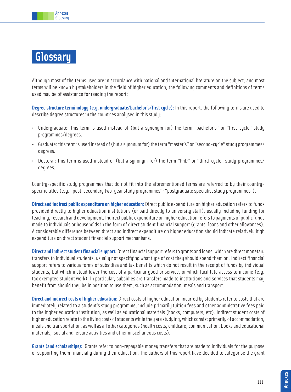

## **Glossary**

Although most of the terms used are in accordance with national and international literature on the subject, and most terms will be known bu stakeholders in the field of higher education, the following comments and definitions of terms used may be of assistance for reading the report:

**Degree structure terminology (e.g. undergraduate/bachelor's/first cycle):** In this report, the following terms are used to describe degree structures in the countries analysed in this study:

- Undergraduate: this term is used instead of (but a synonym for) the term "bachelor's" or "first-cycle" study programmes/degrees.
- Graduate: this term is used instead of (but a synonym for) the term "master's" or "second-cycle" study programmes/ degrees.
- Doctoral: this term is used instead of (but a synonym for) the term "PhD" or "third-cycle" study programmes/ degrees.

Country-specific study programmes that do not fit into the aforementioned terms are referred to by their countryspecific titles (e.g. "post-secondary two-year study programmes"; "postgraduate specialist study programmes").

**Direct and indirect public expenditure on higher education:** Direct public expenditure on higher education refers to funds provided directly to higher education institutions (or paid directly to university staff), usually including funding for teaching, research and development. Indirect public expenditure on higher education refers to payments of public funds made to individuals or households in the form of direct student financial support (grants, loans and other allowances). A considerable difference between direct and indirect expenditure on higher education should indicate relatively high expenditure on direct student financial support mechanisms.

**Direct and indirect student financial support:** Direct financial support refers to grants and loans, which are direct monetary transfers to individual students, usually not specifying what type of cost they should spend them on. Indirect financial support refers to various forms of subsidies and tax benefits which do not result in the receipt of funds by individual students, but which instead lower the cost of a particular good or service, or which facilitate access to income (e.g. tax exempted student work). In particular, subsidies are transfers made to institutions and services that students may benefit from should they be in position to use them, such as accommodation, meals and transport.

**Direct and indirect costs of higher education:** Direct costs of higher education incurred by students refer to costs that are immediately related to a student's study programme, include primarily tuition fees and other administrative fees paid to the higher education institution, as well as educational materials (books, computers, etc). Indirect student costs of higher education relate to the living costs of students while they are studying, which consist primarily of accommodation, meals and transportation, as well as all other categories (health costs, childcare, communication, books and educational materials, social and leisure activities and other miscellaneous costs).

**Grants (and scholarships):** Grants refer to non-repayable money transfers that are made to individuals for the purpose of supporting them financially during their education. The authors of this report have decided to categorise the grant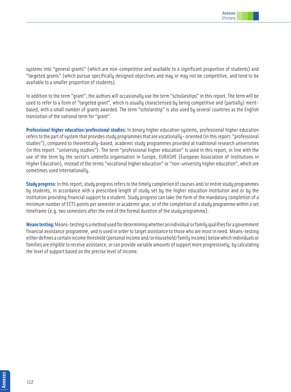systems into "general grants" (which are non-competitive and available to a significant proportion of students) and "targeted grants" (which pursue specifically designed objectives and may or may not be competitive, and tend to be available to a smaller proportion of students).

In addition to the term "grant", the authors will occasionally use the term "scholarships" in this report. The term will be used to refer to a form of "targeted grant", which is usually characterised by being competitive and (partially) meritbased, with a small number of grants awarded. The term "scholarship" is also used by several countries as the English translation of the national term for "grant".

**Professional higher education/professional studies:** In binary higher education systems, professional higher education refers to the part of system that provides study programmes that are vocationally- oriented (in this report: "professional studies"), compared to theoretically-based, academic study programmes provided at traditional research universities (in this report: "university studies"). The term "professional higher education" is used in this report, in line with the use of the term by the sector's umbrella organisation in Europe, EURASHE (European Association of Institutions in Higher Education), instead of the terms "vocational higher education" or "non-university higher education", which are sometimes used internationally.

**Study progress:** In this report, study progress refers to the timely completion of courses and/or entire study programmes by students, in accordance with a prescribed length of study set by the higher education institution and or by the institution providing financial support to a student. Study progress can take the form of the mandatory completion of a minimum number of ECTS points per semester or academic year, or of the completion of a study programme within a set timeframe (e.g. two semesters after the end of the formal duration of the study programme).

**Means testing:** Means-testing is a method used for determining whether an individual or family qualifies for a government financial assistance programme, and is used in order to target assistance to those who are most in need. Means-testing either defines a certain income threshold (personal income and/or household/family income) below which individuals or families are eligible to receive assistance, or can provide variable amounts of support more progressively, by calculating the level of support based on the precise level of income.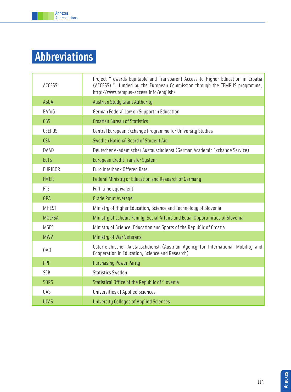

Annexes Abbreviations

| <b>ACCESS</b>  | Project "Towards Equitable and Transparent Access to Higher Education in Croatia<br>(ACCESS) ", funded by the European Commission through the TEMPUS programme,<br>http://www.tempus-access.info/enqlish/ |
|----------------|-----------------------------------------------------------------------------------------------------------------------------------------------------------------------------------------------------------|
| ASGA           | <b>Austrian Study Grant Authority</b>                                                                                                                                                                     |
| <b>BAföG</b>   | German Federal Law on Support in Education                                                                                                                                                                |
| <b>CBS</b>     | <b>Croatian Bureau of Statistics</b>                                                                                                                                                                      |
| CEEPUS         | Central European Exchange Programme for University Studies                                                                                                                                                |
| <b>CSN</b>     | Swedish National Board of Student Aid                                                                                                                                                                     |
| DAAD           | Deutscher Akademischer Austauschdienst (German Academic Exchange Service)                                                                                                                                 |
| <b>ECTS</b>    | <b>European Credit Transfer System</b>                                                                                                                                                                    |
| <b>EURIBOR</b> | Euro Interbank Offered Rate                                                                                                                                                                               |
| <b>FMER</b>    | Federal Ministry of Education and Research of Germany                                                                                                                                                     |
| <b>FTE</b>     | Full-time equivalent                                                                                                                                                                                      |
| GPA            | <b>Grade Point Average</b>                                                                                                                                                                                |
| <b>MHEST</b>   | Ministry of Higher Education, Science and Technology of Slovenia                                                                                                                                          |
| <b>MOLFSA</b>  | Ministry of Labour, Family, Social Affairs and Equal Opportunities of Slovenia                                                                                                                            |
| <b>MSES</b>    | Ministry of Science, Education and Sports of the Republic of Croatia                                                                                                                                      |
| <b>MWV</b>     | <b>Ministry of War Veterans</b>                                                                                                                                                                           |
| ÖAD            | Österreichischer Austauschdienst (Austrian Agency for International Mobility and<br>Cooperation in Education, Science and Research)                                                                       |
| PPP            | <b>Purchasing Power Parity</b>                                                                                                                                                                            |
| <b>SCB</b>     | <b>Statistics Sweden</b>                                                                                                                                                                                  |
| <b>SORS</b>    | Statistical Office of the Republic of Slovenia                                                                                                                                                            |
| <b>UAS</b>     | Universities of Applied Sciences                                                                                                                                                                          |
| <b>UCAS</b>    | <b>University Colleges of Applied Sciences</b>                                                                                                                                                            |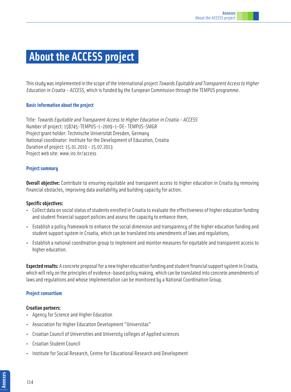### **About the ACCESS project�**

This studu was implemented in the scope of the international project *Towards Equitable and Transparent Access to Higher* Education in Croatia - ACCESS, which is funded by the European Commission through the TEMPUS programme.

#### **Basic information about the project**

Title: Towards Equitable and Transparent Access to Higher Education in Croatia - ACCESS Number of project: 158745-TEMPUS-1-2009-1-DE- TEMPUS-SMGR Project grant holder: Technische Universität Dresden, Germany National coordinator: Institute for the Development of Education, Croatia Duration of project: 15.01.2010 - 15.07.2013 Project web site: www.iro.hr/access

#### **Project summary**

**Overall objective:** Contribute to ensuring equitable and transparent access to higher education in Croatia by removing financial obstacles, improving data availability and building capacity for action.

#### **Specific objectives:**

- Collect data on social status of students enrolled in Croatia to evaluate the effectiveness of higher education funding and student financial support policies and assess the capacity to enhance them,
- Establish a policy framework to enhance the social dimension and transparency of the higher education funding and student support system in Croatia, which can be translated into amendments of laws and regulations,
- Establish a national coordination group to implement and monitor measures for equitable and transparent access to higher education.

**Expected results:** A concrete proposal for a new higher education funding and student financial support system in Croatia, which will rely on the principles of evidence-based policy making, which can be translated into concrete amendments of laws and regulations and whose implementation can be monitored by a National Coordination Group.

#### **Project consortium**

#### **Croatian partners:**

- Agency for Science and Higher Education
- Association for Higher Education Development "Universitas"
- Croatian Council of Universities and University colleges of Applied sciences
- Croatian Student Council
- Institute for Social Research, Centre for Educational Research and Development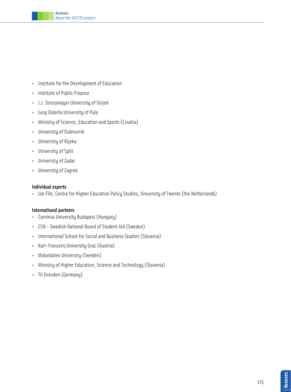- Institute for the Development of Education
- Institute of Public Finance
- J.J. Strossmayer University of Osijek
- Juraj Dobrila University of Pula
- Ministry of Science, Education and Sports (Croatia)
- University of Dubrovnik
- University of Rijeka
- University of Split
- University of Zadar
- University of Zagreb

#### **Individual experts**

• Jon File, Centre for Higher Education Policy Studies, University of Twente (the Netherlands)

#### **International partners**

- Corvinus University Budapest (Hungary)
- CSN Swedish National Board of Student Aid (Sweden)
- International School for Social and Business Studies (Slovenia)
- Karl-Franzens University Graz (Austria)
- Malardalen University (Sweden)
- Ministry of Higher Education, Science and Technology (Slovenia)
- TU Dresden (Germany)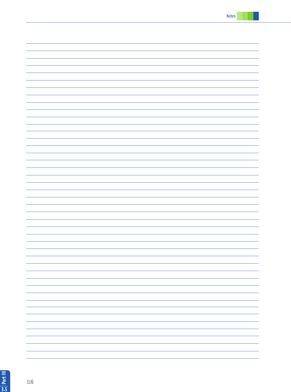| ۳ |
|---|
|   |
|   |
|   |
|   |
|   |
|   |
|   |
|   |
|   |
|   |
|   |
|   |
|   |
|   |
|   |
|   |
|   |
|   |
|   |
|   |
|   |
|   |
|   |
|   |
|   |
|   |
|   |
|   |
|   |
|   |
|   |
|   |
|   |
|   |
|   |
|   |
|   |
|   |
|   |
|   |
|   |
|   |
|   |
| - |
|   |
|   |
|   |
|   |
|   |
|   |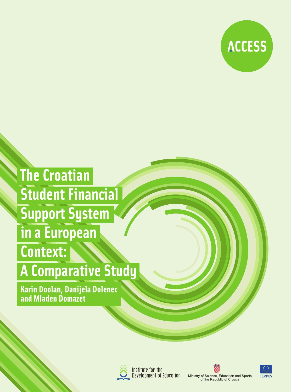

# **The Croatian** Student Financial **Support System** in a European **Context:**

## **A Comparative Study**

Karin Doolan, Danijela Dolenec<br>and Mladen Domazet



Institute for the Development of Education





Ministry of Science, Education and Sports<br>of the Republic of Croatia